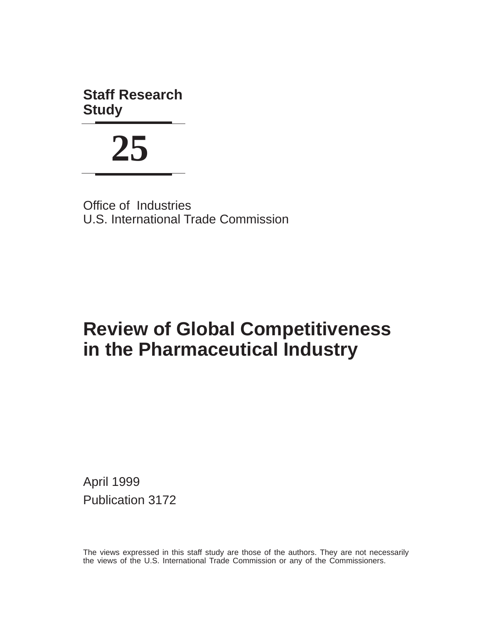**Staff Research Study**

**25**

Office of Industries U.S. International Trade Commission

## **Review of Global Competitiveness in the Pharmaceutical Industry**

April 1999 Publication 3172

The views expressed in this staff study are those of the authors. They are not necessarily the views of the U.S. International Trade Commission or any of the Commissioners.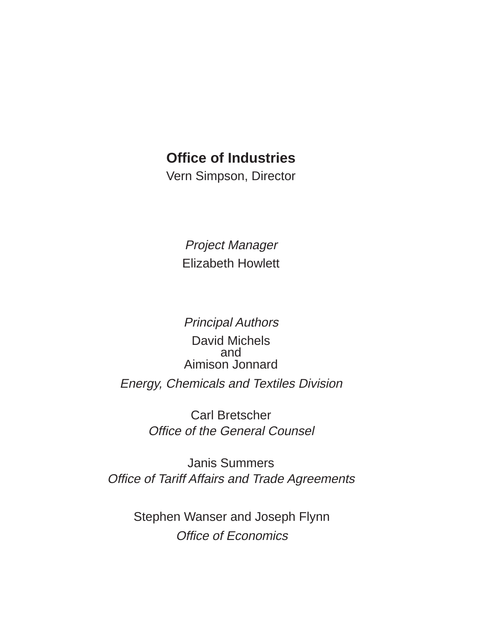## **Office of Industries**

Vern Simpson, Director

Project Manager Elizabeth Howlett

Principal Authors

David Michels and Aimison Jonnard Energy, Chemicals and Textiles Division

> Office of the General Counsel Carl Bretscher

Janis Summers Office of Tariff Affairs and Trade Agreements

> Office of Economics Stephen Wanser and Joseph Flynn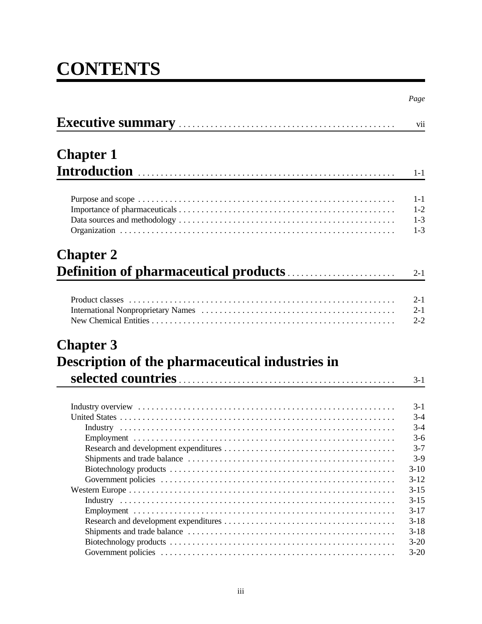# **CONTENTS**

|                                                  | Page     |
|--------------------------------------------------|----------|
| Executive summary manual contract to the summary | vii      |
| <b>Chapter 1</b>                                 |          |
|                                                  | $1 - 1$  |
|                                                  | $1 - 1$  |
|                                                  | $1 - 2$  |
|                                                  | $1 - 3$  |
|                                                  | $1 - 3$  |
| <b>Chapter 2</b>                                 |          |
|                                                  | $2 - 1$  |
|                                                  |          |
|                                                  | $2 - 1$  |
|                                                  | $2 - 1$  |
|                                                  | $2 - 2$  |
| <b>Chapter 3</b>                                 |          |
| Description of the pharmaceutical industries in  |          |
|                                                  | $3 - 1$  |
|                                                  |          |
|                                                  | $3-1$    |
|                                                  | $3 - 4$  |
|                                                  | $3 - 4$  |
|                                                  | $3 - 6$  |
|                                                  | $3 - 7$  |
|                                                  | $3-9$    |
|                                                  | $3-10$   |
|                                                  | $3-12$   |
|                                                  | $3-15$   |
|                                                  | $3 - 15$ |
|                                                  | $3-17$   |
|                                                  | $3-18$   |
|                                                  | $3-18$   |
|                                                  | $3 - 20$ |
|                                                  | $3-20$   |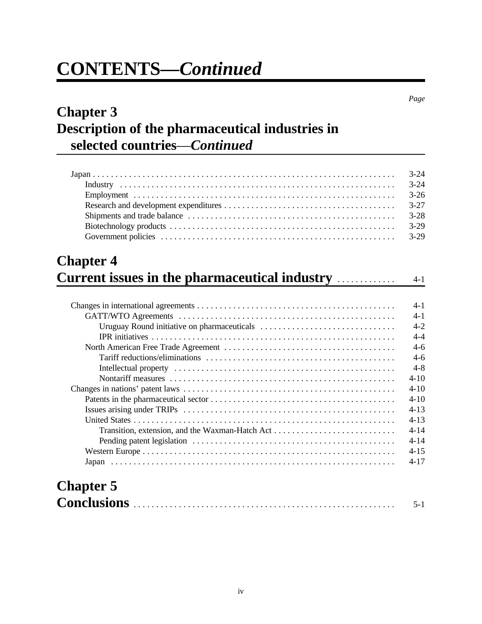# **CONTENTS—***Continued*

## **Chapter 3 Description of the pharmaceutical industries in selected countries**—*Continued*

|                                                                                      | $3 - 24$ |
|--------------------------------------------------------------------------------------|----------|
|                                                                                      | $3 - 24$ |
|                                                                                      | $3-26$   |
|                                                                                      | $3 - 27$ |
|                                                                                      | $3 - 28$ |
|                                                                                      | $3-29$   |
|                                                                                      | $3-29$   |
| <b>Chapter 4</b><br><b>Current issues in the pharmaceutical industry measurement</b> | $4 - 1$  |
|                                                                                      | $4 - 1$  |
|                                                                                      | $4 - 1$  |
|                                                                                      |          |
|                                                                                      | $4 - 2$  |
|                                                                                      | $4 - 4$  |
|                                                                                      | $4 - 6$  |
|                                                                                      | $4-6$    |

Nontariff measures .................................................. 4-10

Changes in nations' patent laws ............................................... 4-10 Patents in the pharmaceutical sector ......................................... 4-10 Issues arising under TRIPs ............................................... 4-13 United States .......................................................... 4-13 Transition, extension, and the Waxman-Hatch Act ........................... 4-14 Pending patent legislation ............................................. 4-14

|                  | $4-17$  |
|------------------|---------|
|                  |         |
| <b>Chapter 5</b> |         |
|                  | $5 - 1$ |

*Page*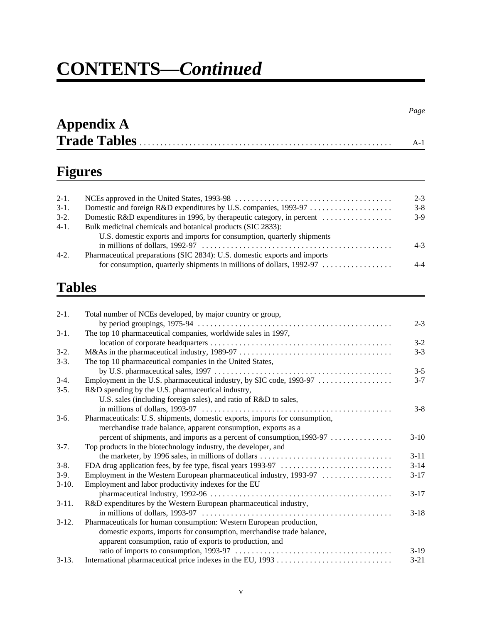# **CONTENTS—***Continued*

| <b>Appendix A</b>   |  |
|---------------------|--|
| <b>Trade Tables</b> |  |

## **Figures**

| $2-1.$ |                                                                           | $2 - 3$ |
|--------|---------------------------------------------------------------------------|---------|
| $3-1.$ |                                                                           | $3 - 8$ |
| $3-2.$ | Domestic R&D expenditures in 1996, by the rapeutic category, in percent   | $3-9$   |
| $4-1.$ | Bulk medicinal chemicals and botanical products (SIC 2833):               |         |
|        | U.S. domestic exports and imports for consumption, quarterly shipments    |         |
|        |                                                                           | $4 - 3$ |
| $4-2.$ | Pharmaceutical preparations (SIC 2834): U.S. domestic exports and imports |         |
|        | for consumption, quarterly shipments in millions of dollars, $1992-97$    | 4-4     |
|        |                                                                           |         |

## **Tables**

| $2-1.$  | Total number of NCEs developed, by major country or group,                                                        |          |
|---------|-------------------------------------------------------------------------------------------------------------------|----------|
|         |                                                                                                                   | $2 - 3$  |
| $3-1.$  | The top 10 pharmaceutical companies, worldwide sales in 1997,                                                     |          |
|         |                                                                                                                   | $3 - 2$  |
| $3-2.$  |                                                                                                                   | $3 - 3$  |
| $3-3.$  | The top 10 pharmaceutical companies in the United States,                                                         |          |
|         |                                                                                                                   | $3 - 5$  |
| $3-4.$  | Employment in the U.S. pharmaceutical industry, by SIC code, 1993-97                                              | $3 - 7$  |
| $3-5.$  | R&D spending by the U.S. pharmaceutical industry,                                                                 |          |
|         | U.S. sales (including foreign sales), and ratio of R&D to sales,                                                  |          |
|         |                                                                                                                   | $3 - 8$  |
| $3-6.$  | Pharmaceuticals: U.S. shipments, domestic exports, imports for consumption,                                       |          |
|         | merchandise trade balance, apparent consumption, exports as a                                                     |          |
|         | percent of shipments, and imports as a percent of consumption, 1993-97                                            | $3-10$   |
| $3-7.$  | Top products in the biotechnology industry, the developer, and                                                    |          |
|         | the marketer, by 1996 sales, in millions of dollars $\dots \dots \dots \dots \dots \dots \dots \dots \dots \dots$ | $3 - 11$ |
| $3-8.$  |                                                                                                                   | $3 - 14$ |
| $3-9.$  | Employment in the Western European pharmaceutical industry, 1993-97                                               | $3-17$   |
| $3-10.$ | Employment and labor productivity indexes for the EU                                                              |          |
|         |                                                                                                                   | $3-17$   |
| $3-11.$ | R&D expenditures by the Western European pharmaceutical industry,                                                 |          |
|         |                                                                                                                   | $3 - 18$ |
| $3-12.$ | Pharmaceuticals for human consumption: Western European production,                                               |          |
|         | domestic exports, imports for consumption, merchandise trade balance,                                             |          |
|         | apparent consumption, ratio of exports to production, and                                                         |          |
|         |                                                                                                                   | $3-19$   |
| $3-13.$ |                                                                                                                   | $3 - 21$ |
|         |                                                                                                                   |          |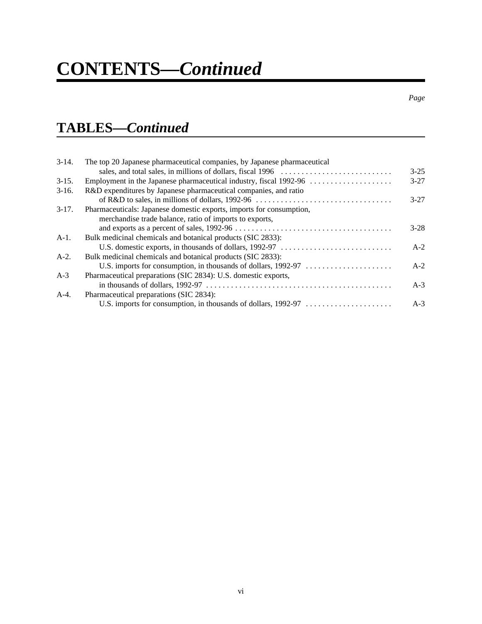# **CONTENTS—***Continued*

## **TABLES—***Continued*

| $3-14.$ | The top 20 Japanese pharmaceutical companies, by Japanese pharmaceutical |          |
|---------|--------------------------------------------------------------------------|----------|
|         |                                                                          | $3 - 25$ |
| $3-15.$ |                                                                          | $3 - 27$ |
| $3-16.$ | R&D expenditures by Japanese pharmaceutical companies, and ratio         |          |
|         |                                                                          | $3 - 27$ |
| $3-17.$ | Pharmaceuticals: Japanese domestic exports, imports for consumption,     |          |
|         | merchandise trade balance, ratio of imports to exports,                  |          |
|         |                                                                          | $3-28$   |
| $A-1$ . | Bulk medicinal chemicals and botanical products (SIC 2833):              |          |
|         |                                                                          | $A-2$    |
| $A-2.$  | Bulk medicinal chemicals and botanical products (SIC 2833):              |          |
|         |                                                                          | $A-2$    |
| $A-3$   | Pharmaceutical preparations (SIC 2834): U.S. domestic exports,           |          |
|         |                                                                          | $A-3$    |
| $A-4.$  | Pharmaceutical preparations (SIC 2834):                                  |          |
|         | U.S. imports for consumption, in thousands of dollars, 1992-97           | $A-3$    |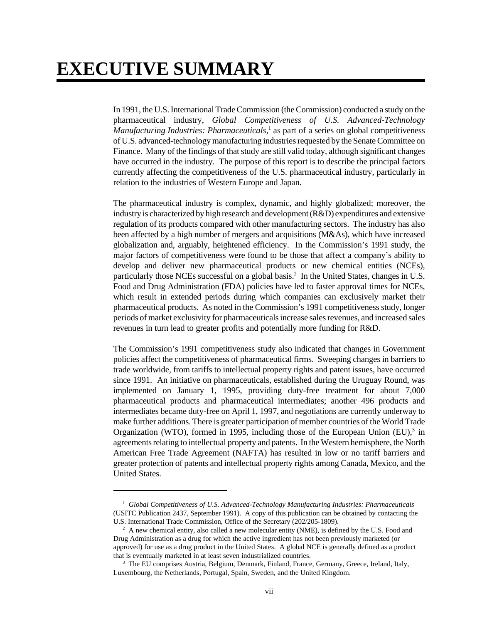## **EXECUTIVE SUMMARY**

In 1991, the U.S. International Trade Commission (the Commission) conducted a study on the pharmaceutical industry, *Global Competitiveness of U.S. Advanced-Technology* Manufacturing Industries: Pharmaceuticals,<sup>1</sup> as part of a series on global competitiveness of U.S. advanced-technology manufacturing industries requested by the Senate Committee on Finance. Many of the findings of that study are still valid today, although significant changes have occurred in the industry. The purpose of this report is to describe the principal factors currently affecting the competitiveness of the U.S. pharmaceutical industry, particularly in relation to the industries of Western Europe and Japan.

The pharmaceutical industry is complex, dynamic, and highly globalized; moreover, the industry is characterized by high research and development  $(R&D)$  expenditures and extensive regulation of its products compared with other manufacturing sectors. The industry has also been affected by a high number of mergers and acquisitions (M&As), which have increased globalization and, arguably, heightened efficiency. In the Commission's 1991 study, the major factors of competitiveness were found to be those that affect a company's ability to develop and deliver new pharmaceutical products or new chemical entities (NCEs), particularly those NCEs successful on a global basis.<sup>2</sup> In the United States, changes in U.S. Food and Drug Administration (FDA) policies have led to faster approval times for NCEs, which result in extended periods during which companies can exclusively market their pharmaceutical products. As noted in the Commission's 1991 competitiveness study, longer periods of market exclusivity for pharmaceuticals increase sales revenues, and increased sales revenues in turn lead to greater profits and potentially more funding for R&D.

The Commission's 1991 competitiveness study also indicated that changes in Government policies affect the competitiveness of pharmaceutical firms. Sweeping changes in barriers to trade worldwide, from tariffs to intellectual property rights and patent issues, have occurred since 1991. An initiative on pharmaceuticals, established during the Uruguay Round, was implemented on January 1, 1995, providing duty-free treatment for about 7,000 pharmaceutical products and pharmaceutical intermediates; another 496 products and intermediates became duty-free on April 1, 1997, and negotiations are currently underway to make further additions. There is greater participation of member countries of the World Trade Organization (WTO), formed in 1995, including those of the European Union  $(EU)$ ,<sup>3</sup> in agreements relating to intellectual property and patents. In the Western hemisphere, the North American Free Trade Agreement (NAFTA) has resulted in low or no tariff barriers and greater protection of patents and intellectual property rights among Canada, Mexico, and the United States.

<sup>&</sup>lt;sup>1</sup> Global Competitiveness of U.S. Advanced-Technology Manufacturing Industries: Pharmaceuticals (USITC Publication 2437, September 1991). A copy of this publication can be obtained by contacting the U.S. International Trade Commission, Office of the Secretary (202/205-1809).

 $2$  A new chemical entity, also called a new molecular entity (NME), is defined by the U.S. Food and Drug Administration as a drug for which the active ingredient has not been previously marketed (or approved) for use as a drug product in the United States. A global NCE is generally defined as a product that is eventually marketed in at least seven industrialized countries.

<sup>&</sup>lt;sup>3</sup> The EU comprises Austria, Belgium, Denmark, Finland, France, Germany, Greece, Ireland, Italy, Luxembourg, the Netherlands, Portugal, Spain, Sweden, and the United Kingdom.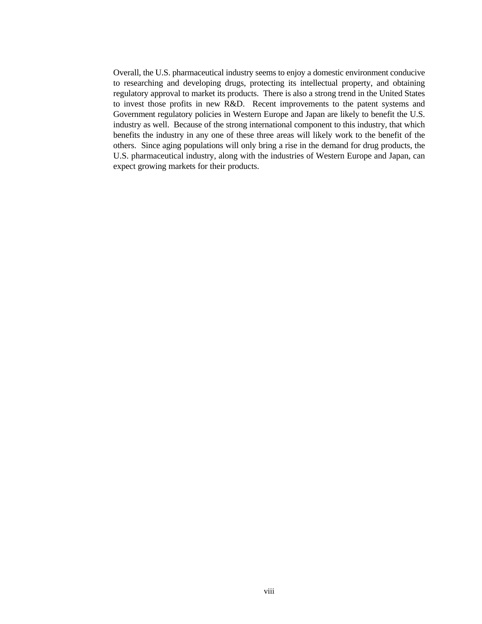Overall, the U.S. pharmaceutical industry seems to enjoy a domestic environment conducive to researching and developing drugs, protecting its intellectual property, and obtaining regulatory approval to market its products. There is also a strong trend in the United States to invest those profits in new R&D. Recent improvements to the patent systems and Government regulatory policies in Western Europe and Japan are likely to benefit the U.S. industry as well. Because of the strong international component to this industry, that which benefits the industry in any one of these three areas will likely work to the benefit of the others. Since aging populations will only bring a rise in the demand for drug products, the U.S. pharmaceutical industry, along with the industries of Western Europe and Japan, can expect growing markets for their products.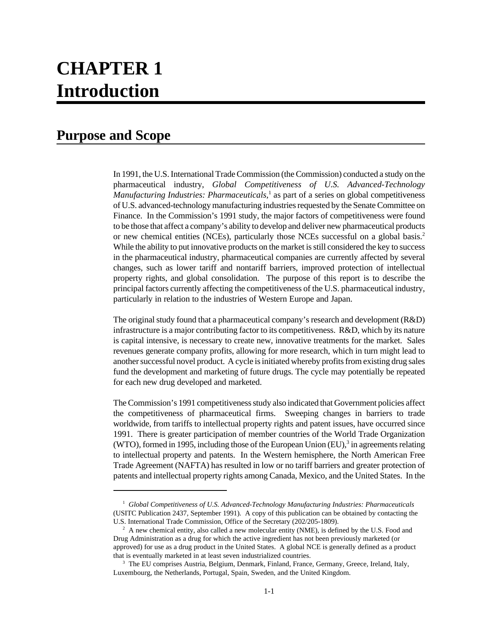## **CHAPTER 1 Introduction**

## **Purpose and Scope**

In 1991, the U.S. International Trade Commission (the Commission) conducted a study on the pharmaceutical industry, *Global Competitiveness of U.S. Advanced-Technology* Manufacturing Industries: Pharmaceuticals,<sup>1</sup> as part of a series on global competitiveness of U.S. advanced-technology manufacturing industries requested by the Senate Committee on Finance. In the Commission's 1991 study, the major factors of competitiveness were found to be those that affect a company's ability to develop and deliver new pharmaceutical products or new chemical entities (NCEs), particularly those NCEs successful on a global basis.<sup>2</sup> While the ability to put innovative products on the market is still considered the key to success in the pharmaceutical industry, pharmaceutical companies are currently affected by several changes, such as lower tariff and nontariff barriers, improved protection of intellectual property rights, and global consolidation. The purpose of this report is to describe the principal factors currently affecting the competitiveness of the U.S. pharmaceutical industry, particularly in relation to the industries of Western Europe and Japan.

The original study found that a pharmaceutical company's research and development (R&D) infrastructure is a major contributing factor to its competitiveness. R&D, which by its nature is capital intensive, is necessary to create new, innovative treatments for the market. Sales revenues generate company profits, allowing for more research, which in turn might lead to another successful novel product. A cycle is initiated whereby profits from existing drug sales fund the development and marketing of future drugs. The cycle may potentially be repeated for each new drug developed and marketed.

The Commission's 1991 competitiveness study also indicated that Government policies affect the competitiveness of pharmaceutical firms. Sweeping changes in barriers to trade worldwide, from tariffs to intellectual property rights and patent issues, have occurred since 1991. There is greater participation of member countries of the World Trade Organization (WTO), formed in 1995, including those of the European Union  $(EU)$ ,<sup>3</sup> in agreements relating to intellectual property and patents. In the Western hemisphere, the North American Free Trade Agreement (NAFTA) has resulted in low or no tariff barriers and greater protection of patents and intellectual property rights among Canada, Mexico, and the United States. In the

<sup>&</sup>lt;sup>1</sup> Global Competitiveness of U.S. Advanced-Technology Manufacturing Industries: Pharmaceuticals (USITC Publication 2437*,* September 1991). A copy of this publication can be obtained by contacting the U.S. International Trade Commission, Office of the Secretary (202/205-1809).

 $2$  A new chemical entity, also called a new molecular entity (NME), is defined by the U.S. Food and Drug Administration as a drug for which the active ingredient has not been previously marketed (or approved) for use as a drug product in the United States. A global NCE is generally defined as a product that is eventually marketed in at least seven industrialized countries.

<sup>&</sup>lt;sup>3</sup> The EU comprises Austria, Belgium, Denmark, Finland, France, Germany, Greece, Ireland, Italy, Luxembourg, the Netherlands, Portugal, Spain, Sweden, and the United Kingdom.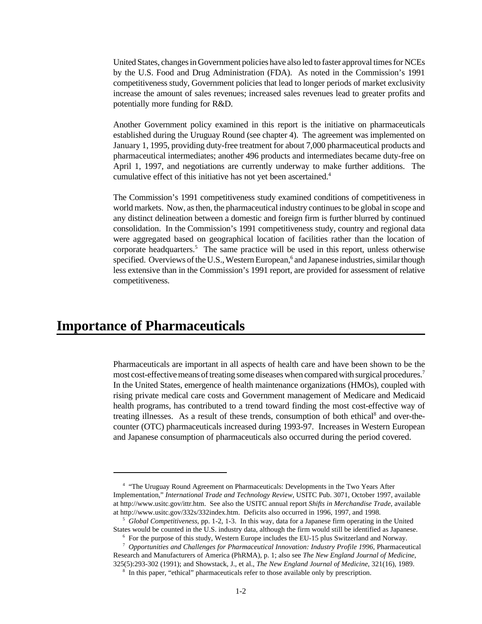United States, changes in Government policies have also led to faster approval times for NCEs by the U.S. Food and Drug Administration (FDA). As noted in the Commission's 1991 competitiveness study, Government policies that lead to longer periods of market exclusivity increase the amount of sales revenues; increased sales revenues lead to greater profits and potentially more funding for R&D.

Another Government policy examined in this report is the initiative on pharmaceuticals established during the Uruguay Round (see chapter 4). The agreement was implemented on January 1, 1995, providing duty-free treatment for about 7,000 pharmaceutical products and pharmaceutical intermediates; another 496 products and intermediates became duty-free on April 1, 1997, and negotiations are currently underway to make further additions. The cumulative effect of this initiative has not yet been ascertained.<sup>4</sup>

The Commission's 1991 competitiveness study examined conditions of competitiveness in world markets. Now, as then, the pharmaceutical industry continues to be global in scope and any distinct delineation between a domestic and foreign firm is further blurred by continued consolidation. In the Commission's 1991 competitiveness study, country and regional data were aggregated based on geographical location of facilities rather than the location of corporate headquarters.<sup>5</sup> The same practice will be used in this report, unless otherwise specified. Overviews of the U.S., Western European,<sup>6</sup> and Japanese industries, similar though less extensive than in the Commission's 1991 report, are provided for assessment of relative competitiveness.

## **Importance of Pharmaceuticals**

Pharmaceuticals are important in all aspects of health care and have been shown to be the most cost-effective means of treating some diseases when compared with surgical procedures.<sup>7</sup> In the United States, emergence of health maintenance organizations (HMOs), coupled with rising private medical care costs and Government management of Medicare and Medicaid health programs, has contributed to a trend toward finding the most cost-effective way of treating illnesses. As a result of these trends, consumption of both ethical<sup>8</sup> and over-thecounter (OTC) pharmaceuticals increased during 1993-97. Increases in Western European and Japanese consumption of pharmaceuticals also occurred during the period covered.

<sup>&</sup>lt;sup>4</sup> "The Uruguay Round Agreement on Pharmaceuticals: Developments in the Two Years After Implementation," *International Trade and Technology Review*, USITC Pub. 3071, October 1997, available at http://www.usitc.gov/ittr.htm. See also the USITC annual report *Shifts in Merchandise Trade*, available at http://www.usitc.gov/332s/332index.htm. Deficits also occurred in 1996, 1997, and 1998.

<sup>5</sup>  *Global Competitiveness*, pp. 1-2, 1-3. In this way, data for a Japanese firm operating in the United States would be counted in the U.S. industry data, although the firm would still be identified as Japanese.

<sup>6</sup> For the purpose of this study, Western Europe includes the EU-15 plus Switzerland and Norway. 7 *Opportunities and Challenges for Pharmaceutical Innovation: Industry Profile 1996,* Pharmaceutical

Research and Manufacturers of America (PhRMA), p. 1; also see *The New England Journal of Medicine*, 325(5):293-302 (1991); and Showstack, J., et al., *The New England Journal of Medicine*, 321(16), 1989. <sup>8</sup> In this paper, "ethical" pharmaceuticals refer to those available only by prescription.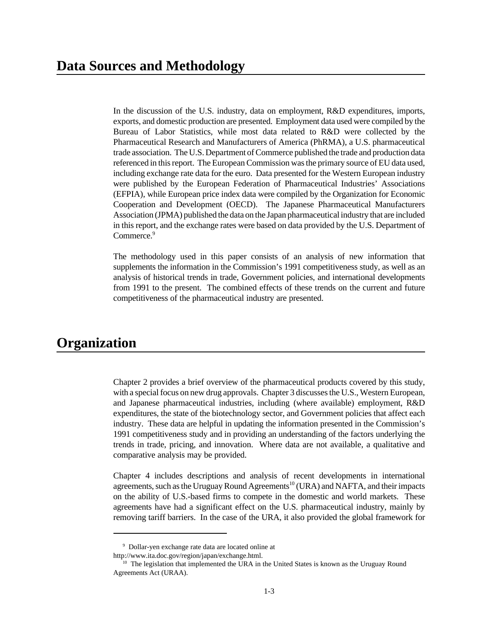In the discussion of the U.S. industry, data on employment, R&D expenditures, imports, exports, and domestic production are presented. Employment data used were compiled by the Bureau of Labor Statistics, while most data related to R&D were collected by the Pharmaceutical Research and Manufacturers of America (PhRMA), a U.S. pharmaceutical trade association. The U.S. Department of Commerce published the trade and production data referenced in this report. The European Commission was the primary source of EU data used, including exchange rate data for the euro. Data presented for the Western European industry were published by the European Federation of Pharmaceutical Industries' Associations (EFPIA), while European price index data were compiled by the Organization for Economic Cooperation and Development (OECD). The Japanese Pharmaceutical Manufacturers Association (JPMA) published the data on the Japan pharmaceutical industry that are included in this report, and the exchange rates were based on data provided by the U.S. Department of Commerce.<sup>9</sup>

The methodology used in this paper consists of an analysis of new information that supplements the information in the Commission's 1991 competitiveness study, as well as an analysis of historical trends in trade, Government policies, and international developments from 1991 to the present. The combined effects of these trends on the current and future competitiveness of the pharmaceutical industry are presented.

## **Organization**

Chapter 2 provides a brief overview of the pharmaceutical products covered by this study, with a special focus on new drug approvals. Chapter 3 discusses the U.S., Western European, and Japanese pharmaceutical industries, including (where available) employment, R&D expenditures, the state of the biotechnology sector, and Government policies that affect each industry. These data are helpful in updating the information presented in the Commission's 1991 competitiveness study and in providing an understanding of the factors underlying the trends in trade, pricing, and innovation. Where data are not available, a qualitative and comparative analysis may be provided.

Chapter 4 includes descriptions and analysis of recent developments in international agreements, such as the Uruguay Round Agreements<sup>10</sup> (URA) and NAFTA, and their impacts on the ability of U.S.-based firms to compete in the domestic and world markets. These agreements have had a significant effect on the U.S. pharmaceutical industry, mainly by removing tariff barriers. In the case of the URA, it also provided the global framework for

<sup>9</sup> Dollar-yen exchange rate data are located online at

http://www.ita.doc.gov/region/japan/exchange.html.

 $10$  The legislation that implemented the URA in the United States is known as the Uruguay Round Agreements Act (URAA).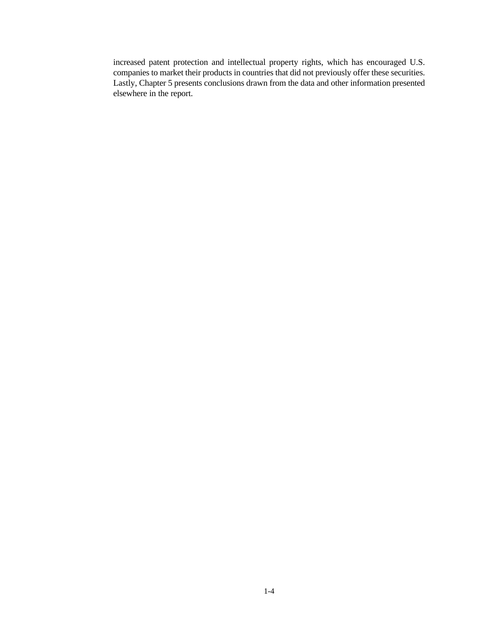increased patent protection and intellectual property rights, which has encouraged U.S. companies to market their products in countries that did not previously offer these securities. Lastly, Chapter 5 presents conclusions drawn from the data and other information presented elsewhere in the report.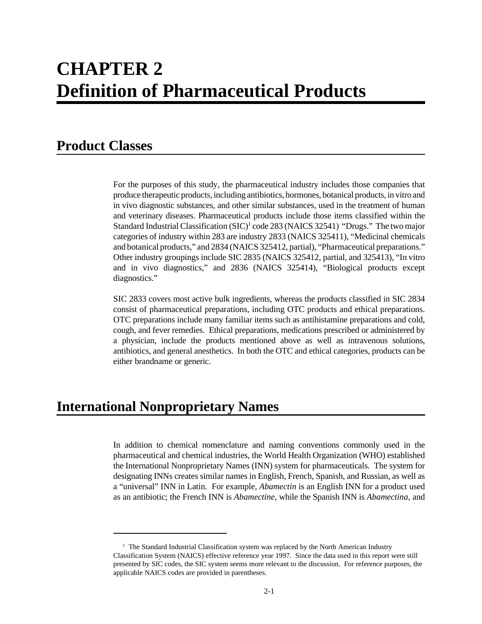## **CHAPTER 2 Definition of Pharmaceutical Products**

## **Product Classes**

For the purposes of this study, the pharmaceutical industry includes those companies that produce therapeutic products, including antibiotics, hormones, botanical products, in vitro and in vivo diagnostic substances, and other similar substances, used in the treatment of human and veterinary diseases. Pharmaceutical products include those items classified within the Standard Industrial Classification (SIC)<sup>1</sup> code 283 (NAICS 32541) "Drugs." The two major categories of industry within 283 are industry 2833 (NAICS 325411), "Medicinal chemicals and botanical products," and 2834 (NAICS 325412, partial), "Pharmaceutical preparations." Other industry groupings include SIC 2835 (NAICS 325412, partial, and 325413), "In vitro and in vivo diagnostics," and 2836 (NAICS 325414), "Biological products except diagnostics."

SIC 2833 covers most active bulk ingredients, whereas the products classified in SIC 2834 consist of pharmaceutical preparations, including OTC products and ethical preparations. OTC preparations include many familiar items such as antihistamine preparations and cold, cough, and fever remedies. Ethical preparations, medications prescribed or administered by a physician, include the products mentioned above as well as intravenous solutions, antibiotics, and general anesthetics. In both the OTC and ethical categories, products can be either brandname or generic.

## **International Nonproprietary Names**

In addition to chemical nomenclature and naming conventions commonly used in the pharmaceutical and chemical industries, the World Health Organization (WHO) established the International Nonproprietary Names (INN) system for pharmaceuticals. The system for designating INNs creates similar names in English, French, Spanish, and Russian, as well as a "universal" INN in Latin. For example, *Abamectin* is an English INN for a product used as an antibiotic; the French INN is *Abamectine*, while the Spanish INN is *Abamectina*, and

<sup>&</sup>lt;sup>1</sup> The Standard Industrial Classification system was replaced by the North American Industry Classification System (NAICS) effective reference year 1997. Since the data used in this report were still presented by SIC codes, the SIC system seems more relevant to the discussion. For reference purposes, the applicable NAICS codes are provided in parentheses.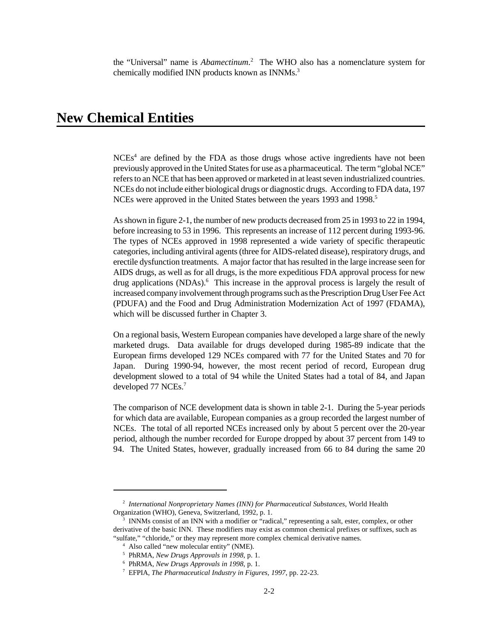the "Universal" name is *Abamectinum*. 2 The WHO also has a nomenclature system for chemically modified INN products known as INNMs.<sup>3</sup>

## **New Chemical Entities**

 $NCEs<sup>4</sup>$  are defined by the FDA as those drugs whose active ingredients have not been previously approved in the United States for use as a pharmaceutical. The term "global NCE" refers to an NCE that has been approved or marketed in at least seven industrialized countries. NCEs do not include either biological drugs or diagnostic drugs. According to FDA data, 197 NCEs were approved in the United States between the years 1993 and 1998.<sup>5</sup>

As shown in figure 2-1, the number of new products decreased from 25 in 1993 to 22 in 1994, before increasing to 53 in 1996. This represents an increase of 112 percent during 1993-96. The types of NCEs approved in 1998 represented a wide variety of specific therapeutic categories, including antiviral agents (three for AIDS-related disease), respiratory drugs, and erectile dysfunction treatments. A major factor that has resulted in the large increase seen for AIDS drugs, as well as for all drugs, is the more expeditious FDA approval process for new drug applications (NDAs).<sup>6</sup> This increase in the approval process is largely the result of increased company involvement through programs such as the Prescription Drug User Fee Act (PDUFA) and the Food and Drug Administration Modernization Act of 1997 (FDAMA), which will be discussed further in Chapter 3.

On a regional basis, Western European companies have developed a large share of the newly marketed drugs. Data available for drugs developed during 1985-89 indicate that the European firms developed 129 NCEs compared with 77 for the United States and 70 for Japan. During 1990-94, however, the most recent period of record, European drug development slowed to a total of 94 while the United States had a total of 84, and Japan developed 77 NCEs.<sup>7</sup>

The comparison of NCE development data is shown in table 2-1. During the 5-year periods for which data are available, European companies as a group recorded the largest number of NCEs. The total of all reported NCEs increased only by about 5 percent over the 20-year period, although the number recorded for Europe dropped by about 37 percent from 149 to 94. The United States, however, gradually increased from 66 to 84 during the same 20

<sup>2</sup> *International Nonproprietary Names (INN) for Pharmaceutical Substances*, World Health Organization (WHO), Geneva, Switzerland, 1992, p. 1.

<sup>3</sup> INNMs consist of an INN with a modifier or "radical," representing a salt, ester, complex, or other derivative of the basic INN. These modifiers may exist as common chemical prefixes or suffixes, such as "sulfate," "chloride," or they may represent more complex chemical derivative names.

<sup>4</sup> Also called "new molecular entity" (NME).

<sup>5</sup> PhRMA, *New Drugs Approvals in 1998*, p. 1.

<sup>6</sup> PhRMA, *New Drugs Approvals in 1998*, p. 1.

<sup>7</sup> EFPIA, *The Pharmaceutical Industry in Figures, 1997*, pp. 22-23.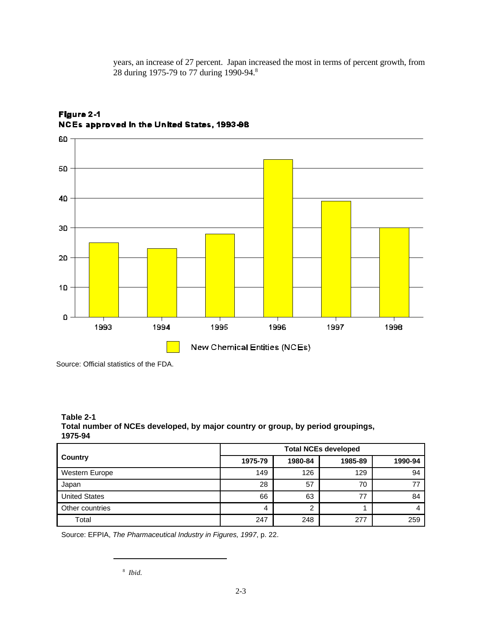years, an increase of 27 percent. Japan increased the most in terms of percent growth, from 28 during 1975-79 to 77 during 1990-94.<sup>8</sup>



### Figure 2-1 NCEs approved in the United States, 1993-98

Source: Official statistics of the FDA.

**Table 2-1 Total number of NCEs developed, by major country or group, by period groupings, 1975-94**

|                       | <b>Total NCEs developed</b> |         |         |          |  |
|-----------------------|-----------------------------|---------|---------|----------|--|
| Country               | 1975-79                     | 1980-84 | 1985-89 | 1990-94  |  |
| <b>Western Europe</b> | 149                         | 126     | 129     | 94       |  |
| Japan                 | 28                          | 57      | 70      |          |  |
| <b>United States</b>  | 66                          | 63      | 77      | 84       |  |
| Other countries       | 4                           | າ       |         | $\prime$ |  |
| Total                 | 247                         | 248     | 277     | 259      |  |

Source: EFPIA, *The Pharmaceutical Industry in Figures, 1997*, p. 22.

<sup>8</sup> *Ibid.*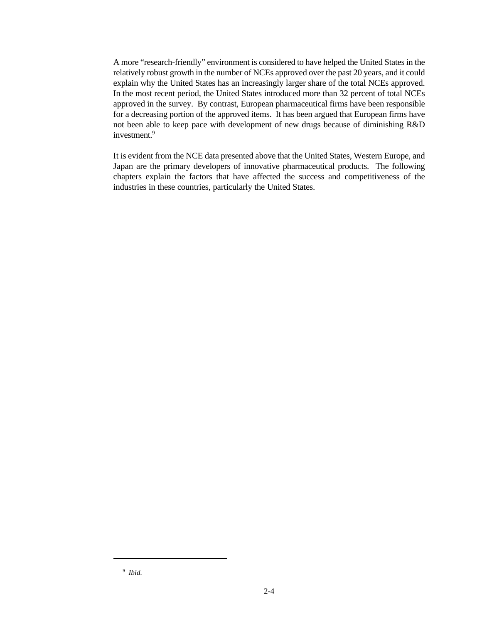A more "research-friendly" environment is considered to have helped the United States in the relatively robust growth in the number of NCEs approved over the past 20 years, and it could explain why the United States has an increasingly larger share of the total NCEs approved. In the most recent period, the United States introduced more than 32 percent of total NCEs approved in the survey. By contrast, European pharmaceutical firms have been responsible for a decreasing portion of the approved items. It has been argued that European firms have not been able to keep pace with development of new drugs because of diminishing R&D investment.<sup>9</sup>

It is evident from the NCE data presented above that the United States, Western Europe, and Japan are the primary developers of innovative pharmaceutical products. The following chapters explain the factors that have affected the success and competitiveness of the industries in these countries, particularly the United States.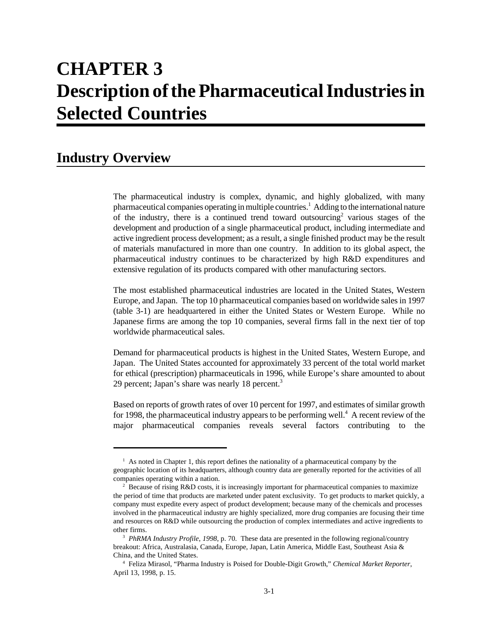# **CHAPTER 3 Description of the Pharmaceutical Industries in Selected Countries**

## **Industry Overview**

The pharmaceutical industry is complex, dynamic, and highly globalized, with many pharmaceutical companies operating in multiple countries.<sup>1</sup> Adding to the international nature of the industry, there is a continued trend toward outsourcing<sup>2</sup> various stages of the development and production of a single pharmaceutical product, including intermediate and active ingredient process development; as a result, a single finished product may be the result of materials manufactured in more than one country. In addition to its global aspect, the pharmaceutical industry continues to be characterized by high R&D expenditures and extensive regulation of its products compared with other manufacturing sectors.

The most established pharmaceutical industries are located in the United States, Western Europe, and Japan. The top 10 pharmaceutical companies based on worldwide sales in 1997 (table 3-1) are headquartered in either the United States or Western Europe. While no Japanese firms are among the top 10 companies, several firms fall in the next tier of top worldwide pharmaceutical sales.

Demand for pharmaceutical products is highest in the United States, Western Europe, and Japan. The United States accounted for approximately 33 percent of the total world market for ethical (prescription) pharmaceuticals in 1996, while Europe's share amounted to about 29 percent; Japan's share was nearly 18 percent.<sup>3</sup>

Based on reports of growth rates of over 10 percent for 1997, and estimates of similar growth for 1998, the pharmaceutical industry appears to be performing well.<sup>4</sup> A recent review of the major pharmaceutical companies reveals several factors contributing to the

 $<sup>1</sup>$  As noted in Chapter 1, this report defines the nationality of a pharmaceutical company by the</sup> geographic location of its headquarters, although country data are generally reported for the activities of all companies operating within a nation.

<sup>&</sup>lt;sup>2</sup> Because of rising R&D costs, it is increasingly important for pharmaceutical companies to maximize the period of time that products are marketed under patent exclusivity. To get products to market quickly, a company must expedite every aspect of product development; because many of the chemicals and processes involved in the pharmaceutical industry are highly specialized, more drug companies are focusing their time and resources on R&D while outsourcing the production of complex intermediates and active ingredients to other firms.

<sup>3</sup> *PhRMA Industry Profile*, *1998*, p. 70. These data are presented in the following regional/country breakout: Africa, Australasia, Canada, Europe, Japan, Latin America, Middle East, Southeast Asia & China, and the United States.

<sup>4</sup> Feliza Mirasol, "Pharma Industry is Poised for Double-Digit Growth," *Chemical Market Reporter*, April 13, 1998, p. 15.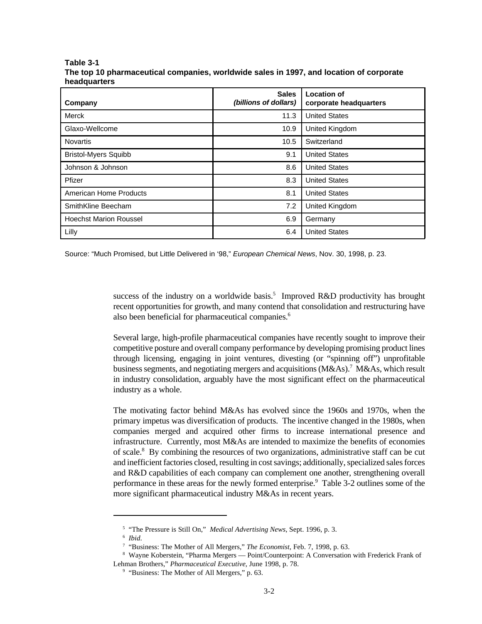| Company                       | <b>Sales</b><br>(billions of dollars) | <b>Location of</b><br>corporate headquarters |  |
|-------------------------------|---------------------------------------|----------------------------------------------|--|
| Merck                         | 11.3                                  | <b>United States</b>                         |  |
| Glaxo-Wellcome                | 10.9                                  | <b>United Kingdom</b>                        |  |
| <b>Novartis</b>               | 10.5                                  | Switzerland                                  |  |
| <b>Bristol-Myers Squibb</b>   | 9.1                                   | <b>United States</b>                         |  |
| Johnson & Johnson             | 8.6                                   | <b>United States</b>                         |  |
| Pfizer                        | 8.3                                   | <b>United States</b>                         |  |
| American Home Products        | 8.1                                   | <b>United States</b>                         |  |
| SmithKline Beecham            | 7.2                                   | United Kingdom                               |  |
| <b>Hoechst Marion Roussel</b> | 6.9                                   | Germany                                      |  |
| Lilly                         | 6.4                                   | <b>United States</b>                         |  |

#### **Table 3-1 The top 10 pharmaceutical companies, worldwide sales in 1997, and location of corporate headquarters**

Source: "Much Promised, but Little Delivered in '98," *European Chemical News*, Nov. 30, 1998, p. 23.

success of the industry on a worldwide basis.<sup>5</sup> Improved R&D productivity has brought recent opportunities for growth, and many contend that consolidation and restructuring have also been beneficial for pharmaceutical companies.<sup>6</sup>

Several large, high-profile pharmaceutical companies have recently sought to improve their competitive posture and overall company performance by developing promising product lines through licensing, engaging in joint ventures, divesting (or "spinning off") unprofitable business segments, and negotiating mergers and acquisitions (M&As).<sup>7</sup> M&As, which result in industry consolidation, arguably have the most significant effect on the pharmaceutical industry as a whole.

The motivating factor behind M&As has evolved since the 1960s and 1970s, when the primary impetus was diversification of products. The incentive changed in the 1980s, when companies merged and acquired other firms to increase international presence and infrastructure. Currently, most M&As are intended to maximize the benefits of economies of scale.<sup>8</sup> By combining the resources of two organizations, administrative staff can be cut and inefficient factories closed, resulting in cost savings; additionally, specialized sales forces and R&D capabilities of each company can complement one another, strengthening overall performance in these areas for the newly formed enterprise.<sup>9</sup> Table 3-2 outlines some of the more significant pharmaceutical industry M&As in recent years.

<sup>5</sup> "The Pressure is Still On," *Medical Advertising News*, Sept. 1996, p. 3.

<sup>6</sup> *Ibid*.

<sup>7</sup> "Business: The Mother of All Mergers," *The Economist*, Feb. 7, 1998, p. 63.

<sup>8</sup> Wayne Koberstein, "Pharma Mergers — Point/Counterpoint: A Conversation with Frederick Frank of Lehman Brothers," *Pharmaceutical Executive*, June 1998, p. 78.

<sup>&</sup>lt;sup>9</sup> "Business: The Mother of All Mergers," p. 63.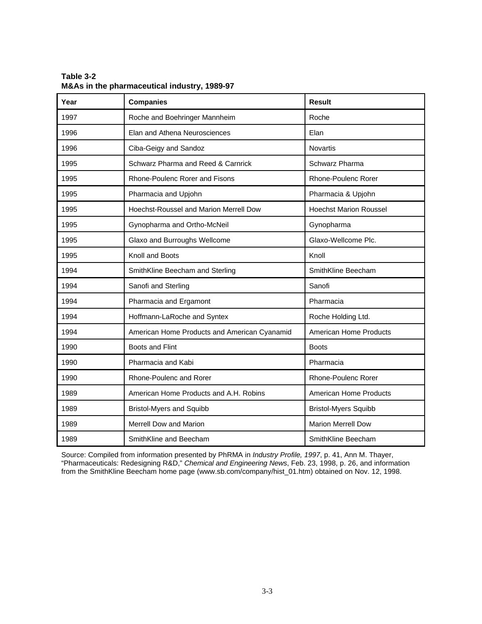| Year | <b>Companies</b>                                    | <b>Result</b>                 |  |
|------|-----------------------------------------------------|-------------------------------|--|
| 1997 | Roche and Boehringer Mannheim<br>Roche              |                               |  |
| 1996 | Elan and Athena Neurosciences                       | Elan                          |  |
| 1996 | Ciba-Geigy and Sandoz                               | Novartis                      |  |
| 1995 | Schwarz Pharma and Reed & Carnrick                  | Schwarz Pharma                |  |
| 1995 | Rhone-Poulenc Rorer and Fisons                      | <b>Rhone-Poulenc Rorer</b>    |  |
| 1995 | Pharmacia and Upjohn                                | Pharmacia & Upjohn            |  |
| 1995 | Hoechst-Roussel and Marion Merrell Dow              | <b>Hoechst Marion Roussel</b> |  |
| 1995 | Gynopharma and Ortho-McNeil                         | Gynopharma                    |  |
| 1995 | Glaxo-Wellcome Plc.<br>Glaxo and Burroughs Wellcome |                               |  |
| 1995 | Knoll and Boots                                     | Knoll                         |  |
| 1994 | SmithKline Beecham and Sterling                     | SmithKline Beecham            |  |
| 1994 | Sanofi and Sterling                                 | Sanofi                        |  |
| 1994 | Pharmacia and Ergamont                              | Pharmacia                     |  |
| 1994 | Hoffmann-LaRoche and Syntex                         | Roche Holding Ltd.            |  |
| 1994 | American Home Products and American Cyanamid        | <b>American Home Products</b> |  |
| 1990 | Boots and Flint                                     | <b>Boots</b>                  |  |
| 1990 | Pharmacia and Kabi                                  | Pharmacia                     |  |
| 1990 | Rhone-Poulenc and Rorer                             | <b>Rhone-Poulenc Rorer</b>    |  |
| 1989 | American Home Products and A.H. Robins              | <b>American Home Products</b> |  |
| 1989 | <b>Bristol-Myers and Squibb</b>                     | <b>Bristol-Myers Squibb</b>   |  |
| 1989 | <b>Merrell Dow and Marion</b>                       | <b>Marion Merrell Dow</b>     |  |
| 1989 | SmithKline and Beecham                              | SmithKline Beecham            |  |

**Table 3-2 M&As in the pharmaceutical industry, 1989-97**

Source: Compiled from information presented by PhRMA in *Industry Profile, 1997*, p. 41, Ann M. Thayer, "Pharmaceuticals: Redesigning R&D," *Chemical and Engineering News*, Feb. 23, 1998, p. 26, and information from the SmithKline Beecham home page (www.sb.com/company/hist\_01.htm) obtained on Nov. 12, 1998.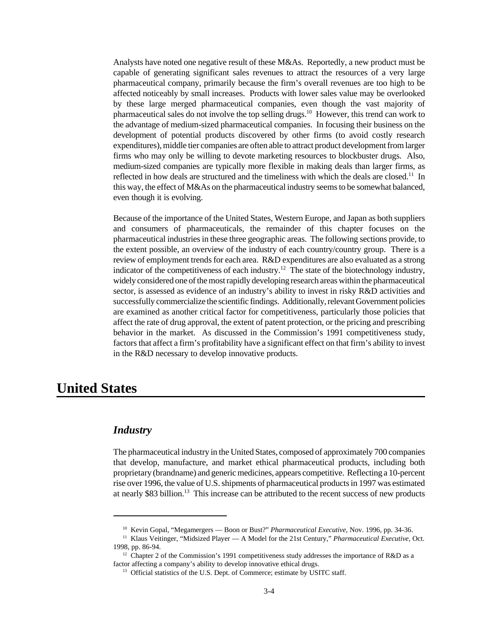Analysts have noted one negative result of these M&As. Reportedly, a new product must be capable of generating significant sales revenues to attract the resources of a very large pharmaceutical company, primarily because the firm's overall revenues are too high to be affected noticeably by small increases. Products with lower sales value may be overlooked by these large merged pharmaceutical companies, even though the vast majority of pharmaceutical sales do not involve the top selling drugs.<sup>10</sup> However, this trend can work to the advantage of medium-sized pharmaceutical companies. In focusing their business on the development of potential products discovered by other firms (to avoid costly research expenditures), middle tier companies are often able to attract product development from larger firms who may only be willing to devote marketing resources to blockbuster drugs. Also, medium-sized companies are typically more flexible in making deals than larger firms, as reflected in how deals are structured and the timeliness with which the deals are closed.<sup>11</sup> In this way, the effect of M&As on the pharmaceutical industry seems to be somewhat balanced, even though it is evolving.

Because of the importance of the United States, Western Europe, and Japan as both suppliers and consumers of pharmaceuticals, the remainder of this chapter focuses on the pharmaceutical industries in these three geographic areas. The following sections provide, to the extent possible, an overview of the industry of each country/country group. There is a review of employment trends for each area. R&D expenditures are also evaluated as a strong indicator of the competitiveness of each industry.<sup>12</sup> The state of the biotechnology industry, widely considered one of the most rapidly developing research areas within the pharmaceutical sector, is assessed as evidence of an industry's ability to invest in risky R&D activities and successfully commercialize the scientific findings. Additionally, relevant Government policies are examined as another critical factor for competitiveness, particularly those policies that affect the rate of drug approval, the extent of patent protection, or the pricing and prescribing behavior in the market. As discussed in the Commission's 1991 competitiveness study, factors that affect a firm's profitability have a significant effect on that firm's ability to invest in the R&D necessary to develop innovative products.

## **United States**

### *Industry*

The pharmaceutical industry in the United States, composed of approximately 700 companies that develop, manufacture, and market ethical pharmaceutical products, including both proprietary (brandname) and generic medicines, appears competitive. Reflecting a 10-percent rise over 1996, the value of U.S. shipments of pharmaceutical products in 1997 was estimated at nearly \$83 billion.<sup>13</sup> This increase can be attributed to the recent success of new products

<sup>&</sup>lt;sup>10</sup> Kevin Gopal, "Megamergers — Boon or Bust?" *Pharmaceutical Executive*, Nov. 1996, pp. 34-36.

<sup>&</sup>lt;sup>11</sup> Klaus Veitinger, "Midsized Player — A Model for the 21st Century," *Pharmaceutical Executive*, Oct. 1998, pp. 86-94.

<sup>&</sup>lt;sup>12</sup> Chapter 2 of the Commission's 1991 competitiveness study addresses the importance of R&D as a factor affecting a company's ability to develop innovative ethical drugs.

<sup>&</sup>lt;sup>13</sup> Official statistics of the U.S. Dept. of Commerce; estimate by USITC staff.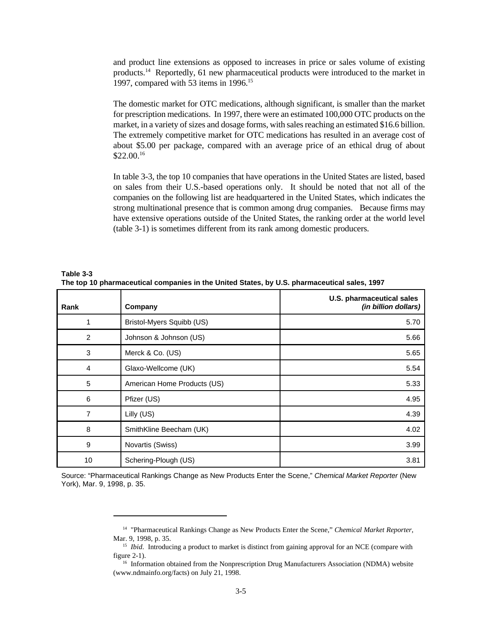and product line extensions as opposed to increases in price or sales volume of existing products.<sup>14</sup> Reportedly, 61 new pharmaceutical products were introduced to the market in 1997, compared with 53 items in 1996.<sup>15</sup>

The domestic market for OTC medications, although significant, is smaller than the market for prescription medications. In 1997, there were an estimated 100,000 OTC products on the market, in a variety of sizes and dosage forms, with sales reaching an estimated \$16.6 billion. The extremely competitive market for OTC medications has resulted in an average cost of about \$5.00 per package, compared with an average price of an ethical drug of about  $$22.00<sup>16</sup>$ 

In table 3-3, the top 10 companies that have operations in the United States are listed, based on sales from their U.S.-based operations only. It should be noted that not all of the companies on the following list are headquartered in the United States, which indicates the strong multinational presence that is common among drug companies. Because firms may have extensive operations outside of the United States, the ranking order at the world level (table 3-1) is sometimes different from its rank among domestic producers.

| Rank           | Company                     | U.S. pharmaceutical sales<br>(in billion dollars) |
|----------------|-----------------------------|---------------------------------------------------|
|                | Bristol-Myers Squibb (US)   | 5.70                                              |
| $\overline{2}$ | Johnson & Johnson (US)      | 5.66                                              |
| 3              | Merck & Co. (US)            | 5.65                                              |
| 4              | Glaxo-Wellcome (UK)         | 5.54                                              |
| 5              | American Home Products (US) | 5.33                                              |
| 6              | Pfizer (US)                 | 4.95                                              |
| 7              | Lilly (US)                  | 4.39                                              |
| 8              | SmithKline Beecham (UK)     | 4.02                                              |
| 9              | Novartis (Swiss)            | 3.99                                              |
| 10             | Schering-Plough (US)        | 3.81                                              |

**Table 3-3 The top 10 pharmaceutical companies in the United States, by U.S. pharmaceutical sales, 1997**

Source: "Pharmaceutical Rankings Change as New Products Enter the Scene," *Chemical Market Reporter* (New York), Mar. 9, 1998, p. 35.

<sup>14</sup> "Pharmaceutical Rankings Change as New Products Enter the Scene," *Chemical Market Reporter*, Mar. 9, 1998, p. 35.

<sup>&</sup>lt;sup>15</sup> *Ibid*. Introducing a product to market is distinct from gaining approval for an NCE (compare with figure 2-1).

 $16$  Information obtained from the Nonprescription Drug Manufacturers Association (NDMA) website (www.ndmainfo.org/facts) on July 21, 1998.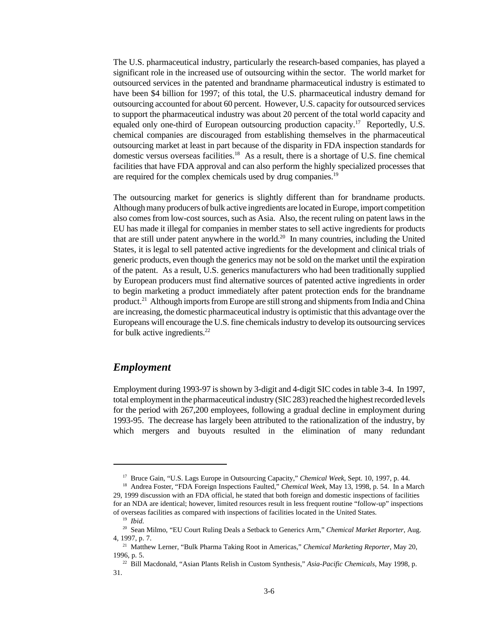The U.S. pharmaceutical industry, particularly the research-based companies, has played a significant role in the increased use of outsourcing within the sector. The world market for outsourced services in the patented and brandname pharmaceutical industry is estimated to have been \$4 billion for 1997; of this total, the U.S. pharmaceutical industry demand for outsourcing accounted for about 60 percent. However, U.S. capacity for outsourced services to support the pharmaceutical industry was about 20 percent of the total world capacity and equaled only one-third of European outsourcing production capacity.<sup>17</sup> Reportedly, U.S. chemical companies are discouraged from establishing themselves in the pharmaceutical outsourcing market at least in part because of the disparity in FDA inspection standards for domestic versus overseas facilities.<sup>18</sup> As a result, there is a shortage of U.S. fine chemical facilities that have FDA approval and can also perform the highly specialized processes that are required for the complex chemicals used by drug companies.<sup>19</sup>

The outsourcing market for generics is slightly different than for brandname products. Although many producers of bulk active ingredients are located in Europe, import competition also comes from low-cost sources, such as Asia. Also, the recent ruling on patent laws in the EU has made it illegal for companies in member states to sell active ingredients for products that are still under patent anywhere in the world.<sup>20</sup> In many countries, including the United States, it is legal to sell patented active ingredients for the development and clinical trials of generic products, even though the generics may not be sold on the market until the expiration of the patent. As a result, U.S. generics manufacturers who had been traditionally supplied by European producers must find alternative sources of patented active ingredients in order to begin marketing a product immediately after patent protection ends for the brandname product.<sup>21</sup> Although imports from Europe are still strong and shipments from India and China are increasing, the domestic pharmaceutical industry is optimistic that this advantage over the Europeans will encourage the U.S. fine chemicals industry to develop its outsourcing services for bulk active ingredients. $^{22}$ 

### *Employment*

Employment during 1993-97 is shown by 3-digit and 4-digit SIC codes in table 3-4. In 1997, total employment in the pharmaceutical industry (SIC 283) reached the highest recorded levels for the period with 267,200 employees, following a gradual decline in employment during 1993-95. The decrease has largely been attributed to the rationalization of the industry, by which mergers and buyouts resulted in the elimination of many redundant

<sup>17</sup> Bruce Gain, "U.S. Lags Europe in Outsourcing Capacity," *Chemical Week*, Sept. 10, 1997, p. 44.

<sup>18</sup> Andrea Foster, "FDA Foreign Inspections Faulted," *Chemical Week*, May 13, 1998, p. 54. In a March 29, 1999 discussion with an FDA official, he stated that both foreign and domestic inspections of facilities for an NDA are identical; however, limited resources result in less frequent routine "follow-up" inspections of overseas facilities as compared with inspections of facilities located in the United States.

<sup>19</sup> *Ibid.*

<sup>20</sup> Sean Milmo, "EU Court Ruling Deals a Setback to Generics Arm," *Chemical Market Reporter*, Aug. 4, 1997, p. 7.

<sup>21</sup> Matthew Lerner, "Bulk Pharma Taking Root in Americas," *Chemical Marketing Reporter*, May 20, 1996, p. 5.

<sup>22</sup> Bill Macdonald, "Asian Plants Relish in Custom Synthesis," *Asia-Pacific Chemicals*, May 1998, p. 31.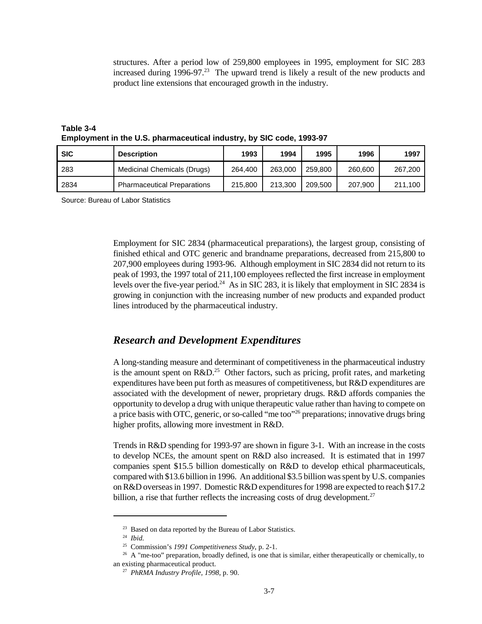structures. After a period low of 259,800 employees in 1995, employment for SIC 283 increased during  $1996-97<sup>23</sup>$  The upward trend is likely a result of the new products and product line extensions that encouraged growth in the industry.

**Table 3-4 Employment in the U.S. pharmaceutical industry, by SIC code, 1993-97**

| <b>SIC</b> | <b>Description</b>                 | 1993    | 1994    | 1995    | 1996    | 1997    |
|------------|------------------------------------|---------|---------|---------|---------|---------|
| 283        | Medicinal Chemicals (Drugs)        | 264.400 | 263,000 | 259,800 | 260,600 | 267,200 |
| 2834       | <b>Pharmaceutical Preparations</b> | 215,800 | 213.300 | 209.500 | 207,900 | 211.100 |

Source: Bureau of Labor Statistics

Employment for SIC 2834 (pharmaceutical preparations), the largest group, consisting of finished ethical and OTC generic and brandname preparations, decreased from 215,800 to 207,900 employees during 1993-96. Although employment in SIC 2834 did not return to its peak of 1993, the 1997 total of 211,100 employees reflected the first increase in employment levels over the five-year period.<sup>24</sup> As in SIC 283, it is likely that employment in SIC 2834 is growing in conjunction with the increasing number of new products and expanded product lines introduced by the pharmaceutical industry.

#### *Research and Development Expenditures*

A long-standing measure and determinant of competitiveness in the pharmaceutical industry is the amount spent on  $R&D<sup>25</sup>$  Other factors, such as pricing, profit rates, and marketing expenditures have been put forth as measures of competitiveness, but R&D expenditures are associated with the development of newer, proprietary drugs. R&D affords companies the opportunity to develop a drug with unique therapeutic value rather than having to compete on a price basis with OTC, generic, or so-called "me too"<sup>26</sup> preparations; innovative drugs bring higher profits, allowing more investment in R&D.

Trends in R&D spending for 1993-97 are shown in figure 3-1. With an increase in the costs to develop NCEs, the amount spent on R&D also increased. It is estimated that in 1997 companies spent \$15.5 billion domestically on R&D to develop ethical pharmaceuticals, compared with \$13.6 billion in 1996. An additional \$3.5 billion was spent by U.S. companies on R&D overseas in 1997. Domestic R&D expenditures for 1998 are expected to reach \$17.2 billion, a rise that further reflects the increasing costs of drug development.<sup>27</sup>

<sup>&</sup>lt;sup>23</sup> Based on data reported by the Bureau of Labor Statistics.

<sup>24</sup> *Ibid.*

<sup>25</sup> Commission's *1991 Competitiveness Study*, p. 2-1.

<sup>&</sup>lt;sup>26</sup> A "me-too" preparation, broadly defined, is one that is similar, either therapeutically or chemically, to an existing pharmaceutical product.

<sup>27</sup> *PhRMA Industry Profile, 1998*, p. 90.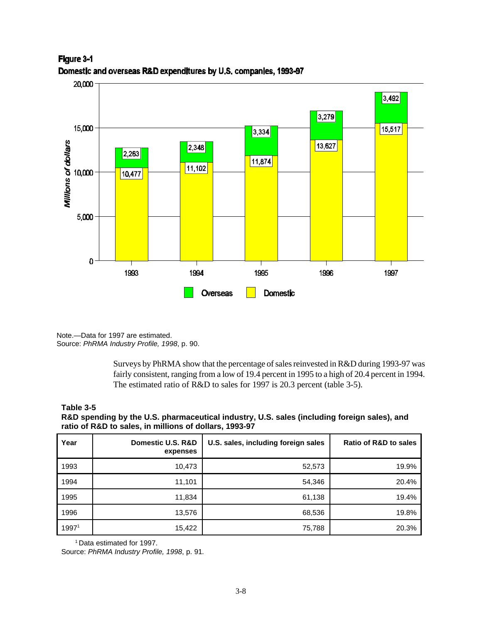

Figure 3-1 Domestic and overseas R&D expenditures by U.S. companies, 1993-97

Note.—Data for 1997 are estimated. Source: *PhRMA Industry Profile, 1998*, p. 90.

> Surveys by PhRMA show that the percentage of sales reinvested in R&D during 1993-97 was fairly consistent, ranging from a low of 19.4 percent in 1995 to a high of 20.4 percent in 1994. The estimated ratio of R&D to sales for 1997 is 20.3 percent (table 3-5).

#### **Table 3-5**

**R&D spending by the U.S. pharmaceutical industry, U.S. sales (including foreign sales), and ratio of R&D to sales, in millions of dollars, 1993-97**

| Year  | Domestic U.S. R&D<br>expenses | U.S. sales, including foreign sales | <b>Ratio of R&amp;D to sales</b> |
|-------|-------------------------------|-------------------------------------|----------------------------------|
| 1993  | 10,473                        | 52,573                              | 19.9%                            |
| 1994  | 11,101                        | 54,346                              | 20.4%                            |
| 1995  | 11,834                        | 61,138                              | 19.4%                            |
| 1996  | 13,576                        | 68,536                              | 19.8%                            |
| 19971 | 15,422                        | 75,788                              | 20.3%                            |

<sup>1</sup> Data estimated for 1997.

Source: *PhRMA Industry Profile, 1998*, p. 91*.*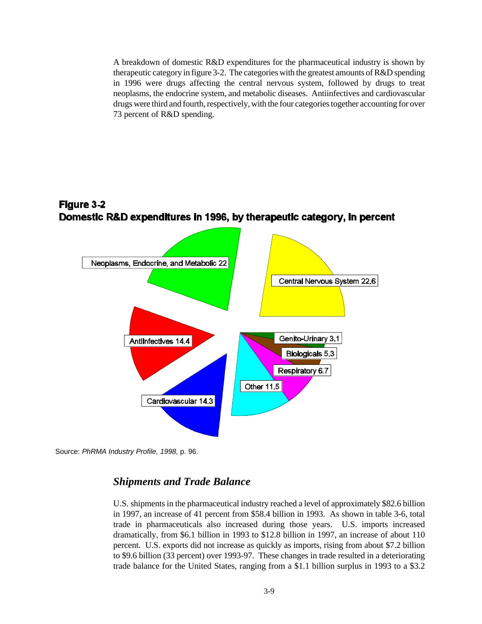A breakdown of domestic R&D expenditures for the pharmaceutical industry is shown by therapeutic category in figure 3-2. The categories with the greatest amounts of R&D spending in 1996 were drugs affecting the central nervous system, followed by drugs to treat neoplasms, the endocrine system, and metabolic diseases. Antiinfectives and cardiovascular drugs were third and fourth, respectively, with the four categories together accounting for over 73 percent of R&D spending.





Source: *PhRMA Industry Profile, 1998*, p. 96.

### *Shipments and Trade Balance*

U.S. shipments in the pharmaceutical industry reached a level of approximately \$82.6 billion in 1997, an increase of 41 percent from \$58.4 billion in 1993. As shown in table 3-6, total trade in pharmaceuticals also increased during those years. U.S. imports increased dramatically, from \$6.1 billion in 1993 to \$12.8 billion in 1997, an increase of about 110 percent. U.S. exports did not increase as quickly as imports, rising from about \$7.2 billion to \$9.6 billion (33 percent) over 1993-97. These changes in trade resulted in a deteriorating trade balance for the United States, ranging from a \$1.1 billion surplus in 1993 to a \$3.2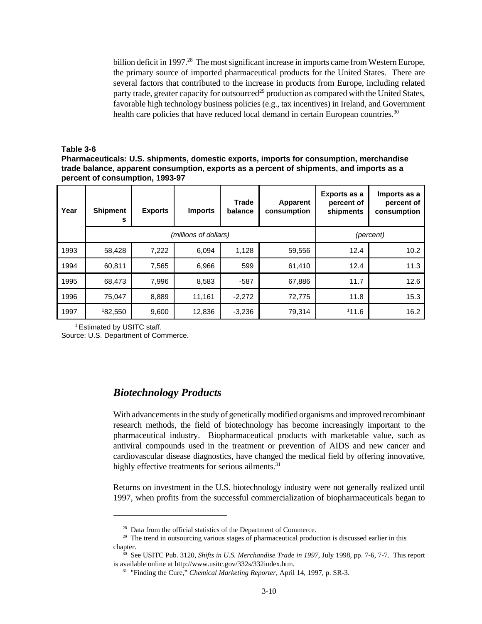billion deficit in 1997.<sup>28</sup> The most significant increase in imports came from Western Europe, the primary source of imported pharmaceutical products for the United States. There are several factors that contributed to the increase in products from Europe, including related party trade, greater capacity for outsourced<sup>29</sup> production as compared with the United States, favorable high technology business policies (e.g., tax incentives) in Ireland, and Government health care policies that have reduced local demand in certain European countries.<sup>30</sup>

#### **Table 3-6**

**Pharmaceuticals: U.S. shipments, domestic exports, imports for consumption, merchandise trade balance, apparent consumption, exports as a percent of shipments, and imports as a percent of consumption, 1993-97**

| Year | <b>Shipment</b><br>s | <b>Exports</b> | <b>Imports</b>        | Trade<br>balance | Apparent<br>consumption | Exports as a<br>percent of<br>shipments | Imports as a<br>percent of<br>consumption |
|------|----------------------|----------------|-----------------------|------------------|-------------------------|-----------------------------------------|-------------------------------------------|
|      |                      |                | (millions of dollars) |                  |                         |                                         | (percent)                                 |
| 1993 | 58,428               | 7,222          | 6,094                 | 1,128            | 59,556                  | 12.4                                    | 10.2                                      |
| 1994 | 60,811               | 7,565          | 6,966                 | 599              | 61,410                  | 12.4                                    | 11.3                                      |
| 1995 | 68,473               | 7,996          | 8,583                 | $-587$           | 67,886                  | 11.7                                    | 12.6                                      |
| 1996 | 75,047               | 8,889          | 11,161                | $-2,272$         | 72,775                  | 11.8                                    | 15.3                                      |
| 1997 | 182,550              | 9,600          | 12,836                | $-3,236$         | 79,314                  | 111.6                                   | 16.2                                      |

<sup>1</sup>Estimated by USITC staff. Source: U.S. Department of Commerce.

### *Biotechnology Products*

With advancements in the study of genetically modified organisms and improved recombinant research methods, the field of biotechnology has become increasingly important to the pharmaceutical industry. Biopharmaceutical products with marketable value, such as antiviral compounds used in the treatment or prevention of AIDS and new cancer and cardiovascular disease diagnostics, have changed the medical field by offering innovative, highly effective treatments for serious ailments.<sup>31</sup>

Returns on investment in the U.S. biotechnology industry were not generally realized until 1997, when profits from the successful commercialization of biopharmaceuticals began to

<sup>&</sup>lt;sup>28</sup> Data from the official statistics of the Department of Commerce.

<sup>&</sup>lt;sup>29</sup> The trend in outsourcing various stages of pharmaceutical production is discussed earlier in this chapter.

<sup>&</sup>lt;sup>30</sup> See USITC Pub. 3120, *Shifts in U.S. Merchandise Trade in 1997*, July 1998, pp. 7-6, 7-7. This report is available online at http://www.usitc.gov/332s/332index.htm.

<sup>&</sup>lt;sup>31</sup> "Finding the Cure," *Chemical Marketing Reporter*, April 14, 1997, p. SR-3.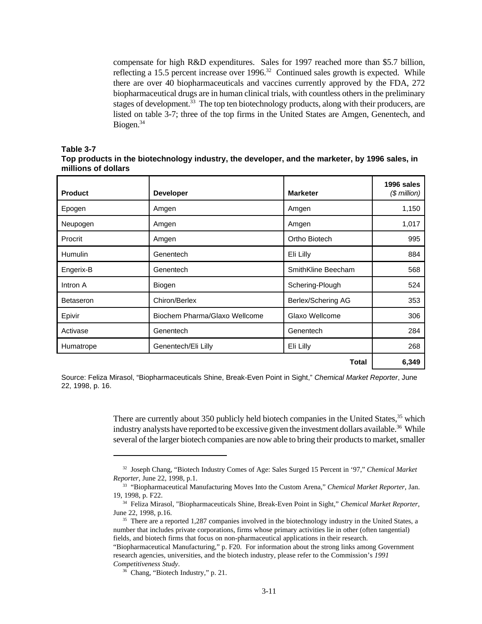compensate for high R&D expenditures. Sales for 1997 reached more than \$5.7 billion, reflecting a 15.5 percent increase over  $1996$ <sup>32</sup> Continued sales growth is expected. While there are over 40 biopharmaceuticals and vaccines currently approved by the FDA, 272 biopharmaceutical drugs are in human clinical trials, with countless others in the preliminary stages of development.<sup>33</sup> The top ten biotechnology products, along with their producers, are listed on table 3-7; three of the top firms in the United States are Amgen, Genentech, and Biogen.<sup>34</sup>

#### **Table 3-7**

| Top products in the biotechnology industry, the developer, and the marketer, by 1996 sales, in |  |  |
|------------------------------------------------------------------------------------------------|--|--|
| millions of dollars                                                                            |  |  |

| <b>Product</b>   | <b>Developer</b>              | <b>Marketer</b>    | 1996 sales<br>$$$ million) |
|------------------|-------------------------------|--------------------|----------------------------|
| Epogen           | Amgen                         | Amgen              | 1,150                      |
| Neupogen         | Amgen                         | Amgen              | 1,017                      |
| Procrit          | Amgen                         | Ortho Biotech      | 995                        |
| <b>Humulin</b>   | Genentech                     | Eli Lilly          | 884                        |
| Engerix-B        | Genentech                     | SmithKline Beecham | 568                        |
| Intron A         | Biogen                        | Schering-Plough    | 524                        |
| <b>Betaseron</b> | Chiron/Berlex                 | Berlex/Schering AG | 353                        |
| Epivir           | Biochem Pharma/Glaxo Wellcome | Glaxo Wellcome     | 306                        |
| Activase         | Genentech                     | Genentech          | 284                        |
| Humatrope        | Genentech/Eli Lilly           | Eli Lilly          | 268                        |
|                  |                               | <b>Total</b>       | 6,349                      |

Source: Feliza Mirasol, "Biopharmaceuticals Shine, Break-Even Point in Sight," *Chemical Market Reporter*, June 22, 1998, p. 16.

> There are currently about 350 publicly held biotech companies in the United States,<sup>35</sup> which industry analysts have reported to be excessive given the investment dollars available.<sup>36</sup> While several of the larger biotech companies are now able to bring their products to market, smaller

<sup>32</sup> Joseph Chang, "Biotech Industry Comes of Age: Sales Surged 15 Percent in '97," *Chemical Market Reporter*, June 22, 1998, p.1.

<sup>33</sup> "Biopharmaceutical Manufacturing Moves Into the Custom Arena," *Chemical Market Reporter*, Jan. 19, 1998, p. F22.

<sup>34</sup> Feliza Mirasol, "Biopharmaceuticals Shine, Break-Even Point in Sight," *Chemical Market Reporter*, June 22, 1998, p.16.

<sup>&</sup>lt;sup>35</sup> There are a reported 1,287 companies involved in the biotechnology industry in the United States, a number that includes private corporations, firms whose primary activities lie in other (often tangential) fields, and biotech firms that focus on non-pharmaceutical applications in their research.

<sup>&</sup>quot;Biopharmaceutical Manufacturing," p. F20. For information about the strong links among Government research agencies, universities, and the biotech industry, please refer to the Commission's *1991 Competitiveness Study*.

<sup>36</sup> Chang, "Biotech Industry," p. 21.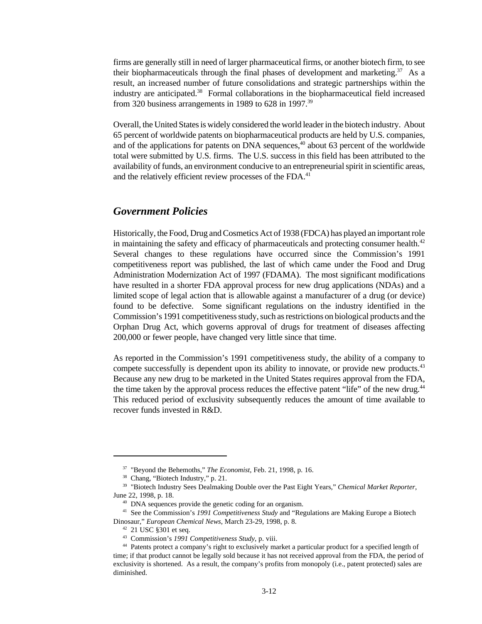firms are generally still in need of larger pharmaceutical firms, or another biotech firm, to see their biopharmaceuticals through the final phases of development and marketing.<sup>37</sup> As a result, an increased number of future consolidations and strategic partnerships within the industry are anticipated.<sup>38</sup> Formal collaborations in the biopharmaceutical field increased from 320 business arrangements in 1989 to 628 in 1997.<sup>39</sup>

Overall, the United States is widely considered the world leader in the biotech industry. About 65 percent of worldwide patents on biopharmaceutical products are held by U.S. companies, and of the applications for patents on DNA sequences, $40$  about 63 percent of the worldwide total were submitted by U.S. firms. The U.S. success in this field has been attributed to the availability of funds, an environment conducive to an entrepreneurial spirit in scientific areas, and the relatively efficient review processes of the FDA.<sup>41</sup>

### *Government Policies*

Historically, the Food, Drug and Cosmetics Act of 1938 (FDCA) has played an important role in maintaining the safety and efficacy of pharmaceuticals and protecting consumer health. $42$ Several changes to these regulations have occurred since the Commission's 1991 competitiveness report was published, the last of which came under the Food and Drug Administration Modernization Act of 1997 (FDAMA). The most significant modifications have resulted in a shorter FDA approval process for new drug applications (NDAs) and a limited scope of legal action that is allowable against a manufacturer of a drug (or device) found to be defective. Some significant regulations on the industry identified in the Commission's 1991 competitiveness study, such as restrictions on biological products and the Orphan Drug Act, which governs approval of drugs for treatment of diseases affecting 200,000 or fewer people, have changed very little since that time.

As reported in the Commission's 1991 competitiveness study, the ability of a company to compete successfully is dependent upon its ability to innovate, or provide new products.<sup>43</sup> Because any new drug to be marketed in the United States requires approval from the FDA, the time taken by the approval process reduces the effective patent "life" of the new drug.<sup>44</sup> This reduced period of exclusivity subsequently reduces the amount of time available to recover funds invested in R&D.

<sup>37</sup> "Beyond the Behemoths," *The Economist*, Feb. 21, 1998, p. 16.

<sup>38</sup> Chang, "Biotech Industry," p. 21.

<sup>39</sup> "Biotech Industry Sees Dealmaking Double over the Past Eight Years," *Chemical Market Reporter*, June 22, 1998, p. 18.

<sup>40</sup> DNA sequences provide the genetic coding for an organism.

<sup>41</sup> See the Commission's *1991 Competitiveness Study* and "Regulations are Making Europe a Biotech Dinosaur," *European Chemical News*, March 23-29, 1998, p. 8.

<sup>42</sup> 21 USC §301 et seq.

<sup>43</sup> Commission's *1991 Competitiveness Study*, p. viii.

<sup>44</sup> Patents protect a company's right to exclusively market a particular product for a specified length of time; if that product cannot be legally sold because it has not received approval from the FDA, the period of exclusivity is shortened. As a result, the company's profits from monopoly (i.e., patent protected) sales are diminished.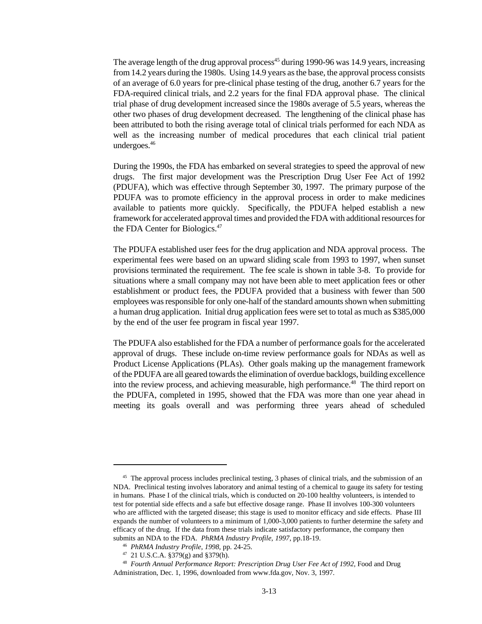The average length of the drug approval process<sup>45</sup> during 1990-96 was 14.9 years, increasing from 14.2 years during the 1980s. Using 14.9 years as the base, the approval process consists of an average of 6.0 years for pre-clinical phase testing of the drug, another 6.7 years for the FDA-required clinical trials, and 2.2 years for the final FDA approval phase. The clinical trial phase of drug development increased since the 1980s average of 5.5 years, whereas the other two phases of drug development decreased. The lengthening of the clinical phase has been attributed to both the rising average total of clinical trials performed for each NDA as well as the increasing number of medical procedures that each clinical trial patient undergoes.<sup>46</sup>

During the 1990s, the FDA has embarked on several strategies to speed the approval of new drugs. The first major development was the Prescription Drug User Fee Act of 1992 (PDUFA), which was effective through September 30, 1997. The primary purpose of the PDUFA was to promote efficiency in the approval process in order to make medicines available to patients more quickly. Specifically, the PDUFA helped establish a new framework for accelerated approval times and provided the FDA with additional resources for the FDA Center for Biologics.<sup>47</sup>

The PDUFA established user fees for the drug application and NDA approval process. The experimental fees were based on an upward sliding scale from 1993 to 1997, when sunset provisions terminated the requirement. The fee scale is shown in table 3-8. To provide for situations where a small company may not have been able to meet application fees or other establishment or product fees, the PDUFA provided that a business with fewer than 500 employees was responsible for only one-half of the standard amounts shown when submitting a human drug application. Initial drug application fees were set to total as much as \$385,000 by the end of the user fee program in fiscal year 1997.

The PDUFA also established for the FDA a number of performance goals for the accelerated approval of drugs. These include on-time review performance goals for NDAs as well as Product License Applications (PLAs). Other goals making up the management framework of the PDUFA are all geared towards the elimination of overdue backlogs, building excellence into the review process, and achieving measurable, high performance.<sup>48</sup> The third report on the PDUFA, completed in 1995, showed that the FDA was more than one year ahead in meeting its goals overall and was performing three years ahead of scheduled

<sup>&</sup>lt;sup>45</sup> The approval process includes preclinical testing, 3 phases of clinical trials, and the submission of an NDA. Preclinical testing involves laboratory and animal testing of a chemical to gauge its safety for testing in humans. Phase I of the clinical trials, which is conducted on 20-100 healthy volunteers, is intended to test for potential side effects and a safe but effective dosage range. Phase II involves 100-300 volunteers who are afflicted with the targeted disease; this stage is used to monitor efficacy and side effects. Phase III expands the number of volunteers to a minimum of 1,000-3,000 patients to further determine the safety and efficacy of the drug. If the data from these trials indicate satisfactory performance, the company then submits an NDA to the FDA. *PhRMA Industry Profile*, *1997*, pp.18-19.

<sup>46</sup> *PhRMA Industry Profile, 1998,* pp. 24-25.

<sup>47</sup> 21 U.S.C.A. §379(g) and §379(h).

<sup>48</sup> *Fourth Annual Performance Report: Prescription Drug User Fee Act of 1992,* Food and Drug Administration, Dec. 1, 1996, downloaded from www.fda.gov, Nov. 3, 1997.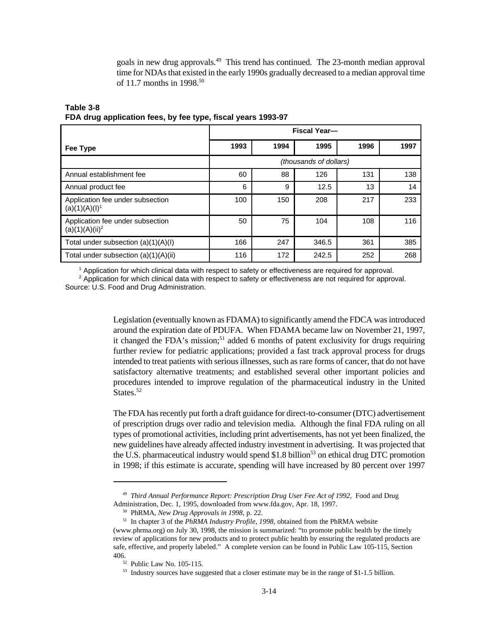goals in new drug approvals.<sup>49</sup> This trend has continued. The 23-month median approval time for NDAs that existed in the early 1990s gradually decreased to a median approval time of 11.7 months in 1998.<sup>50</sup>

|                                                       | <b>Fiscal Year-</b> |      |                        |      |      |  |
|-------------------------------------------------------|---------------------|------|------------------------|------|------|--|
| Fee Type                                              | 1993                | 1994 | 1995                   | 1996 | 1997 |  |
|                                                       |                     |      | (thousands of dollars) |      |      |  |
| Annual establishment fee                              | 60                  | 88   | 126                    | 131  | 138  |  |
| Annual product fee                                    | 6                   | 9    | 12.5                   | 13   | 14   |  |
| Application fee under subsection<br>$(a)(1)(A)(I)^1$  | 100                 | 150  | 208                    | 217  | 233  |  |
| Application fee under subsection<br>$(a)(1)(A)(ii)^2$ | 50                  | 75   | 104                    | 108  | 116  |  |
| Total under subsection (a)(1)(A)(I)                   | 166                 | 247  | 346.5                  | 361  | 385  |  |
| Total under subsection $(a)(1)(A)(ii)$                | 116                 | 172  | 242.5                  | 252  | 268  |  |

#### **Table 3-8 FDA drug application fees, by fee type, fiscal years 1993-97**

1 Application for which clinical data with respect to safety or effectiveness are required for approval.

<sup>2</sup> Application for which clinical data with respect to safety or effectiveness are not required for approval. Source: U.S. Food and Drug Administration.

> Legislation (eventually known as FDAMA) to significantly amend the FDCA was introduced around the expiration date of PDUFA. When FDAMA became law on November 21, 1997, it changed the FDA's mission;<sup>51</sup> added 6 months of patent exclusivity for drugs requiring further review for pediatric applications; provided a fast track approval process for drugs intended to treat patients with serious illnesses, such as rare forms of cancer, that do not have satisfactory alternative treatments; and established several other important policies and procedures intended to improve regulation of the pharmaceutical industry in the United States<sup>52</sup>

> The FDA has recently put forth a draft guidance for direct-to-consumer (DTC) advertisement of prescription drugs over radio and television media. Although the final FDA ruling on all types of promotional activities, including print advertisements, has not yet been finalized, the new guidelines have already affected industry investment in advertising. It was projected that the U.S. pharmaceutical industry would spend \$1.8 billion<sup>53</sup> on ethical drug DTC promotion in 1998; if this estimate is accurate, spending will have increased by 80 percent over 1997

<sup>49</sup> *Third Annual Performance Report: Prescription Drug User Fee Act of 1992*, Food and Drug Administration, Dec. 1, 1995, downloaded from www.fda.gov, Apr. 18, 1997.

<sup>50</sup> PhRMA, *New Drug Approvals in 1998*, p. 22.

<sup>51</sup> In chapter 3 of the *PhRMA Industry Profile, 1998,* obtained from the PhRMA website

<sup>(</sup>www.phrma.org) on July 30, 1998, the mission is summarized: "to promote public health by the timely review of applications for new products and to protect public health by ensuring the regulated products are safe, effective, and properly labeled." A complete version can be found in Public Law 105-115, Section 406.

<sup>52</sup> Public Law No. 105-115.

<sup>&</sup>lt;sup>53</sup> Industry sources have suggested that a closer estimate may be in the range of \$1-1.5 billion.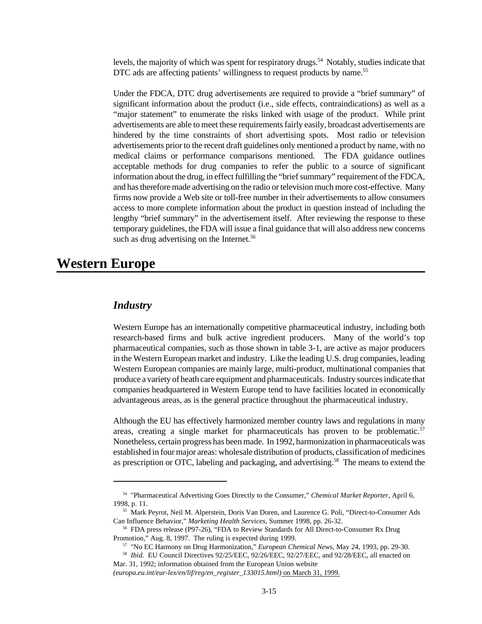levels, the majority of which was spent for respiratory drugs.<sup>54</sup> Notably, studies indicate that DTC ads are affecting patients' willingness to request products by name.<sup>55</sup>

Under the FDCA, DTC drug advertisements are required to provide a "brief summary" of significant information about the product (i.e., side effects, contraindications) as well as a "major statement" to enumerate the risks linked with usage of the product. While print advertisements are able to meet these requirements fairly easily, broadcast advertisements are hindered by the time constraints of short advertising spots. Most radio or television advertisements prior to the recent draft guidelines only mentioned a product by name, with no medical claims or performance comparisons mentioned. The FDA guidance outlines acceptable methods for drug companies to refer the public to a source of significant information about the drug, in effect fulfilling the "brief summary" requirement of the FDCA, and has therefore made advertising on the radio or television much more cost-effective. Many firms now provide a Web site or toll-free number in their advertisements to allow consumers access to more complete information about the product in question instead of including the lengthy "brief summary" in the advertisement itself. After reviewing the response to these temporary guidelines, the FDA will issue a final guidance that will also address new concerns such as drug advertising on the Internet.<sup>56</sup>

## **Western Europe**

#### *Industry*

Western Europe has an internationally competitive pharmaceutical industry, including both research-based firms and bulk active ingredient producers. Many of the world's top pharmaceutical companies, such as those shown in table 3-1, are active as major producers in the Western European market and industry. Like the leading U.S. drug companies, leading Western European companies are mainly large, multi-product, multinational companies that produce a variety of heath care equipment and pharmaceuticals. Industry sources indicate that companies headquartered in Western Europe tend to have facilities located in economically advantageous areas, as is the general practice throughout the pharmaceutical industry.

Although the EU has effectively harmonized member country laws and regulations in many areas, creating a single market for pharmaceuticals has proven to be problematic.<sup>57</sup> Nonetheless, certain progress has been made. In 1992, harmonization in pharmaceuticals was established in four major areas: wholesale distribution of products, classification of medicines as prescription or OTC, labeling and packaging, and advertising.58 The means to extend the

58 *Ibid.* EU Council Directives 92/25/EEC, 92/26/EEC, 92/27/EEC, and 92/28/EEC, all enacted on Mar. 31, 1992; information obtained from the European Union website

*(europa.eu.int/eur-lex/en/lif/reg/en\_register\_133015.html)* on March 31, 1999.

<sup>54</sup> "Pharmaceutical Advertising Goes Directly to the Consumer," *Chemical Market Reporter*, April 6, 1998, p. 11.

<sup>55</sup> Mark Peyrot, Neil M. Alperstein, Doris Van Doren, and Laurence G. Poli, "Direct-to-Consumer Ads Can Influence Behavior," *Marketing Health Services*, Summer 1998, pp. 26-32.

<sup>56</sup> FDA press release (P97-26), "FDA to Review Standards for All Direct-to-Consumer Rx Drug Promotion," Aug. 8, 1997. The ruling is expected during 1999.

<sup>57</sup> "No EC Harmony on Drug Harmonization," *European Chemical News*, May 24, 1993, pp. 29-30.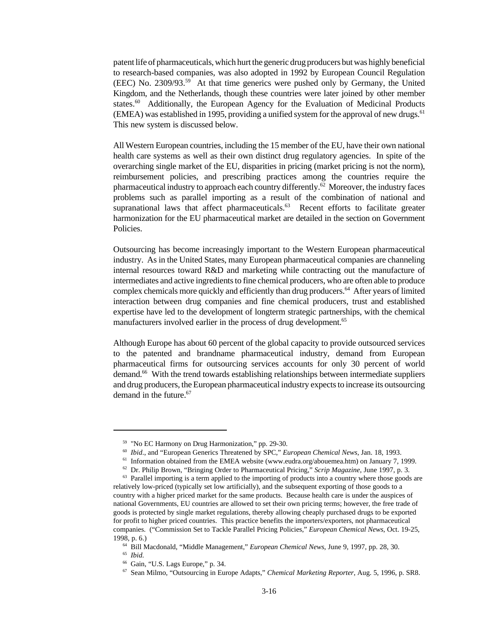patent life of pharmaceuticals, which hurt the generic drug producers but was highly beneficial to research-based companies, was also adopted in 1992 by European Council Regulation (EEC) No. 2309/93.<sup>59</sup> At that time generics were pushed only by Germany, the United Kingdom, and the Netherlands, though these countries were later joined by other member states.<sup>60</sup> Additionally, the European Agency for the Evaluation of Medicinal Products (EMEA) was established in 1995, providing a unified system for the approval of new drugs.<sup>61</sup> This new system is discussed below.

All Western European countries, including the 15 member of the EU, have their own national health care systems as well as their own distinct drug regulatory agencies. In spite of the overarching single market of the EU, disparities in pricing (market pricing is not the norm), reimbursement policies, and prescribing practices among the countries require the pharmaceutical industry to approach each country differently.<sup>62</sup> Moreover, the industry faces problems such as parallel importing as a result of the combination of national and supranational laws that affect pharmaceuticals.<sup>63</sup> Recent efforts to facilitate greater harmonization for the EU pharmaceutical market are detailed in the section on Government Policies.

Outsourcing has become increasingly important to the Western European pharmaceutical industry. As in the United States, many European pharmaceutical companies are channeling internal resources toward R&D and marketing while contracting out the manufacture of intermediates and active ingredients to fine chemical producers, who are often able to produce complex chemicals more quickly and efficiently than drug producers.<sup>64</sup> After years of limited interaction between drug companies and fine chemical producers, trust and established expertise have led to the development of longterm strategic partnerships, with the chemical manufacturers involved earlier in the process of drug development.<sup>65</sup>

Although Europe has about 60 percent of the global capacity to provide outsourced services to the patented and brandname pharmaceutical industry, demand from European pharmaceutical firms for outsourcing services accounts for only 30 percent of world demand.<sup>66</sup> With the trend towards establishing relationships between intermediate suppliers and drug producers, the European pharmaceutical industry expects to increase its outsourcing demand in the future.<sup>67</sup>

65 *Ibid.*

<sup>59</sup> "No EC Harmony on Drug Harmonization," pp. 29-30.

<sup>60</sup> *Ibid*., and "European Generics Threatened by SPC," *European Chemical News*, Jan. 18, 1993.

<sup>&</sup>lt;sup>61</sup> Information obtained from the EMEA website (www.eudra.org/abouemea.htm) on January 7, 1999.

<sup>62</sup> Dr. Philip Brown, "Bringing Order to Pharmaceutical Pricing," *Scrip Magazine*, June 1997, p. 3.

 $63$  Parallel importing is a term applied to the importing of products into a country where those goods are relatively low-priced (typically set low artificially), and the subsequent exporting of those goods to a country with a higher priced market for the same products. Because health care is under the auspices of national Governments, EU countries are allowed to set their own pricing terms; however, the free trade of goods is protected by single market regulations, thereby allowing cheaply purchased drugs to be exported for profit to higher priced countries. This practice benefits the importers/exporters, not pharmaceutical companies. ("Commission Set to Tackle Parallel Pricing Policies," *European Chemical News*, Oct. 19-25, 1998, p. 6.)

<sup>64</sup> Bill Macdonald, "Middle Management," *European Chemical News*, June 9, 1997, pp. 28, 30.

<sup>66</sup> Gain, "U.S. Lags Europe," p. 34.

<sup>67</sup> Sean Milmo, "Outsourcing in Europe Adapts," *Chemical Marketing Reporter*, Aug. 5, 1996, p. SR8.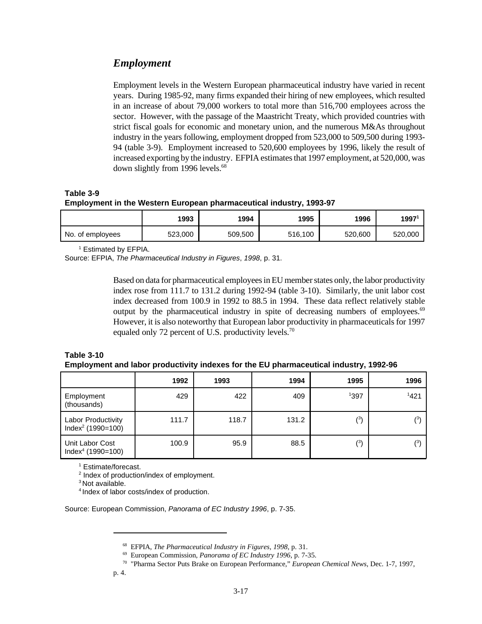### *Employment*

Employment levels in the Western European pharmaceutical industry have varied in recent years. During 1985-92, many firms expanded their hiring of new employees, which resulted in an increase of about 79,000 workers to total more than 516,700 employees across the sector. However, with the passage of the Maastricht Treaty, which provided countries with strict fiscal goals for economic and monetary union, and the numerous M&As throughout industry in the years following, employment dropped from 523,000 to 509,500 during 1993- 94 (table 3-9). Employment increased to 520,600 employees by 1996, likely the result of increased exporting by the industry. EFPIA estimates that 1997 employment, at 520,000, was down slightly from 1996 levels.<sup>68</sup>

**Table 3-9 Employment in the Western European pharmaceutical industry, 1993-97**

|                  | 1993    | 1994    | 1995    | 1996    | 1997    |
|------------------|---------|---------|---------|---------|---------|
| No. of employees | 523,000 | 509,500 | 516,100 | 520,600 | 520,000 |

1 Estimated by EFPIA.

Source: EFPIA, *The Pharmaceutical Industry in Figures*, *1998*, p. 31.

Based on data for pharmaceutical employees in EU member states only, the labor productivity index rose from 111.7 to 131.2 during 1992-94 (table 3-10). Similarly, the unit labor cost index decreased from 100.9 in 1992 to 88.5 in 1994. These data reflect relatively stable output by the pharmaceutical industry in spite of decreasing numbers of employees.<sup>69</sup> However, it is also noteworthy that European labor productivity in pharmaceuticals for 1997 equaled only 72 percent of U.S. productivity levels.<sup>70</sup>

| <b>Table 3-10</b>                                                                     |  |
|---------------------------------------------------------------------------------------|--|
| Employment and labor productivity indexes for the EU pharmaceutical industry, 1992-96 |  |

|                                                  | 1992  | 1993  | 1994  | 1995 | 1996 |
|--------------------------------------------------|-------|-------|-------|------|------|
| Employment<br>(thousands)                        | 429   | 422   | 409   | 1397 | 1421 |
| <b>Labor Productivity</b><br>$Index2 (1990=100)$ | 111.7 | 118.7 | 131.2 | (3)  | (3)  |
| Unit Labor Cost<br>$Index4 (1990=100)$           | 100.9 | 95.9  | 88.5  | (3)  | (3)  |

1 Estimate/forecast.

<sup>2</sup> Index of production/index of employment.

<sup>3</sup> Not available.

<sup>4</sup> Index of labor costs/index of production.

Source: European Commission, *Panorama of EC Industry 1996*, p. 7-35.

<sup>68</sup> EFPIA, *The Pharmaceutical Industry in Figures, 1998*, p. 31.

<sup>69</sup> European Commission, *Panorama of EC Industry 1996*, p. 7-35.

<sup>70</sup> "Pharma Sector Puts Brake on European Performance," *European Chemical News*, Dec. 1-7, 1997,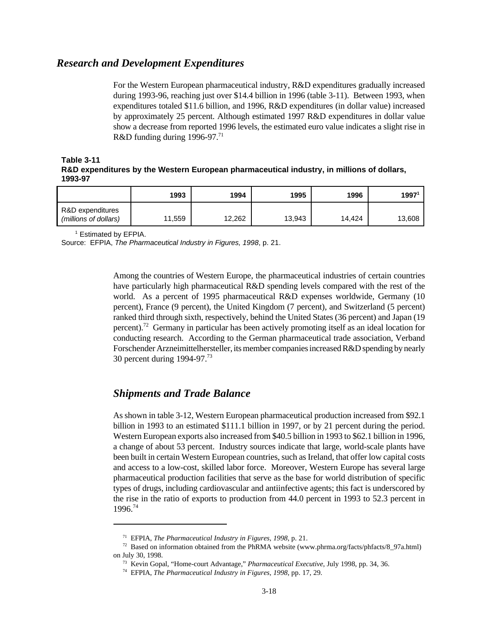### *Research and Development Expenditures*

For the Western European pharmaceutical industry, R&D expenditures gradually increased during 1993-96, reaching just over \$14.4 billion in 1996 (table 3-11). Between 1993, when expenditures totaled \$11.6 billion, and 1996, R&D expenditures (in dollar value) increased by approximately 25 percent. Although estimated 1997 R&D expenditures in dollar value show a decrease from reported 1996 levels, the estimated euro value indicates a slight rise in R&D funding during 1996-97.<sup>71</sup>

**Table 3-11 R&D expenditures by the Western European pharmaceutical industry, in millions of dollars, 1993-97**

|                                           | 1993   | 1994   | 1995   | 1996   | 1997   |
|-------------------------------------------|--------|--------|--------|--------|--------|
| R&D expenditures<br>(millions of dollars) | 11,559 | 12,262 | 13,943 | 14,424 | 13,608 |

1 Estimated by EFPIA.

Source: EFPIA, *The Pharmaceutical Industry in Figures, 1998*, p. 21.

Among the countries of Western Europe, the pharmaceutical industries of certain countries have particularly high pharmaceutical R&D spending levels compared with the rest of the world. As a percent of 1995 pharmaceutical R&D expenses worldwide, Germany (10 percent), France (9 percent), the United Kingdom (7 percent), and Switzerland (5 percent) ranked third through sixth, respectively, behind the United States (36 percent) and Japan (19 percent).<sup>72</sup> Germany in particular has been actively promoting itself as an ideal location for conducting research. According to the German pharmaceutical trade association, Verband Forschender Arzneimittelhersteller, its member companies increased R&D spending by nearly 30 percent during 1994-97.<sup>73</sup>

### *Shipments and Trade Balance*

As shown in table 3-12, Western European pharmaceutical production increased from \$92.1 billion in 1993 to an estimated \$111.1 billion in 1997, or by 21 percent during the period. Western European exports also increased from \$40.5 billion in 1993 to \$62.1 billion in 1996, a change of about 53 percent. Industry sources indicate that large, world-scale plants have been built in certain Western European countries, such as Ireland, that offer low capital costs and access to a low-cost, skilled labor force. Moreover, Western Europe has several large pharmaceutical production facilities that serve as the base for world distribution of specific types of drugs, including cardiovascular and antiinfective agents; this fact is underscored by the rise in the ratio of exports to production from 44.0 percent in 1993 to 52.3 percent in 1996.74

<sup>71</sup> EFPIA, *The Pharmaceutical Industry in Figures, 1998*, p. 21.

 $72$  Based on information obtained from the PhRMA website (www.phrma.org/facts/phfacts/8\_97a.html) on July 30, 1998.

<sup>73</sup> Kevin Gopal, "Home-court Advantage," *Pharmaceutical Executive*, July 1998, pp. 34, 36.

<sup>74</sup> EFPIA, *The Pharmaceutical Industry in Figures, 1998*, pp. 17, 29.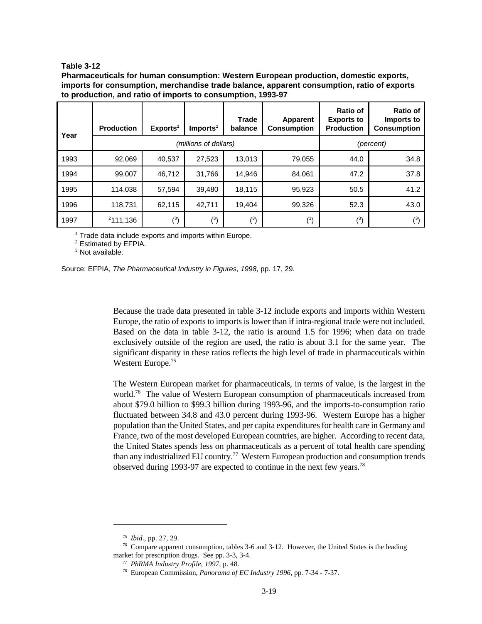#### **Table 3-12**

**Pharmaceuticals for human consumption: Western European production, domestic exports, imports for consumption, merchandise trade balance, apparent consumption, ratio of exports to production, and ratio of imports to consumption, 1993-97**

| Year | <b>Production</b> | Exports <sup>1</sup> | Imports <sup>1</sup>  | <b>Trade</b><br>balance | Apparent<br><b>Consumption</b> | Ratio of<br><b>Exports to</b><br><b>Production</b> | <b>Ratio of</b><br>Imports to<br><b>Consumption</b> |
|------|-------------------|----------------------|-----------------------|-------------------------|--------------------------------|----------------------------------------------------|-----------------------------------------------------|
|      |                   |                      | (millions of dollars) |                         |                                |                                                    | (percent)                                           |
| 1993 | 92,069            | 40,537               | 27,523                | 13,013                  | 79,055                         | 44.0                                               | 34.8                                                |
| 1994 | 99,007            | 46,712               | 31,766                | 14,946                  | 84,061                         | 47.2                                               | 37.8                                                |
| 1995 | 114,038           | 57,594               | 39,480                | 18,115                  | 95,923                         | 50.5                                               | 41.2                                                |
| 1996 | 118,731           | 62,115               | 42,711                | 19,404                  | 99,326                         | 52.3                                               | 43.0                                                |
| 1997 | 2111,136          | $(^{3})$             | $(^3)$                | $(^3)$                  | $(^3)$                         | $(^3)$                                             | (3)                                                 |

<sup>1</sup> Trade data include exports and imports within Europe.

<sup>2</sup> Estimated by EFPIA.

<sup>3</sup> Not available.



Because the trade data presented in table 3-12 include exports and imports within Western Europe, the ratio of exports to imports is lower than if intra-regional trade were not included. Based on the data in table 3-12, the ratio is around 1.5 for 1996; when data on trade exclusively outside of the region are used, the ratio is about 3.1 for the same year. The significant disparity in these ratios reflects the high level of trade in pharmaceuticals within Western Europe.<sup>75</sup>

The Western European market for pharmaceuticals, in terms of value, is the largest in the world.<sup>76</sup> The value of Western European consumption of pharmaceuticals increased from about \$79.0 billion to \$99.3 billion during 1993-96, and the imports-to-consumption ratio fluctuated between 34.8 and 43.0 percent during 1993-96. Western Europe has a higher population than the United States, and per capita expenditures for health care in Germany and France, two of the most developed European countries, are higher. According to recent data, the United States spends less on pharmaceuticals as a percent of total health care spending than any industrialized EU country.<sup>77</sup> Western European production and consumption trends observed during 1993-97 are expected to continue in the next few years.78

<sup>75</sup> *Ibid*., pp. 27, 29.

<sup>76</sup> Compare apparent consumption, tables 3-6 and 3-12. However, the United States is the leading market for prescription drugs. See pp. 3-3, 3-4.

<sup>77</sup> *PhRMA Industry Profile, 1997,* p. 48.

<sup>78</sup> European Commission, *Panorama of EC Industry 1996,* pp. 7-34 - 7-37.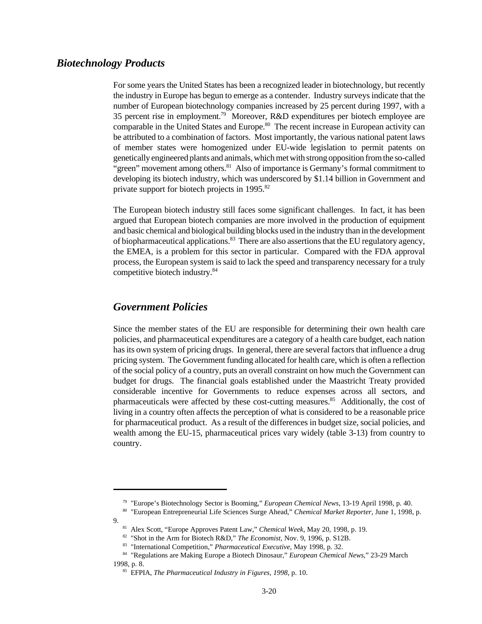### *Biotechnology Products*

For some years the United States has been a recognized leader in biotechnology, but recently the industry in Europe has begun to emerge as a contender. Industry surveys indicate that the number of European biotechnology companies increased by 25 percent during 1997, with a 35 percent rise in employment.<sup>79</sup> Moreover, R&D expenditures per biotech employee are comparable in the United States and Europe.<sup>80</sup> The recent increase in European activity can be attributed to a combination of factors. Most importantly, the various national patent laws of member states were homogenized under EU-wide legislation to permit patents on genetically engineered plants and animals, which met with strong opposition from the so-called "green" movement among others. $81$  Also of importance is Germany's formal commitment to developing its biotech industry, which was underscored by \$1.14 billion in Government and private support for biotech projects in 1995.<sup>82</sup>

The European biotech industry still faces some significant challenges. In fact, it has been argued that European biotech companies are more involved in the production of equipment and basic chemical and biological building blocks used in the industry than in the development of biopharmaceutical applications.<sup>83</sup> There are also assertions that the EU regulatory agency, the EMEA, is a problem for this sector in particular. Compared with the FDA approval process, the European system is said to lack the speed and transparency necessary for a truly competitive biotech industry.<sup>84</sup>

### *Government Policies*

Since the member states of the EU are responsible for determining their own health care policies, and pharmaceutical expenditures are a category of a health care budget, each nation has its own system of pricing drugs. In general, there are several factors that influence a drug pricing system. The Government funding allocated for health care, which is often a reflection of the social policy of a country, puts an overall constraint on how much the Government can budget for drugs. The financial goals established under the Maastricht Treaty provided considerable incentive for Governments to reduce expenses across all sectors, and pharmaceuticals were affected by these cost-cutting measures.<sup>85</sup> Additionally, the cost of living in a country often affects the perception of what is considered to be a reasonable price for pharmaceutical product. As a result of the differences in budget size, social policies, and wealth among the EU-15, pharmaceutical prices vary widely (table 3-13) from country to country.

<sup>79</sup> "Europe's Biotechnology Sector is Booming," *European Chemical News*, 13-19 April 1998, p. 40.

<sup>80</sup> "European Entrepreneurial Life Sciences Surge Ahead," *Chemical Market Reporter*, June 1, 1998, p.

<sup>9.</sup>

<sup>81</sup> Alex Scott, "Europe Approves Patent Law," *Chemical Week*, May 20, 1998, p. 19.

<sup>82</sup> "Shot in the Arm for Biotech R&D," *The Economist*, Nov. 9, 1996, p. S12B.

<sup>83</sup> "International Competition," *Pharmaceutical Executive*, May 1998, p. 32.

<sup>84</sup> "Regulations are Making Europe a Biotech Dinosaur," *European Chemical News*," 23-29 March 1998, p. 8.

<sup>85</sup> EFPIA, *The Pharmaceutical Industry in Figures, 1998*, p. 10.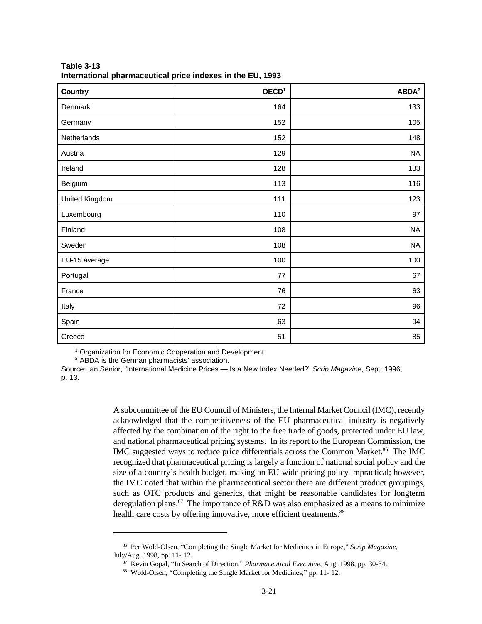| <b>Country</b> | OECD <sup>1</sup> | ABDA <sup>2</sup> |
|----------------|-------------------|-------------------|
| Denmark        | 164               | 133               |
| Germany        | 152               | 105               |
| Netherlands    | 152               | 148               |
| Austria        | 129               | <b>NA</b>         |
| Ireland        | 128               | 133               |
| Belgium        | 113               | 116               |
| United Kingdom | 111               | 123               |
| Luxembourg     | 110               | 97                |
| Finland        | 108               | <b>NA</b>         |
| Sweden         | 108               | <b>NA</b>         |
| EU-15 average  | 100               | 100               |
| Portugal       | 77                | 67                |
| France         | 76                | 63                |
| Italy          | 72                | 96                |
| Spain          | 63                | 94                |
| Greece         | 51                | 85                |

**Table 3-13 International pharmaceutical price indexes in the EU, 1993**

<sup>1</sup> Organization for Economic Cooperation and Development.

<sup>2</sup> ABDA is the German pharmacists' association.

Source: Ian Senior, "International Medicine Prices — Is a New Index Needed?" *Scrip Magazine*, Sept. 1996, p. 13.

> A subcommittee of the EU Council of Ministers, the Internal Market Council (IMC), recently acknowledged that the competitiveness of the EU pharmaceutical industry is negatively affected by the combination of the right to the free trade of goods, protected under EU law, and national pharmaceutical pricing systems. In its report to the European Commission, the IMC suggested ways to reduce price differentials across the Common Market.<sup>86</sup> The IMC recognized that pharmaceutical pricing is largely a function of national social policy and the size of a country's health budget, making an EU-wide pricing policy impractical; however, the IMC noted that within the pharmaceutical sector there are different product groupings, such as OTC products and generics, that might be reasonable candidates for longterm deregulation plans.<sup>87</sup> The importance of R&D was also emphasized as a means to minimize health care costs by offering innovative, more efficient treatments.<sup>88</sup>

<sup>86</sup> Per Wold-Olsen, "Completing the Single Market for Medicines in Europe," *Scrip Magazine*, July/Aug. 1998, pp. 11- 12.

<sup>87</sup> Kevin Gopal, "In Search of Direction," *Pharmaceutical Executive*, Aug. 1998, pp. 30-34.

<sup>88</sup> Wold-Olsen, "Completing the Single Market for Medicines," pp. 11- 12.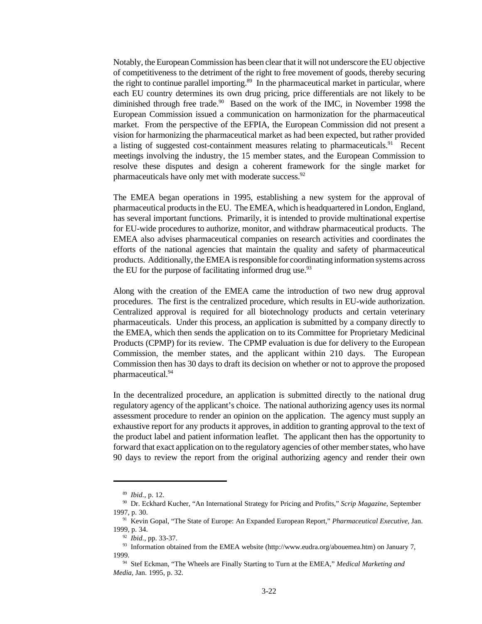Notably, the European Commission has been clear that it will not underscore the EU objective of competitiveness to the detriment of the right to free movement of goods, thereby securing the right to continue parallel importing.<sup>89</sup> In the pharmaceutical market in particular, where each EU country determines its own drug pricing, price differentials are not likely to be diminished through free trade.<sup>90</sup> Based on the work of the IMC, in November 1998 the European Commission issued a communication on harmonization for the pharmaceutical market. From the perspective of the EFPIA, the European Commission did not present a vision for harmonizing the pharmaceutical market as had been expected, but rather provided a listing of suggested cost-containment measures relating to pharmaceuticals.<sup>91</sup> Recent meetings involving the industry, the 15 member states, and the European Commission to resolve these disputes and design a coherent framework for the single market for pharmaceuticals have only met with moderate success.<sup>92</sup>

The EMEA began operations in 1995, establishing a new system for the approval of pharmaceutical products in the EU. The EMEA, which is headquartered in London, England, has several important functions. Primarily, it is intended to provide multinational expertise for EU-wide procedures to authorize, monitor, and withdraw pharmaceutical products. The EMEA also advises pharmaceutical companies on research activities and coordinates the efforts of the national agencies that maintain the quality and safety of pharmaceutical products. Additionally, the EMEA is responsible for coordinating information systems across the EU for the purpose of facilitating informed drug use. $93$ 

Along with the creation of the EMEA came the introduction of two new drug approval procedures. The first is the centralized procedure, which results in EU-wide authorization. Centralized approval is required for all biotechnology products and certain veterinary pharmaceuticals. Under this process, an application is submitted by a company directly to the EMEA, which then sends the application on to its Committee for Proprietary Medicinal Products (CPMP) for its review. The CPMP evaluation is due for delivery to the European Commission, the member states, and the applicant within 210 days. The European Commission then has 30 days to draft its decision on whether or not to approve the proposed pharmaceutical.<sup>94</sup>

In the decentralized procedure, an application is submitted directly to the national drug regulatory agency of the applicant's choice. The national authorizing agency uses its normal assessment procedure to render an opinion on the application. The agency must supply an exhaustive report for any products it approves, in addition to granting approval to the text of the product label and patient information leaflet. The applicant then has the opportunity to forward that exact application on to the regulatory agencies of other member states, who have 90 days to review the report from the original authorizing agency and render their own

<sup>89</sup> *Ibid.*, p. 12.

<sup>90</sup> Dr. Eckhard Kucher, "An International Strategy for Pricing and Profits," *Scrip Magazine*, September 1997, p. 30.

<sup>91</sup> Kevin Gopal, "The State of Europe: An Expanded European Report," *Pharmaceutical Executive,* Jan. 1999, p. 34.

<sup>92</sup> *Ibid.*, pp. 33-37.

<sup>93</sup> Information obtained from the EMEA website (http://www.eudra.org/abouemea.htm) on January 7, 1999.

<sup>94</sup> Stef Eckman, "The Wheels are Finally Starting to Turn at the EMEA," *Medical Marketing and Media,* Jan. 1995, p. 32.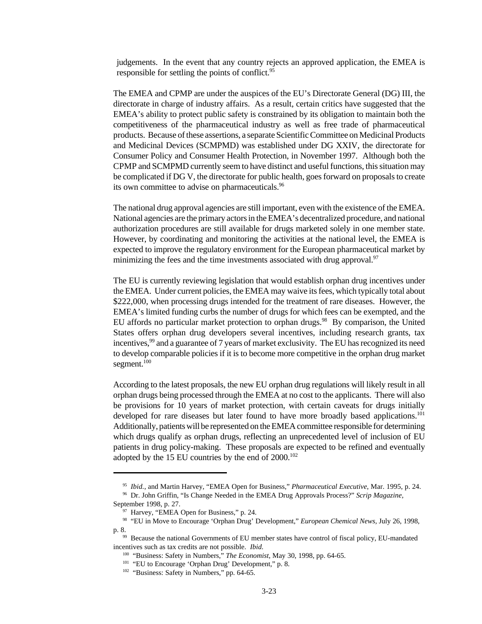judgements. In the event that any country rejects an approved application, the EMEA is responsible for settling the points of conflict.<sup>95</sup>

The EMEA and CPMP are under the auspices of the EU's Directorate General (DG) III, the directorate in charge of industry affairs. As a result, certain critics have suggested that the EMEA's ability to protect public safety is constrained by its obligation to maintain both the competitiveness of the pharmaceutical industry as well as free trade of pharmaceutical products. Because of these assertions, a separate Scientific Committee on Medicinal Products and Medicinal Devices (SCMPMD) was established under DG XXIV, the directorate for Consumer Policy and Consumer Health Protection, in November 1997. Although both the CPMP and SCMPMD currently seem to have distinct and useful functions, this situation may be complicated if DG V, the directorate for public health, goes forward on proposals to create its own committee to advise on pharmaceuticals.<sup>96</sup>

The national drug approval agencies are still important, even with the existence of the EMEA. National agencies are the primary actors in the EMEA's decentralized procedure, and national authorization procedures are still available for drugs marketed solely in one member state. However, by coordinating and monitoring the activities at the national level, the EMEA is expected to improve the regulatory environment for the European pharmaceutical market by minimizing the fees and the time investments associated with drug approval.<sup>97</sup>

The EU is currently reviewing legislation that would establish orphan drug incentives under the EMEA. Under current policies, the EMEA may waive its fees, which typically total about \$222,000, when processing drugs intended for the treatment of rare diseases. However, the EMEA's limited funding curbs the number of drugs for which fees can be exempted, and the EU affords no particular market protection to orphan drugs.<sup>98</sup> By comparison, the United States offers orphan drug developers several incentives, including research grants, tax incentives,<sup>99</sup> and a guarantee of 7 years of market exclusivity. The EU has recognized its need to develop comparable policies if it is to become more competitive in the orphan drug market segment. $100$ 

According to the latest proposals, the new EU orphan drug regulations will likely result in all orphan drugs being processed through the EMEA at no cost to the applicants. There will also be provisions for 10 years of market protection, with certain caveats for drugs initially developed for rare diseases but later found to have more broadly based applications.<sup>101</sup> Additionally, patients will be represented on the EMEA committee responsible for determining which drugs qualify as orphan drugs, reflecting an unprecedented level of inclusion of EU patients in drug policy-making. These proposals are expected to be refined and eventually adopted by the 15 EU countries by the end of  $2000$ .<sup>102</sup>

<sup>95</sup> *Ibid.*, and Martin Harvey, "EMEA Open for Business," *Pharmaceutical Executive*, Mar. 1995, p. 24.

<sup>96</sup> Dr. John Griffin, "Is Change Needed in the EMEA Drug Approvals Process?" *Scrip Magazine,* September 1998, p. 27.

 $97$  Harvey, "EMEA Open for Business," p. 24.

<sup>98</sup> "EU in Move to Encourage 'Orphan Drug' Development," *European Chemical News,* July 26, 1998, p. 8.

<sup>&</sup>lt;sup>99</sup> Because the national Governments of EU member states have control of fiscal policy, EU-mandated incentives such as tax credits are not possible. *Ibid.*

<sup>100</sup> "Business: Safety in Numbers," *The Economist*, May 30, 1998, pp. 64-65.

<sup>&</sup>lt;sup>101</sup> "EU to Encourage 'Orphan Drug' Development," p. 8.

<sup>&</sup>lt;sup>102</sup> "Business: Safety in Numbers," pp. 64-65.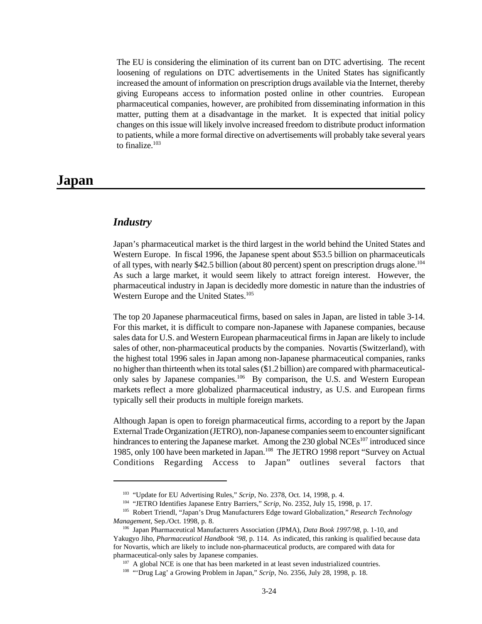The EU is considering the elimination of its current ban on DTC advertising. The recent loosening of regulations on DTC advertisements in the United States has significantly increased the amount of information on prescription drugs available via the Internet, thereby giving Europeans access to information posted online in other countries. European pharmaceutical companies, however, are prohibited from disseminating information in this matter, putting them at a disadvantage in the market. It is expected that initial policy changes on this issue will likely involve increased freedom to distribute product information to patients, while a more formal directive on advertisements will probably take several years to finalize.<sup>103</sup>

# **Japan**

# *Industry*

Japan's pharmaceutical market is the third largest in the world behind the United States and Western Europe. In fiscal 1996, the Japanese spent about \$53.5 billion on pharmaceuticals of all types, with nearly \$42.5 billion (about 80 percent) spent on prescription drugs alone.<sup>104</sup> As such a large market, it would seem likely to attract foreign interest. However, the pharmaceutical industry in Japan is decidedly more domestic in nature than the industries of Western Europe and the United States.<sup>105</sup>

The top 20 Japanese pharmaceutical firms, based on sales in Japan, are listed in table 3-14. For this market, it is difficult to compare non-Japanese with Japanese companies, because sales data for U.S. and Western European pharmaceutical firms in Japan are likely to include sales of other, non-pharmaceutical products by the companies. Novartis (Switzerland), with the highest total 1996 sales in Japan among non-Japanese pharmaceutical companies, ranks no higher than thirteenth when its total sales (\$1.2 billion) are compared with pharmaceuticalonly sales by Japanese companies.<sup>106</sup> By comparison, the U.S. and Western European markets reflect a more globalized pharmaceutical industry, as U.S. and European firms typically sell their products in multiple foreign markets.

Although Japan is open to foreign pharmaceutical firms, according to a report by the Japan External Trade Organization (JETRO), non-Japanese companies seem to encounter significant hindrances to entering the Japanese market. Among the 230 global  $NCEs<sup>107</sup>$  introduced since 1985, only 100 have been marketed in Japan.<sup>108</sup> The JETRO 1998 report "Survey on Actual Conditions Regarding Access to Japan" outlines several factors that

<sup>103</sup> "Update for EU Advertising Rules," *Scrip*, No. 2378, Oct. 14, 1998, p. 4.

<sup>104</sup> "JETRO Identifies Japanese Entry Barriers," *Scrip*, No. 2352, July 15, 1998, p. 17.

<sup>105</sup> Robert Triendl, "Japan's Drug Manufacturers Edge toward Globalization," *Research Technology Management*, Sep./Oct. 1998, p. 8.

<sup>106</sup> Japan Pharmaceutical Manufacturers Association (JPMA), *Data Book 1997/98*, p. 1-10, and Yakugyo Jiho, *Pharmaceutical Handbook '98,* p. 114. As indicated, this ranking is qualified because data for Novartis, which are likely to include non-pharmaceutical products, are compared with data for pharmaceutical-only sales by Japanese companies.

 $107$  A global NCE is one that has been marketed in at least seven industrialized countries.

<sup>108</sup> "'Drug Lag' a Growing Problem in Japan," *Scrip*, No. 2356, July 28, 1998, p. 18.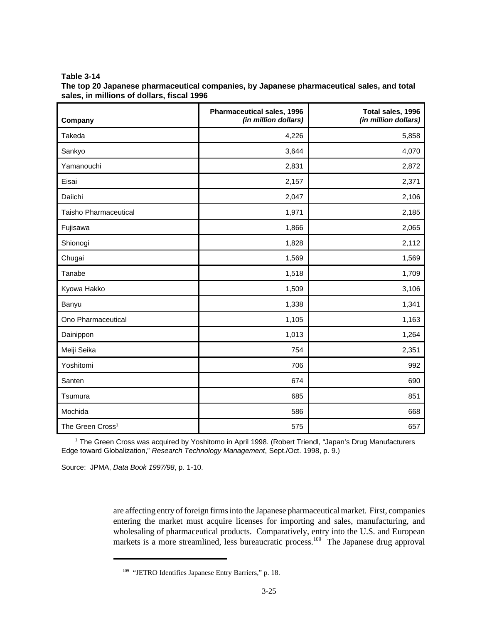**Table 3-14**

| The top 20 Japanese pharmaceutical companies, by Japanese pharmaceutical sales, and total |  |
|-------------------------------------------------------------------------------------------|--|
| sales, in millions of dollars, fiscal 1996                                                |  |

| Company                      | Pharmaceutical sales, 1996<br>(in million dollars) | Total sales, 1996<br>(in million dollars) |
|------------------------------|----------------------------------------------------|-------------------------------------------|
| Takeda                       | 4,226                                              | 5,858                                     |
| Sankyo                       | 3,644                                              | 4,070                                     |
| Yamanouchi                   | 2,831                                              | 2,872                                     |
| Eisai                        | 2,157                                              | 2,371                                     |
| Daiichi                      | 2,047                                              | 2,106                                     |
| Taisho Pharmaceutical        | 1,971                                              | 2,185                                     |
| Fujisawa                     | 1,866                                              | 2,065                                     |
| Shionogi                     | 1,828                                              | 2,112                                     |
| Chugai                       | 1,569                                              | 1,569                                     |
| Tanabe                       | 1,518                                              | 1,709                                     |
| Kyowa Hakko                  | 1,509                                              | 3,106                                     |
| Banyu                        | 1,338                                              | 1,341                                     |
| Ono Pharmaceutical           | 1,105                                              | 1,163                                     |
| Dainippon                    | 1,013                                              | 1,264                                     |
| Meiji Seika                  | 754                                                | 2,351                                     |
| Yoshitomi                    | 706                                                | 992                                       |
| Santen                       | 674                                                | 690                                       |
| Tsumura                      | 685                                                | 851                                       |
| Mochida                      | 586                                                | 668                                       |
| The Green Cross <sup>1</sup> | 575                                                | 657                                       |

1 The Green Cross was acquired by Yoshitomo in April 1998. (Robert Triendl, "Japan's Drug Manufacturers Edge toward Globalization," *Research Technology Management*, Sept./Oct. 1998, p. 9.)

Source: JPMA, *Data Book 1997/98*, p. 1-10.

are affecting entry of foreign firms into the Japanese pharmaceutical market. First, companies entering the market must acquire licenses for importing and sales, manufacturing, and wholesaling of pharmaceutical products. Comparatively, entry into the U.S. and European markets is a more streamlined, less bureaucratic process.<sup>109</sup> The Japanese drug approval

<sup>&</sup>lt;sup>109</sup> "JETRO Identifies Japanese Entry Barriers," p. 18.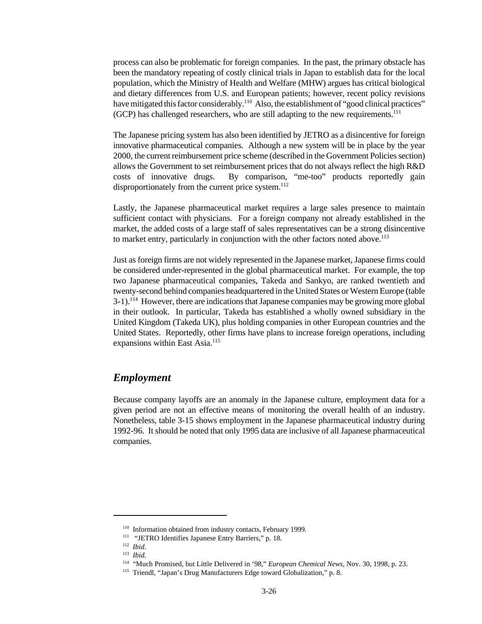process can also be problematic for foreign companies. In the past, the primary obstacle has been the mandatory repeating of costly clinical trials in Japan to establish data for the local population, which the Ministry of Health and Welfare (MHW) argues has critical biological and dietary differences from U.S. and European patients; however, recent policy revisions have mitigated this factor considerably.<sup>110</sup> Also, the establishment of "good clinical practices" (GCP) has challenged researchers, who are still adapting to the new requirements.<sup>111</sup>

The Japanese pricing system has also been identified by JETRO as a disincentive for foreign innovative pharmaceutical companies. Although a new system will be in place by the year 2000, the current reimbursement price scheme (described in the Government Policies section) allows the Government to set reimbursement prices that do not always reflect the high R&D costs of innovative drugs. By comparison, "me-too" products reportedly gain disproportionately from the current price system. $^{112}$ 

Lastly, the Japanese pharmaceutical market requires a large sales presence to maintain sufficient contact with physicians. For a foreign company not already established in the market, the added costs of a large staff of sales representatives can be a strong disincentive to market entry, particularly in conjunction with the other factors noted above.<sup>113</sup>

Just as foreign firms are not widely represented in the Japanese market, Japanese firms could be considered under-represented in the global pharmaceutical market. For example, the top two Japanese pharmaceutical companies, Takeda and Sankyo, are ranked twentieth and twenty-second behind companies headquartered in the United States or Western Europe (table  $3-1$ ).<sup>114</sup> However, there are indications that Japanese companies may be growing more global in their outlook. In particular, Takeda has established a wholly owned subsidiary in the United Kingdom (Takeda UK), plus holding companies in other European countries and the United States. Reportedly, other firms have plans to increase foreign operations, including expansions within East Asia.<sup>115</sup>

# *Employment*

Because company layoffs are an anomaly in the Japanese culture, employment data for a given period are not an effective means of monitoring the overall health of an industry. Nonetheless, table 3-15 shows employment in the Japanese pharmaceutical industry during 1992-96. It should be noted that only 1995 data are inclusive of all Japanese pharmaceutical companies.

<sup>&</sup>lt;sup>110</sup> Information obtained from industry contacts, February 1999.

<sup>111</sup> "JETRO Identifies Japanese Entry Barriers," p. 18.

<sup>112</sup> *Ibid.*

<sup>113</sup> *Ibid.*

<sup>114</sup> "Much Promised, but Little Delivered in '98," *European Chemical News*, Nov. 30, 1998, p. 23.

<sup>115</sup> Triendl, "Japan's Drug Manufacturers Edge toward Globalization," p. 8.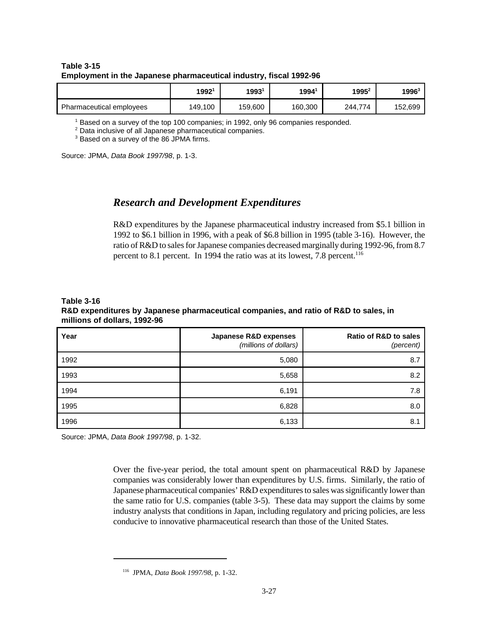#### **Table 3-15 Employment in the Japanese pharmaceutical industry, fiscal 1992-96**

|                          | 1992    | 1993'   | 19941   | 1995 <sup>2</sup> | 1996 $^{\rm 3}$ |
|--------------------------|---------|---------|---------|-------------------|-----------------|
| Pharmaceutical employees | 149,100 | 159,600 | 160,300 | 244,774           | 152,699         |

1 Based on a survey of the top 100 companies; in 1992, only 96 companies responded.

<sup>2</sup> Data inclusive of all Japanese pharmaceutical companies.

<sup>3</sup> Based on a survey of the 86 JPMA firms.

Source: JPMA, *Data Book 1997/98*, p. 1-3.

# *Research and Development Expenditures*

R&D expenditures by the Japanese pharmaceutical industry increased from \$5.1 billion in 1992 to \$6.1 billion in 1996, with a peak of \$6.8 billion in 1995 (table 3-16). However, the ratio of R&D to sales for Japanese companies decreased marginally during 1992-96, from 8.7 percent to 8.1 percent. In 1994 the ratio was at its lowest, 7.8 percent.<sup>116</sup>

#### **Table 3-16 R&D expenditures by Japanese pharmaceutical companies, and ratio of R&D to sales, in millions of dollars, 1992-96**

| Year | Japanese R&D expenses<br>(millions of dollars) | <b>Ratio of R&amp;D to sales</b><br>(percent) |
|------|------------------------------------------------|-----------------------------------------------|
| 1992 | 5,080                                          | 8.7                                           |
| 1993 | 5,658                                          | 8.2                                           |
| 1994 | 6,191                                          | 7.8                                           |
| 1995 | 6,828                                          | 8.0                                           |
| 1996 | 6,133                                          | 8.1                                           |

Source: JPMA, *Data Book 1997/98*, p. 1-32.

Over the five-year period, the total amount spent on pharmaceutical R&D by Japanese companies was considerably lower than expenditures by U.S. firms. Similarly, the ratio of Japanese pharmaceutical companies' R&D expenditures to sales was significantly lower than the same ratio for U.S. companies (table 3-5). These data may support the claims by some industry analysts that conditions in Japan, including regulatory and pricing policies, are less conducive to innovative pharmaceutical research than those of the United States.

<sup>116</sup> JPMA, *Data Book 1997/98*, p. 1-32.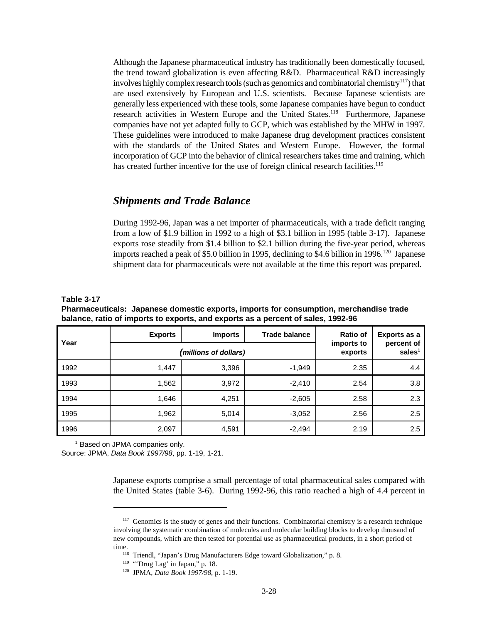Although the Japanese pharmaceutical industry has traditionally been domestically focused, the trend toward globalization is even affecting R&D. Pharmaceutical R&D increasingly involves highly complex research tools (such as genomics and combinatorial chemistry<sup>117</sup>) that are used extensively by European and U.S. scientists. Because Japanese scientists are generally less experienced with these tools, some Japanese companies have begun to conduct research activities in Western Europe and the United States.<sup>118</sup> Furthermore, Japanese companies have not yet adapted fully to GCP, which was established by the MHW in 1997. These guidelines were introduced to make Japanese drug development practices consistent with the standards of the United States and Western Europe. However, the formal incorporation of GCP into the behavior of clinical researchers takes time and training, which has created further incentive for the use of foreign clinical research facilities.<sup>119</sup>

# *Shipments and Trade Balance*

During 1992-96, Japan was a net importer of pharmaceuticals, with a trade deficit ranging from a low of \$1.9 billion in 1992 to a high of \$3.1 billion in 1995 (table 3-17). Japanese exports rose steadily from \$1.4 billion to \$2.1 billion during the five-year period, whereas imports reached a peak of \$5.0 billion in 1995, declining to \$4.6 billion in 1996.<sup>120</sup> Japanese shipment data for pharmaceuticals were not available at the time this report was prepared.

#### **Table 3-17**

**Pharmaceuticals: Japanese domestic exports, imports for consumption, merchandise trade balance, ratio of imports to exports, and exports as a percent of sales, 1992-96**

| Year | <b>Exports</b> | <b>Imports</b>        | <b>Trade balance</b>  | Ratio of                | Exports as a |
|------|----------------|-----------------------|-----------------------|-------------------------|--------------|
|      |                | (millions of dollars) | imports to<br>exports | percent of<br>sales $1$ |              |
| 1992 | 1,447          | 3,396                 | $-1,949$              | 2.35                    | 4.4          |
| 1993 | 1,562          | 3,972                 | $-2,410$              | 2.54                    | 3.8          |
| 1994 | 1,646          | 4,251                 | $-2,605$              | 2.58                    | 2.3          |
| 1995 | 1,962          | 5,014                 | $-3,052$              | 2.56                    | 2.5          |
| 1996 | 2,097          | 4,591                 | $-2,494$              | 2.19                    | 2.5          |

<sup>1</sup> Based on JPMA companies only.

Source: JPMA, *Data Book 1997/98*, pp. 1-19, 1-21.

Japanese exports comprise a small percentage of total pharmaceutical sales compared with the United States (table 3-6). During 1992-96, this ratio reached a high of 4.4 percent in

 $117$  Genomics is the study of genes and their functions. Combinatorial chemistry is a research technique involving the systematic combination of molecules and molecular building blocks to develop thousand of new compounds, which are then tested for potential use as pharmaceutical products, in a short period of time.

<sup>&</sup>lt;sup>118</sup> Triendl, "Japan's Drug Manufacturers Edge toward Globalization," p. 8.

 $119$  "'Drug Lag' in Japan," p. 18.

<sup>120</sup> JPMA, *Data Book 1997/98*, p. 1-19.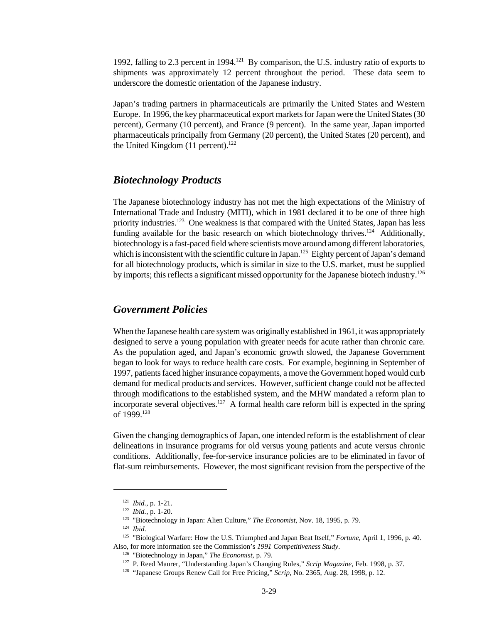1992, falling to 2.3 percent in 1994.<sup>121</sup> By comparison, the U.S. industry ratio of exports to shipments was approximately 12 percent throughout the period. These data seem to underscore the domestic orientation of the Japanese industry.

Japan's trading partners in pharmaceuticals are primarily the United States and Western Europe. In 1996, the key pharmaceutical export markets for Japan were the United States (30 percent), Germany (10 percent), and France (9 percent). In the same year, Japan imported pharmaceuticals principally from Germany (20 percent), the United States (20 percent), and the United Kingdom  $(11$  percent).<sup>122</sup>

#### *Biotechnology Products*

The Japanese biotechnology industry has not met the high expectations of the Ministry of International Trade and Industry (MITI), which in 1981 declared it to be one of three high priority industries.<sup>123</sup> One weakness is that compared with the United States, Japan has less funding available for the basic research on which biotechnology thrives.<sup>124</sup> Additionally, biotechnology is a fast-paced field where scientists move around among different laboratories, which is inconsistent with the scientific culture in Japan.<sup>125</sup> Eighty percent of Japan's demand for all biotechnology products, which is similar in size to the U.S. market, must be supplied by imports; this reflects a significant missed opportunity for the Japanese biotech industry.<sup>126</sup>

# *Government Policies*

When the Japanese health care system was originally established in 1961, it was appropriately designed to serve a young population with greater needs for acute rather than chronic care. As the population aged, and Japan's economic growth slowed, the Japanese Government began to look for ways to reduce health care costs. For example, beginning in September of 1997, patients faced higher insurance copayments, a move the Government hoped would curb demand for medical products and services. However, sufficient change could not be affected through modifications to the established system, and the MHW mandated a reform plan to incorporate several objectives.<sup>127</sup> A formal health care reform bill is expected in the spring of 1999.<sup>128</sup>

Given the changing demographics of Japan, one intended reform is the establishment of clear delineations in insurance programs for old versus young patients and acute versus chronic conditions. Additionally, fee-for-service insurance policies are to be eliminated in favor of flat-sum reimbursements. However, the most significant revision from the perspective of the

<sup>121</sup> *Ibid.*, p. 1-21.

<sup>122</sup> *Ibid.*, p. 1-20.

<sup>123</sup> "Biotechnology in Japan: Alien Culture," *The Economist*, Nov. 18, 1995, p. 79.

<sup>124</sup> *Ibid*.

<sup>125</sup> "Biological Warfare: How the U.S. Triumphed and Japan Beat Itself," *Fortune*, April 1, 1996, p. 40. Also, for more information see the Commission's *1991 Competitiveness Study*.

<sup>126</sup> "Biotechnology in Japan," *The Economist*, p. 79.

<sup>127</sup> P. Reed Maurer, "Understanding Japan's Changing Rules," *Scrip Magazine*, Feb. 1998, p. 37.

<sup>&</sup>lt;sup>128</sup> "Japanese Groups Renew Call for Free Pricing," *Scrip*, No. 2365, Aug. 28, 1998, p. 12.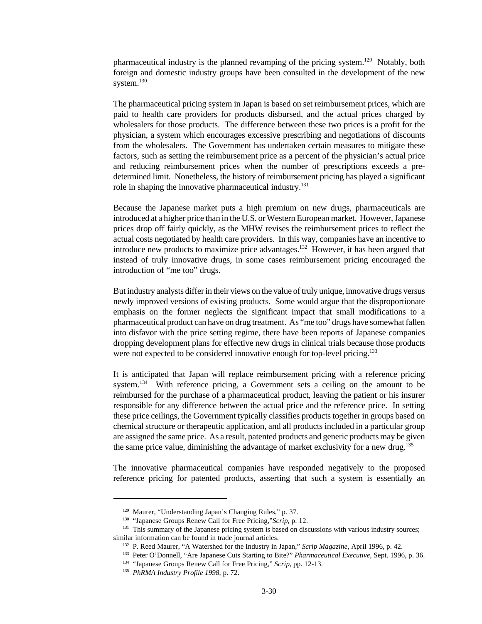pharmaceutical industry is the planned revamping of the pricing system.<sup>129</sup> Notably, both foreign and domestic industry groups have been consulted in the development of the new system.<sup>130</sup>

The pharmaceutical pricing system in Japan is based on set reimbursement prices, which are paid to health care providers for products disbursed, and the actual prices charged by wholesalers for those products. The difference between these two prices is a profit for the physician, a system which encourages excessive prescribing and negotiations of discounts from the wholesalers. The Government has undertaken certain measures to mitigate these factors, such as setting the reimbursement price as a percent of the physician's actual price and reducing reimbursement prices when the number of prescriptions exceeds a predetermined limit. Nonetheless, the history of reimbursement pricing has played a significant role in shaping the innovative pharmaceutical industry.<sup>131</sup>

Because the Japanese market puts a high premium on new drugs, pharmaceuticals are introduced at a higher price than in the U.S. or Western European market. However, Japanese prices drop off fairly quickly, as the MHW revises the reimbursement prices to reflect the actual costs negotiated by health care providers. In this way, companies have an incentive to introduce new products to maximize price advantages.<sup>132</sup> However, it has been argued that instead of truly innovative drugs, in some cases reimbursement pricing encouraged the introduction of "me too" drugs.

But industry analysts differ in their views on the value of truly unique, innovative drugs versus newly improved versions of existing products. Some would argue that the disproportionate emphasis on the former neglects the significant impact that small modifications to a pharmaceutical product can have on drug treatment. As "me too" drugs have somewhat fallen into disfavor with the price setting regime, there have been reports of Japanese companies dropping development plans for effective new drugs in clinical trials because those products were not expected to be considered innovative enough for top-level pricing.<sup>133</sup>

It is anticipated that Japan will replace reimbursement pricing with a reference pricing system.<sup>134</sup> With reference pricing, a Government sets a ceiling on the amount to be reimbursed for the purchase of a pharmaceutical product, leaving the patient or his insurer responsible for any difference between the actual price and the reference price. In setting these price ceilings, the Government typically classifies products together in groups based on chemical structure or therapeutic application, and all products included in a particular group are assigned the same price. As a result, patented products and generic products may be given the same price value, diminishing the advantage of market exclusivity for a new drug.<sup>135</sup>

The innovative pharmaceutical companies have responded negatively to the proposed reference pricing for patented products, asserting that such a system is essentially an

<sup>129</sup> Maurer, "Understanding Japan's Changing Rules," p. 37.

<sup>130</sup> "Japanese Groups Renew Call for Free Pricing,"*Scrip*, p. 12.

<sup>&</sup>lt;sup>131</sup> This summary of the Japanese pricing system is based on discussions with various industry sources; similar information can be found in trade journal articles.

<sup>132</sup> P. Reed Maurer, "A Watershed for the Industry in Japan," *Scrip Magazine*, April 1996, p. 42.

<sup>133</sup> Peter O'Donnell, "Are Japanese Cuts Starting to Bite?" *Pharmaceutical Executive*, Sept. 1996, p. 36.

<sup>134</sup> "Japanese Groups Renew Call for Free Pricing," *Scrip*, pp. 12-13.

<sup>135</sup> *PhRMA Industry Profile 1998*, p. 72.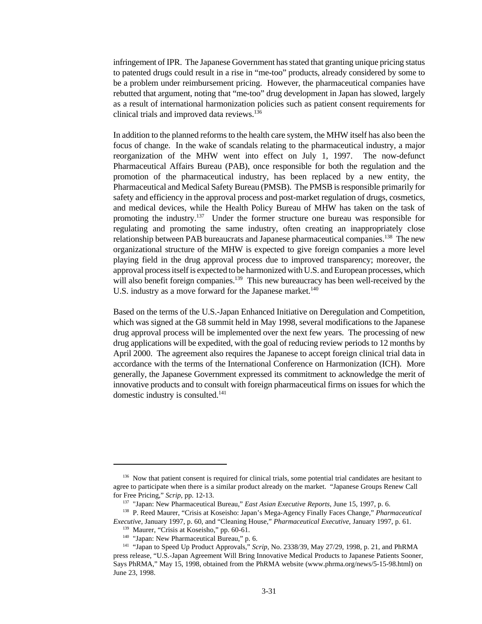infringement of IPR. The Japanese Government has stated that granting unique pricing status to patented drugs could result in a rise in "me-too" products, already considered by some to be a problem under reimbursement pricing. However, the pharmaceutical companies have rebutted that argument, noting that "me-too" drug development in Japan has slowed, largely as a result of international harmonization policies such as patient consent requirements for clinical trials and improved data reviews.<sup>136</sup>

In addition to the planned reforms to the health care system, the MHW itself has also been the focus of change. In the wake of scandals relating to the pharmaceutical industry, a major reorganization of the MHW went into effect on July 1, 1997. The now-defunct Pharmaceutical Affairs Bureau (PAB), once responsible for both the regulation and the promotion of the pharmaceutical industry, has been replaced by a new entity, the Pharmaceutical and Medical Safety Bureau (PMSB). The PMSB is responsible primarily for safety and efficiency in the approval process and post-market regulation of drugs, cosmetics, and medical devices, while the Health Policy Bureau of MHW has taken on the task of promoting the industry.<sup>137</sup> Under the former structure one bureau was responsible for regulating and promoting the same industry, often creating an inappropriately close relationship between PAB bureaucrats and Japanese pharmaceutical companies.<sup>138</sup> The new organizational structure of the MHW is expected to give foreign companies a more level playing field in the drug approval process due to improved transparency; moreover, the approval process itself is expected to be harmonized with U.S. and European processes, which will also benefit foreign companies.<sup>139</sup> This new bureaucracy has been well-received by the U.S. industry as a move forward for the Japanese market.<sup>140</sup>

Based on the terms of the U.S.-Japan Enhanced Initiative on Deregulation and Competition, which was signed at the G8 summit held in May 1998, several modifications to the Japanese drug approval process will be implemented over the next few years. The processing of new drug applications will be expedited, with the goal of reducing review periods to 12 months by April 2000. The agreement also requires the Japanese to accept foreign clinical trial data in accordance with the terms of the International Conference on Harmonization (ICH). More generally, the Japanese Government expressed its commitment to acknowledge the merit of innovative products and to consult with foreign pharmaceutical firms on issues for which the domestic industry is consulted. $141$ 

<sup>&</sup>lt;sup>136</sup> Now that patient consent is required for clinical trials, some potential trial candidates are hesitant to agree to participate when there is a similar product already on the market. "Japanese Groups Renew Call for Free Pricing," *Scrip*, pp. 12-13.

<sup>137</sup> "Japan: New Pharmaceutical Bureau," *East Asian Executive Reports*, June 15, 1997, p. 6.

<sup>138</sup> P. Reed Maurer, "Crisis at Koseisho: Japan's Mega-Agency Finally Faces Change," *Pharmaceutical Executive*, January 1997, p. 60, and "Cleaning House," *Pharmaceutical Executive*, January 1997, p. 61.

<sup>&</sup>lt;sup>139</sup> Maurer, "Crisis at Koseisho," pp. 60-61.

<sup>&</sup>lt;sup>140</sup> "Japan: New Pharmaceutical Bureau," p. 6.

<sup>141</sup> "Japan to Speed Up Product Approvals," *Scrip*, No. 2338/39, May 27/29, 1998, p. 21, and PhRMA press release, "U.S.-Japan Agreement Will Bring Innovative Medical Products to Japanese Patients Sooner, Says PhRMA," May 15, 1998, obtained from the PhRMA website (www.phrma.org/news/5-15-98.html) on June 23, 1998.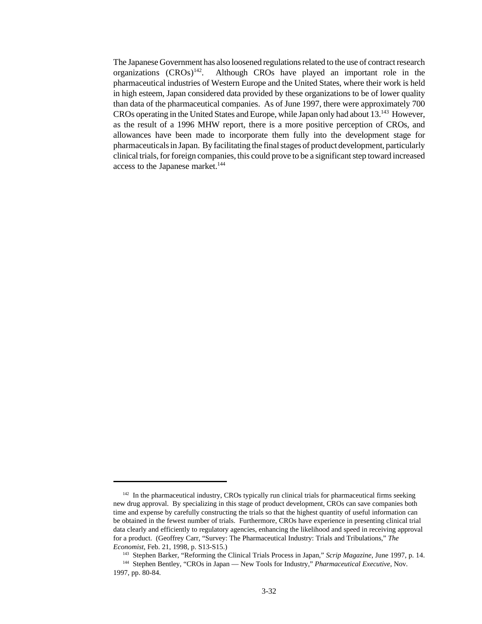The Japanese Government has also loosened regulations related to the use of contract research organizations  $(CROS)^{142}$ . . Although CROs have played an important role in the pharmaceutical industries of Western Europe and the United States, where their work is held in high esteem, Japan considered data provided by these organizations to be of lower quality than data of the pharmaceutical companies. As of June 1997, there were approximately 700 CROs operating in the United States and Europe, while Japan only had about 13.<sup>143</sup> However, as the result of a 1996 MHW report, there is a more positive perception of CROs, and allowances have been made to incorporate them fully into the development stage for pharmaceuticals in Japan. By facilitating the final stages of product development, particularly clinical trials, for foreign companies, this could prove to be a significant step toward increased access to the Japanese market.<sup>144</sup>

<sup>&</sup>lt;sup>142</sup> In the pharmaceutical industry, CROs typically run clinical trials for pharmaceutical firms seeking new drug approval. By specializing in this stage of product development, CROs can save companies both time and expense by carefully constructing the trials so that the highest quantity of useful information can be obtained in the fewest number of trials. Furthermore, CROs have experience in presenting clinical trial data clearly and efficiently to regulatory agencies, enhancing the likelihood and speed in receiving approval for a product. (Geoffrey Carr, "Survey: The Pharmaceutical Industry: Trials and Tribulations," *The Economist*, Feb. 21, 1998, p. S13-S15.)

<sup>143</sup> Stephen Barker, "Reforming the Clinical Trials Process in Japan," *Scrip Magazine*, June 1997, p. 14.

<sup>144</sup> Stephen Bentley, "CROs in Japan — New Tools for Industry," *Pharmaceutical Executive*, Nov. 1997, pp. 80-84.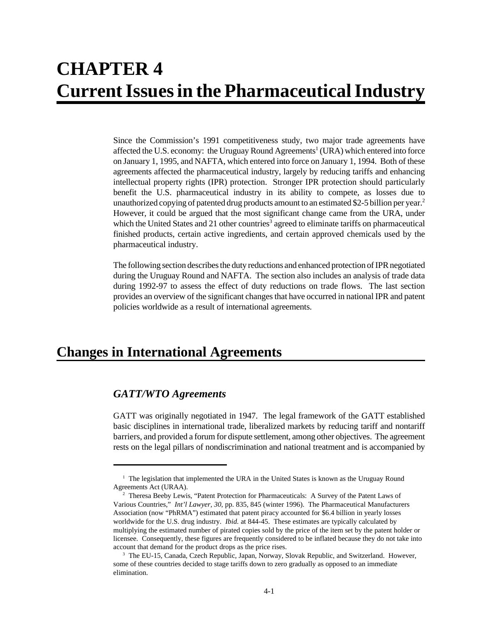# **CHAPTER 4 Current Issues in the Pharmaceutical Industry**

Since the Commission's 1991 competitiveness study, two major trade agreements have affected the U.S. economy: the Uruguay Round Agreements<sup>1</sup> (URA) which entered into force on January 1, 1995, and NAFTA, which entered into force on January 1, 1994. Both of these agreements affected the pharmaceutical industry, largely by reducing tariffs and enhancing intellectual property rights (IPR) protection. Stronger IPR protection should particularly benefit the U.S. pharmaceutical industry in its ability to compete, as losses due to unauthorized copying of patented drug products amount to an estimated \$2-5 billion per year.<sup>2</sup> However, it could be argued that the most significant change came from the URA, under which the United States and 21 other countries<sup>3</sup> agreed to eliminate tariffs on pharmaceutical finished products, certain active ingredients, and certain approved chemicals used by the pharmaceutical industry.

The following section describes the duty reductions and enhanced protection of IPR negotiated during the Uruguay Round and NAFTA. The section also includes an analysis of trade data during 1992-97 to assess the effect of duty reductions on trade flows. The last section provides an overview of the significant changes that have occurred in national IPR and patent policies worldwide as a result of international agreements.

# **Changes in International Agreements**

# *GATT/WTO Agreements*

GATT was originally negotiated in 1947. The legal framework of the GATT established basic disciplines in international trade, liberalized markets by reducing tariff and nontariff barriers, and provided a forum for dispute settlement, among other objectives. The agreement rests on the legal pillars of nondiscrimination and national treatment and is accompanied by

<sup>&</sup>lt;sup>1</sup> The legislation that implemented the URA in the United States is known as the Uruguay Round Agreements Act (URAA).

<sup>&</sup>lt;sup>2</sup> Theresa Beeby Lewis, "Patent Protection for Pharmaceuticals: A Survey of the Patent Laws of Various Countries," *Int'l Lawyer, 30*, pp. 835, 845 (winter 1996). The Pharmaceutical Manufacturers Association (now "PhRMA") estimated that patent piracy accounted for \$6.4 billion in yearly losses worldwide for the U.S. drug industry. *Ibid.* at 844-45. These estimates are typically calculated by multiplying the estimated number of pirated copies sold by the price of the item set by the patent holder or licensee. Consequently, these figures are frequently considered to be inflated because they do not take into account that demand for the product drops as the price rises.

<sup>&</sup>lt;sup>3</sup> The EU-15, Canada, Czech Republic, Japan, Norway, Slovak Republic, and Switzerland. However, some of these countries decided to stage tariffs down to zero gradually as opposed to an immediate elimination.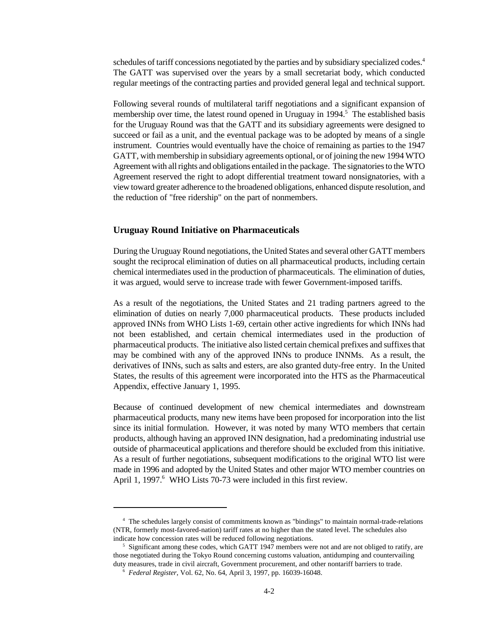schedules of tariff concessions negotiated by the parties and by subsidiary specialized codes.<sup>4</sup> The GATT was supervised over the years by a small secretariat body, which conducted regular meetings of the contracting parties and provided general legal and technical support.

Following several rounds of multilateral tariff negotiations and a significant expansion of membership over time, the latest round opened in Uruguay in 1994.<sup>5</sup> The established basis for the Uruguay Round was that the GATT and its subsidiary agreements were designed to succeed or fail as a unit, and the eventual package was to be adopted by means of a single instrument. Countries would eventually have the choice of remaining as parties to the 1947 GATT, with membership in subsidiary agreements optional, or of joining the new 1994 WTO Agreement with all rights and obligations entailed in the package. The signatories to the WTO Agreement reserved the right to adopt differential treatment toward nonsignatories, with a view toward greater adherence to the broadened obligations, enhanced dispute resolution, and the reduction of "free ridership" on the part of nonmembers.

#### **Uruguay Round Initiative on Pharmaceuticals**

During the Uruguay Round negotiations, the United States and several other GATT members sought the reciprocal elimination of duties on all pharmaceutical products, including certain chemical intermediates used in the production of pharmaceuticals. The elimination of duties, it was argued, would serve to increase trade with fewer Government-imposed tariffs.

As a result of the negotiations, the United States and 21 trading partners agreed to the elimination of duties on nearly 7,000 pharmaceutical products. These products included approved INNs from WHO Lists 1-69, certain other active ingredients for which INNs had not been established, and certain chemical intermediates used in the production of pharmaceutical products. The initiative also listed certain chemical prefixes and suffixes that may be combined with any of the approved INNs to produce INNMs. As a result, the derivatives of INNs, such as salts and esters, are also granted duty-free entry. In the United States, the results of this agreement were incorporated into the HTS as the Pharmaceutical Appendix, effective January 1, 1995.

Because of continued development of new chemical intermediates and downstream pharmaceutical products, many new items have been proposed for incorporation into the list since its initial formulation. However, it was noted by many WTO members that certain products, although having an approved INN designation, had a predominating industrial use outside of pharmaceutical applications and therefore should be excluded from this initiative. As a result of further negotiations, subsequent modifications to the original WTO list were made in 1996 and adopted by the United States and other major WTO member countries on April 1, 1997.<sup>6</sup> WHO Lists 70-73 were included in this first review.

<sup>4</sup> The schedules largely consist of commitments known as "bindings" to maintain normal-trade-relations (NTR, formerly most-favored-nation) tariff rates at no higher than the stated level. The schedules also indicate how concession rates will be reduced following negotiations.

<sup>&</sup>lt;sup>5</sup> Significant among these codes, which GATT 1947 members were not and are not obliged to ratify, are those negotiated during the Tokyo Round concerning customs valuation, antidumping and countervailing duty measures, trade in civil aircraft, Government procurement, and other nontariff barriers to trade.

<sup>6</sup> *Federal Register*, Vol. 62, No. 64, April 3, 1997, pp. 16039-16048.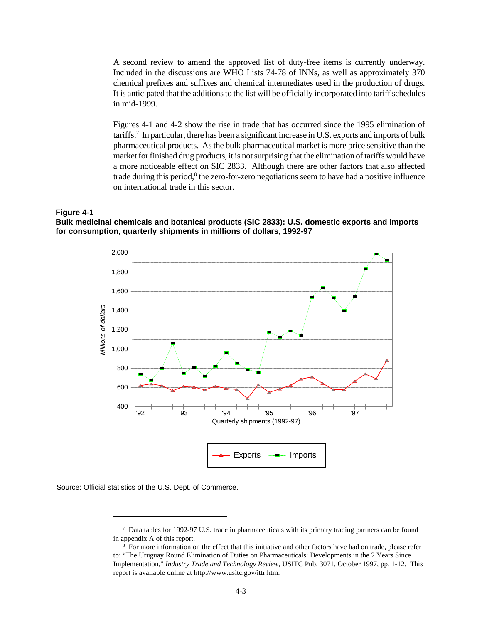A second review to amend the approved list of duty-free items is currently underway. Included in the discussions are WHO Lists 74-78 of INNs, as well as approximately 370 chemical prefixes and suffixes and chemical intermediates used in the production of drugs. It is anticipated that the additions to the list will be officially incorporated into tariff schedules in mid-1999.

Figures 4-1 and 4-2 show the rise in trade that has occurred since the 1995 elimination of tariffs.<sup>7</sup> In particular, there has been a significant increase in U.S. exports and imports of bulk pharmaceutical products. As the bulk pharmaceutical market is more price sensitive than the market for finished drug products, it is not surprising that the elimination of tariffs would have a more noticeable effect on SIC 2833. Although there are other factors that also affected trade during this period,<sup>8</sup> the zero-for-zero negotiations seem to have had a positive influence on international trade in this sector.

#### **Figure 4-1**

**Bulk medicinal chemicals and botanical products (SIC 2833): U.S. domestic exports and imports for consumption, quarterly shipments in millions of dollars, 1992-97**



Source: Official statistics of the U.S. Dept. of Commerce.

<sup>7</sup> Data tables for 1992-97 U.S. trade in pharmaceuticals with its primary trading partners can be found in appendix A of this report.

<sup>&</sup>lt;sup>8</sup> For more information on the effect that this initiative and other factors have had on trade, please refer to: "The Uruguay Round Elimination of Duties on Pharmaceuticals: Developments in the 2 Years Since Implementation," *Industry Trade and Technology Review*, USITC Pub. 3071, October 1997, pp. 1-12. This report is available online at http://www.usitc.gov/ittr.htm.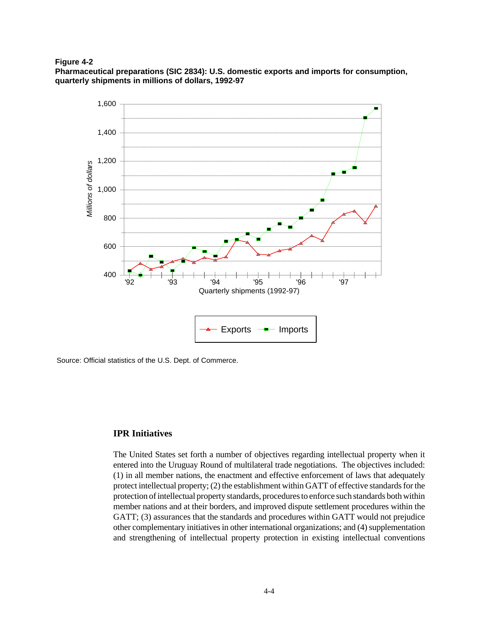**Figure 4-2**

**Pharmaceutical preparations (SIC 2834): U.S. domestic exports and imports for consumption, quarterly shipments in millions of dollars, 1992-97**



Source: Official statistics of the U.S. Dept. of Commerce.

### **IPR Initiatives**

The United States set forth a number of objectives regarding intellectual property when it entered into the Uruguay Round of multilateral trade negotiations. The objectives included: (1) in all member nations, the enactment and effective enforcement of laws that adequately protect intellectual property; (2) the establishment within GATT of effective standards for the protection of intellectual property standards, procedures to enforce such standards both within member nations and at their borders, and improved dispute settlement procedures within the GATT; (3) assurances that the standards and procedures within GATT would not prejudice other complementary initiatives in other international organizations; and (4) supplementation and strengthening of intellectual property protection in existing intellectual conventions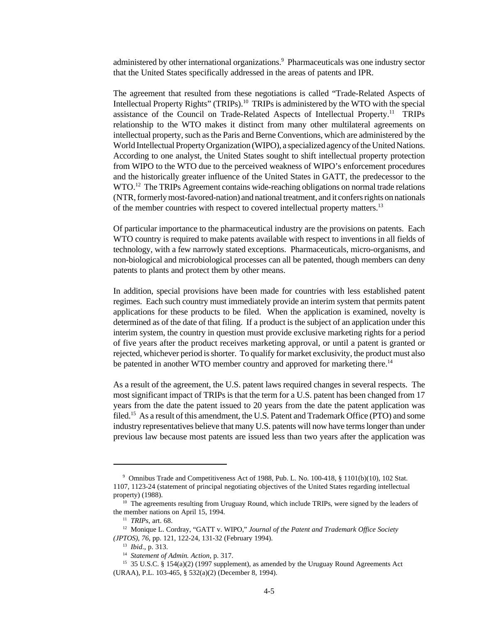administered by other international organizations.<sup>9</sup> Pharmaceuticals was one industry sector that the United States specifically addressed in the areas of patents and IPR.

The agreement that resulted from these negotiations is called "Trade-Related Aspects of Intellectual Property Rights" (TRIPs).<sup>10</sup> TRIPs is administered by the WTO with the special assistance of the Council on Trade-Related Aspects of Intellectual Property.<sup>11</sup> TRIPs relationship to the WTO makes it distinct from many other multilateral agreements on intellectual property, such as the Paris and Berne Conventions, which are administered by the World Intellectual Property Organization (WIPO), a specialized agency of the United Nations. According to one analyst, the United States sought to shift intellectual property protection from WIPO to the WTO due to the perceived weakness of WIPO's enforcement procedures and the historically greater influence of the United States in GATT, the predecessor to the WTO.<sup>12</sup> The TRIPs Agreement contains wide-reaching obligations on normal trade relations (NTR, formerly most-favored-nation) and national treatment, and it confers rights on nationals of the member countries with respect to covered intellectual property matters.<sup>13</sup>

Of particular importance to the pharmaceutical industry are the provisions on patents. Each WTO country is required to make patents available with respect to inventions in all fields of technology, with a few narrowly stated exceptions. Pharmaceuticals, micro-organisms, and non-biological and microbiological processes can all be patented, though members can deny patents to plants and protect them by other means.

In addition, special provisions have been made for countries with less established patent regimes. Each such country must immediately provide an interim system that permits patent applications for these products to be filed. When the application is examined, novelty is determined as of the date of that filing. If a product is the subject of an application under this interim system, the country in question must provide exclusive marketing rights for a period of five years after the product receives marketing approval, or until a patent is granted or rejected, whichever period is shorter. To qualify for market exclusivity, the product must also be patented in another WTO member country and approved for marketing there.<sup>14</sup>

As a result of the agreement, the U.S. patent laws required changes in several respects. The most significant impact of TRIPs is that the term for a U.S. patent has been changed from 17 years from the date the patent issued to 20 years from the date the patent application was filed.<sup>15</sup> As a result of this amendment, the U.S. Patent and Trademark Office (PTO) and some industry representatives believe that many U.S. patents will now have terms longer than under previous law because most patents are issued less than two years after the application was

<sup>9</sup> Omnibus Trade and Competitiveness Act of 1988, Pub. L. No. 100-418, § 1101(b)(10), 102 Stat. 1107, 1123-24 (statement of principal negotiating objectives of the United States regarding intellectual property) (1988).

 $\frac{10}{10}$  The agreements resulting from Uruguay Round, which include TRIPs, were signed by the leaders of the member nations on April 15, 1994.

<sup>11</sup> *TRIPs*, art. 68.

<sup>&</sup>lt;sup>12</sup> Monique L. Cordray, "GATT v. WIPO," Journal of the Patent and Trademark Office Society *(JPTOS)*, *76*, pp. 121, 122-24, 131-32 (February 1994).

<sup>13</sup> *Ibid*., p. 313.

<sup>14</sup> *Statement of Admin. Action*, p. 317.

<sup>&</sup>lt;sup>15</sup> 35 U.S.C. § 154(a)(2) (1997 supplement), as amended by the Uruguay Round Agreements Act (URAA), P.L. 103-465, § 532(a)(2) (December 8, 1994).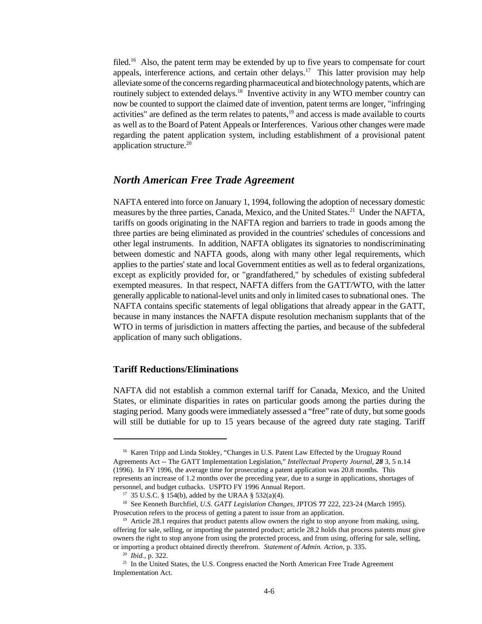filed.<sup>16</sup> Also, the patent term may be extended by up to five years to compensate for court appeals, interference actions, and certain other delays.<sup>17</sup> This latter provision may help alleviate some of the concerns regarding pharmaceutical and biotechnology patents, which are routinely subject to extended delays.<sup>18</sup> Inventive activity in any WTO member country can now be counted to support the claimed date of invention, patent terms are longer, "infringing activities" are defined as the term relates to patents, $19$  and access is made available to courts as well as to the Board of Patent Appeals or Interferences. Various other changes were made regarding the patent application system, including establishment of a provisional patent application structure. $20$ 

### *North American Free Trade Agreement*

NAFTA entered into force on January 1, 1994, following the adoption of necessary domestic measures by the three parties, Canada, Mexico, and the United States.<sup>21</sup> Under the NAFTA, tariffs on goods originating in the NAFTA region and barriers to trade in goods among the three parties are being eliminated as provided in the countries' schedules of concessions and other legal instruments. In addition, NAFTA obligates its signatories to nondiscriminating between domestic and NAFTA goods, along with many other legal requirements, which applies to the parties' state and local Government entities as well as to federal organizations, except as explicitly provided for, or "grandfathered," by schedules of existing subfederal exempted measures. In that respect, NAFTA differs from the GATT/WTO, with the latter generally applicable to national-level units and only in limited cases to subnational ones. The NAFTA contains specific statements of legal obligations that already appear in the GATT, because in many instances the NAFTA dispute resolution mechanism supplants that of the WTO in terms of jurisdiction in matters affecting the parties, and because of the subfederal application of many such obligations.

#### **Tariff Reductions/Eliminations**

NAFTA did not establish a common external tariff for Canada, Mexico, and the United States, or eliminate disparities in rates on particular goods among the parties during the staging period. Many goods were immediately assessed a "free" rate of duty, but some goods will still be dutiable for up to 15 years because of the agreed duty rate staging. Tariff

<sup>&</sup>lt;sup>16</sup> Karen Tripp and Linda Stokley, "Changes in U.S. Patent Law Effected by the Uruguay Round Agreements Act -- The GATT Implementation Legislation," *Intellectual Property Journal, 28* 3, 5 n.14 (1996). In FY 1996, the average time for prosecuting a patent application was 20.8 months. This represents an increase of 1.2 months over the preceding year, due to a surge in applications, shortages of personnel, and budget cutbacks. USPTO FY 1996 Annual Report.

<sup>&</sup>lt;sup>17</sup> 35 U.S.C. § 154(b), added by the URAA § 532(a)(4).

<sup>18</sup> See Kenneth Burchfiel, *U.S. GATT Legislation Changes*, JPTOS **77** 222, 223-24 (March 1995). Prosecution refers to the process of getting a patent to issue from an application.

<sup>&</sup>lt;sup>19</sup> Article 28.1 requires that product patents allow owners the right to stop anyone from making, using, offering for sale, selling, or importing the patented product; article 28.2 holds that process patents must give owners the right to stop anyone from using the protected process, and from using, offering for sale, selling, or importing a product obtained directly therefrom. *Statement of Admin. Action*, p. 335.

<sup>20</sup> *Ibid.*, p. 322.

<sup>&</sup>lt;sup>21</sup> In the United States, the U.S. Congress enacted the North American Free Trade Agreement Implementation Act.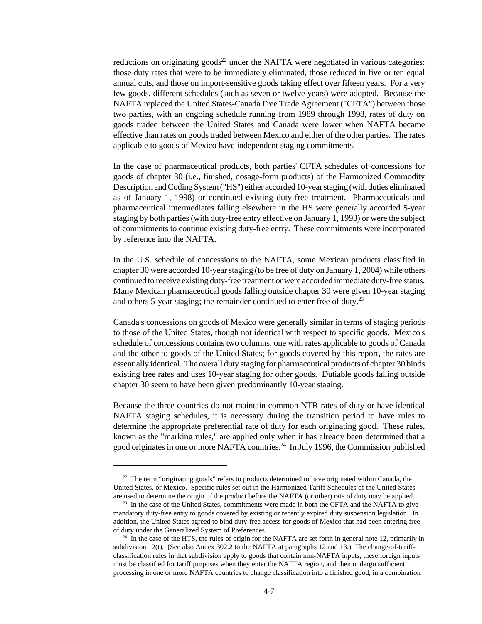reductions on originating goods<sup>22</sup> under the NAFTA were negotiated in various categories: those duty rates that were to be immediately eliminated, those reduced in five or ten equal annual cuts, and those on import-sensitive goods taking effect over fifteen years. For a very few goods, different schedules (such as seven or twelve years) were adopted. Because the NAFTA replaced the United States-Canada Free Trade Agreement ("CFTA") between those two parties, with an ongoing schedule running from 1989 through 1998, rates of duty on goods traded between the United States and Canada were lower when NAFTA became effective than rates on goods traded between Mexico and either of the other parties. The rates applicable to goods of Mexico have independent staging commitments.

In the case of pharmaceutical products, both parties' CFTA schedules of concessions for goods of chapter 30 (i.e., finished, dosage-form products) of the Harmonized Commodity Description and Coding System ("HS") either accorded 10-year staging (with duties eliminated as of January 1, 1998) or continued existing duty-free treatment. Pharmaceuticals and pharmaceutical intermediates falling elsewhere in the HS were generally accorded 5-year staging by both parties (with duty-free entry effective on January 1, 1993) or were the subject of commitments to continue existing duty-free entry. These commitments were incorporated by reference into the NAFTA.

In the U.S. schedule of concessions to the NAFTA, some Mexican products classified in chapter 30 were accorded 10-year staging (to be free of duty on January 1, 2004) while others continued to receive existing duty-free treatment or were accorded immediate duty-free status. Many Mexican pharmaceutical goods falling outside chapter 30 were given 10-year staging and others 5-year staging; the remainder continued to enter free of duty.<sup>23</sup>

Canada's concessions on goods of Mexico were generally similar in terms of staging periods to those of the United States, though not identical with respect to specific goods. Mexico's schedule of concessions contains two columns, one with rates applicable to goods of Canada and the other to goods of the United States; for goods covered by this report, the rates are essentially identical. The overall duty staging for pharmaceutical products of chapter 30 binds existing free rates and uses 10-year staging for other goods. Dutiable goods falling outside chapter 30 seem to have been given predominantly 10-year staging.

Because the three countries do not maintain common NTR rates of duty or have identical NAFTA staging schedules, it is necessary during the transition period to have rules to determine the appropriate preferential rate of duty for each originating good. These rules, known as the "marking rules," are applied only when it has already been determined that a good originates in one or more NAFTA countries.<sup>24</sup> In July 1996, the Commission published

<sup>&</sup>lt;sup>22</sup> The term "originating goods" refers to products determined to have originated within Canada, the United States, or Mexico. Specific rules set out in the Harmonized Tariff Schedules of the United States are used to determine the origin of the product before the NAFTA (or other) rate of duty may be applied.

<sup>&</sup>lt;sup>23</sup> In the case of the United States, commitments were made in both the CFTA and the NAFTA to give mandatory duty-free entry to goods covered by existing or recently expired duty suspension legislation. In addition, the United States agreed to bind duty-free access for goods of Mexico that had been entering free of duty under the Generalized System of Preferences.

 $24$  In the case of the HTS, the rules of origin for the NAFTA are set forth in general note 12, primarily in subdivision 12(t). (See also Annex 302.2 to the NAFTA at paragraphs 12 and 13.) The change-of-tariffclassification rules in that subdivision apply to goods that contain non-NAFTA inputs; these foreign inputs must be classified for tariff purposes when they enter the NAFTA region, and then undergo sufficient processing in one or more NAFTA countries to change classification into a finished good, in a combination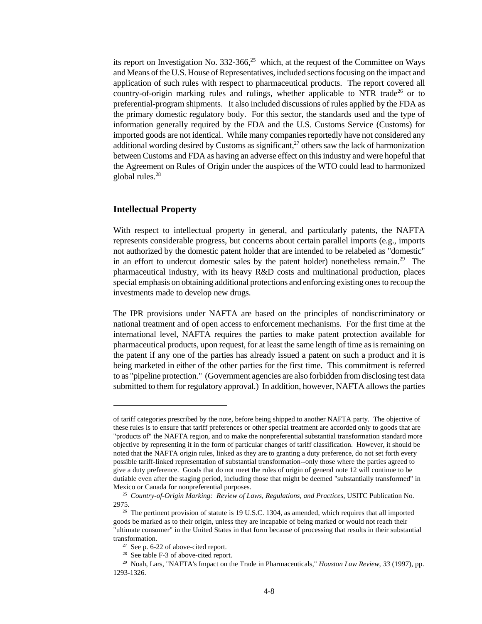its report on Investigation No. 332-366, $2<sup>5</sup>$  which, at the request of the Committee on Ways and Means of the U.S. House of Representatives, included sections focusing on the impact and application of such rules with respect to pharmaceutical products. The report covered all country-of-origin marking rules and rulings, whether applicable to NTR trade<sup>26</sup> or to preferential-program shipments. It also included discussions of rules applied by the FDA as the primary domestic regulatory body. For this sector, the standards used and the type of information generally required by the FDA and the U.S. Customs Service (Customs) for imported goods are not identical. While many companies reportedly have not considered any additional wording desired by Customs as significant, $^{27}$  others saw the lack of harmonization between Customs and FDA as having an adverse effect on this industry and were hopeful that the Agreement on Rules of Origin under the auspices of the WTO could lead to harmonized global rules.<sup>28</sup>

#### **Intellectual Property**

With respect to intellectual property in general, and particularly patents, the NAFTA represents considerable progress, but concerns about certain parallel imports (e.g., imports not authorized by the domestic patent holder that are intended to be relabeled as "domestic" in an effort to undercut domestic sales by the patent holder) nonetheless remain.<sup>29</sup> The pharmaceutical industry, with its heavy R&D costs and multinational production, places special emphasis on obtaining additional protections and enforcing existing ones to recoup the investments made to develop new drugs.

The IPR provisions under NAFTA are based on the principles of nondiscriminatory or national treatment and of open access to enforcement mechanisms. For the first time at the international level, NAFTA requires the parties to make patent protection available for pharmaceutical products, upon request, for at least the same length of time as is remaining on the patent if any one of the parties has already issued a patent on such a product and it is being marketed in either of the other parties for the first time. This commitment is referred to as "pipeline protection." (Government agencies are also forbidden from disclosing test data submitted to them for regulatory approval.) In addition, however, NAFTA allows the parties

of tariff categories prescribed by the note, before being shipped to another NAFTA party. The objective of these rules is to ensure that tariff preferences or other special treatment are accorded only to goods that are "products of" the NAFTA region, and to make the nonpreferential substantial transformation standard more objective by representing it in the form of particular changes of tariff classification. However, it should be noted that the NAFTA origin rules, linked as they are to granting a duty preference, do not set forth every possible tariff-linked representation of substantial transformation--only those where the parties agreed to give a duty preference. Goods that do not meet the rules of origin of general note 12 will continue to be dutiable even after the staging period, including those that might be deemed "substantially transformed" in Mexico or Canada for nonpreferential purposes.

<sup>25</sup> *Country-of-Origin Marking: Review of Laws, Regulations, and Practices*, USITC Publication No. 2975.

 $26$  The pertinent provision of statute is 19 U.S.C. 1304, as amended, which requires that all imported goods be marked as to their origin, unless they are incapable of being marked or would not reach their "ultimate consumer" in the United States in that form because of processing that results in their substantial transformation.

 $27$  See p. 6-22 of above-cited report.

<sup>&</sup>lt;sup>28</sup> See table F-3 of above-cited report.

<sup>29</sup> Noah, Lars, "NAFTA's Impact on the Trade in Pharmaceuticals," *Houston Law Review*, *33* (1997), pp. 1293-1326.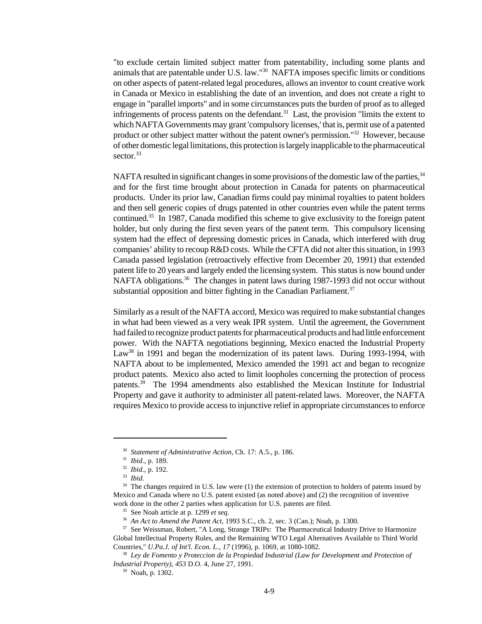"to exclude certain limited subject matter from patentability, including some plants and animals that are patentable under U.S. law."<sup>30</sup> NAFTA imposes specific limits or conditions on other aspects of patent-related legal procedures, allows an inventor to count creative work in Canada or Mexico in establishing the date of an invention, and does not create a right to engage in "parallel imports" and in some circumstances puts the burden of proof as to alleged infringements of process patents on the defendant.<sup>31</sup> Last, the provision "limits the extent to which NAFTA Governments may grant 'compulsory licenses,' that is, permit use of a patented product or other subject matter without the patent owner's permission."<sup>32</sup> However, because of other domestic legal limitations, this protection is largely inapplicable to the pharmaceutical sector.<sup>33</sup>

NAFTA resulted in significant changes in some provisions of the domestic law of the parties,<sup>34</sup> and for the first time brought about protection in Canada for patents on pharmaceutical products. Under its prior law, Canadian firms could pay minimal royalties to patent holders and then sell generic copies of drugs patented in other countries even while the patent terms continued.<sup>35</sup> In 1987, Canada modified this scheme to give exclusivity to the foreign patent holder, but only during the first seven years of the patent term. This compulsory licensing system had the effect of depressing domestic prices in Canada, which interfered with drug companies' ability to recoup R&D costs. While the CFTA did not alter this situation, in 1993 Canada passed legislation (retroactively effective from December 20, 1991) that extended patent life to 20 years and largely ended the licensing system. This status is now bound under NAFTA obligations.<sup>36</sup> The changes in patent laws during 1987-1993 did not occur without substantial opposition and bitter fighting in the Canadian Parliament.<sup>37</sup>

Similarly as a result of the NAFTA accord, Mexico was required to make substantial changes in what had been viewed as a very weak IPR system. Until the agreement, the Government had failed to recognize product patents for pharmaceutical products and had little enforcement power. With the NAFTA negotiations beginning, Mexico enacted the Industrial Property Law<sup>38</sup> in 1991 and began the modernization of its patent laws. During 1993-1994, with NAFTA about to be implemented, Mexico amended the 1991 act and began to recognize product patents. Mexico also acted to limit loopholes concerning the protection of process patents.<sup>39</sup> The 1994 amendments also established the Mexican Institute for Industrial Property and gave it authority to administer all patent-related laws. Moreover, the NAFTA requires Mexico to provide access to injunctive relief in appropriate circumstances to enforce

<sup>30</sup> *Statement of Administrative Action*, Ch. 17: A.5., p. 186.

<sup>31</sup> *Ibid*., p. 189.

<sup>32</sup> *Ibid*., p. 192.

<sup>33</sup> *Ibid*.

<sup>&</sup>lt;sup>34</sup> The changes required in U.S. law were (1) the extension of protection to holders of patents issued by Mexico and Canada where no U.S. patent existed (as noted above) and (2) the recognition of inventive work done in the other 2 parties when application for U.S. patents are filed.

<sup>35</sup> See Noah article at p. 1299 *et seq*.

<sup>36</sup> *An Act to Amend the Patent Act,* 1993 S.C., ch. 2, sec. 3 (Can.); Noah, p. 1300.

<sup>&</sup>lt;sup>37</sup> See Weissman, Robert, "A Long, Strange TRIPs: The Pharmaceutical Industry Drive to Harmonize Global Intellectual Property Rules, and the Remaining WTO Legal Alternatives Available to Third World Countries," *U.Pa.J. of Int'l. Econ. L*., *17* (1996), p. 1069, at 1080-1082.

<sup>38</sup> *Ley de Fomento y Proteccion de la Propiedad Industrial (Law for Development and Protection of Industrial Property)*, *453* D.O. 4, June 27, 1991.

<sup>39</sup> Noah, p. 1302.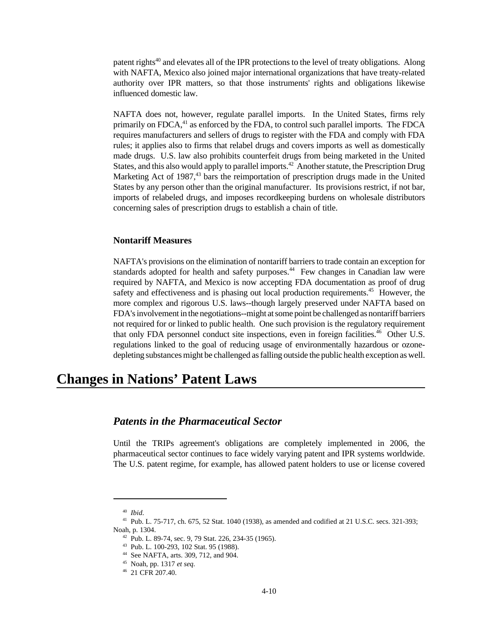patent rights<sup>40</sup> and elevates all of the IPR protections to the level of treaty obligations. Along with NAFTA, Mexico also joined major international organizations that have treaty-related authority over IPR matters, so that those instruments' rights and obligations likewise influenced domestic law.

NAFTA does not, however, regulate parallel imports. In the United States, firms rely primarily on FDCA,<sup>41</sup> as enforced by the FDA, to control such parallel imports. The FDCA requires manufacturers and sellers of drugs to register with the FDA and comply with FDA rules; it applies also to firms that relabel drugs and covers imports as well as domestically made drugs. U.S. law also prohibits counterfeit drugs from being marketed in the United States, and this also would apply to parallel imports.<sup>42</sup> Another statute, the Prescription Drug Marketing Act of  $1987<sup>43</sup>$  bars the reimportation of prescription drugs made in the United States by any person other than the original manufacturer. Its provisions restrict, if not bar, imports of relabeled drugs, and imposes recordkeeping burdens on wholesale distributors concerning sales of prescription drugs to establish a chain of title.

#### **Nontariff Measures**

NAFTA's provisions on the elimination of nontariff barriers to trade contain an exception for standards adopted for health and safety purposes.<sup>44</sup> Few changes in Canadian law were required by NAFTA, and Mexico is now accepting FDA documentation as proof of drug safety and effectiveness and is phasing out local production requirements.<sup>45</sup> However, the more complex and rigorous U.S. laws--though largely preserved under NAFTA based on FDA's involvement in the negotiations--might at some point be challenged as nontariff barriers not required for or linked to public health. One such provision is the regulatory requirement that only FDA personnel conduct site inspections, even in foreign facilities.<sup>46</sup> Other U.S. regulations linked to the goal of reducing usage of environmentally hazardous or ozonedepleting substances might be challenged as falling outside the public health exception as well.

# **Changes in Nations' Patent Laws**

# *Patents in the Pharmaceutical Sector*

Until the TRIPs agreement's obligations are completely implemented in 2006, the pharmaceutical sector continues to face widely varying patent and IPR systems worldwide. The U.S. patent regime, for example, has allowed patent holders to use or license covered

<sup>40</sup> *Ibid*.

<sup>41</sup> Pub. L. 75-717, ch. 675, 52 Stat. 1040 (1938), as amended and codified at 21 U.S.C. secs. 321-393; Noah, p. 1304.

 $42$  Pub. L. 89-74, sec. 9, 79 Stat. 226, 234-35 (1965).

<sup>43</sup> Pub. L. 100-293, 102 Stat. 95 (1988).

<sup>44</sup> See NAFTA, arts. 309, 712, and 904.

<sup>45</sup> Noah, pp. 1317 *et seq*.

<sup>46</sup> 21 CFR 207.40.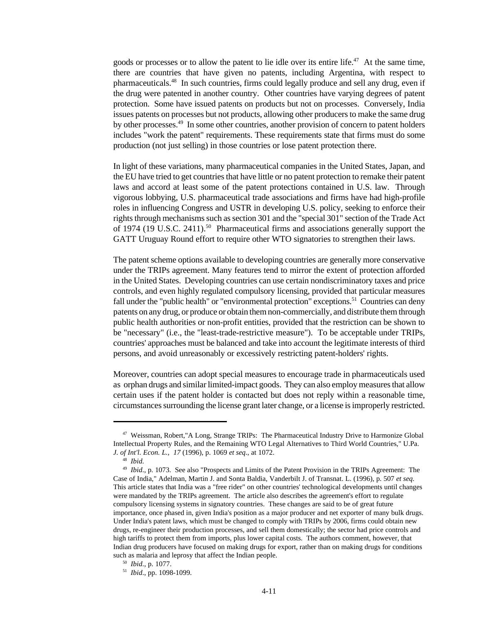goods or processes or to allow the patent to lie idle over its entire life.<sup>47</sup> At the same time, there are countries that have given no patents, including Argentina, with respect to pharmaceuticals.<sup>48</sup> In such countries, firms could legally produce and sell any drug, even if the drug were patented in another country. Other countries have varying degrees of patent protection. Some have issued patents on products but not on processes. Conversely, India issues patents on processes but not products, allowing other producers to make the same drug by other processes.<sup>49</sup> In some other countries, another provision of concern to patent holders includes "work the patent" requirements. These requirements state that firms must do some production (not just selling) in those countries or lose patent protection there.

In light of these variations, many pharmaceutical companies in the United States, Japan, and the EU have tried to get countries that have little or no patent protection to remake their patent laws and accord at least some of the patent protections contained in U.S. law. Through vigorous lobbying, U.S. pharmaceutical trade associations and firms have had high-profile roles in influencing Congress and USTR in developing U.S. policy, seeking to enforce their rights through mechanisms such as section 301 and the "special 301" section of the Trade Act of 1974 (19 U.S.C. 2411).<sup>50</sup> Pharmaceutical firms and associations generally support the GATT Uruguay Round effort to require other WTO signatories to strengthen their laws.

The patent scheme options available to developing countries are generally more conservative under the TRIPs agreement. Many features tend to mirror the extent of protection afforded in the United States. Developing countries can use certain nondiscriminatory taxes and price controls, and even highly regulated compulsory licensing, provided that particular measures fall under the "public health" or "environmental protection" exceptions.<sup>51</sup> Countries can deny patents on any drug, or produce or obtain them non-commercially, and distribute them through public health authorities or non-profit entities, provided that the restriction can be shown to be "necessary" (i.e., the "least-trade-restrictive measure"). To be acceptable under TRIPs, countries' approaches must be balanced and take into account the legitimate interests of third persons, and avoid unreasonably or excessively restricting patent-holders' rights.

Moreover, countries can adopt special measures to encourage trade in pharmaceuticals used as orphan drugs and similar limited-impact goods. They can also employ measures that allow certain uses if the patent holder is contacted but does not reply within a reasonable time, circumstances surrounding the license grant later change, or a license is improperly restricted.

<sup>47</sup> Weissman, Robert,"A Long, Strange TRIPs: The Pharmaceutical Industry Drive to Harmonize Global Intellectual Property Rules, and the Remaining WTO Legal Alternatives to Third World Countries," U.Pa. *J. of Int'l. Econ. L.*, *17* (1996), p. 1069 *et seq*., at 1072.

<sup>48</sup> *Ibid.*

<sup>49</sup> *Ibid*., p. 1073. See also "Prospects and Limits of the Patent Provision in the TRIPs Agreement: The Case of India," Adelman, Martin J. and Sonta Baldia, Vanderbilt J. of Transnat. L. (1996), p. 507 *et seq*. This article states that India was a "free rider" on other countries' technological developments until changes were mandated by the TRIPs agreement. The article also describes the agreement's effort to regulate compulsory licensing systems in signatory countries. These changes are said to be of great future importance, once phased in, given India's position as a major producer and net exporter of many bulk drugs. Under India's patent laws, which must be changed to comply with TRIPs by 2006, firms could obtain new drugs, re-engineer their production processes, and sell them domestically; the sector had price controls and high tariffs to protect them from imports, plus lower capital costs. The authors comment, however, that Indian drug producers have focused on making drugs for export, rather than on making drugs for conditions such as malaria and leprosy that affect the Indian people.

<sup>50</sup> *Ibid*., p. 1077.

<sup>51</sup> *Ibid*., pp. 1098-1099.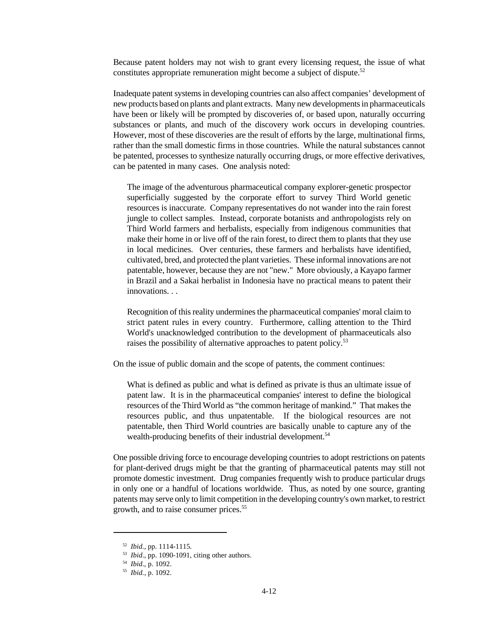Because patent holders may not wish to grant every licensing request, the issue of what constitutes appropriate remuneration might become a subject of dispute.<sup>52</sup>

Inadequate patent systems in developing countries can also affect companies' development of new products based on plants and plant extracts. Many new developments in pharmaceuticals have been or likely will be prompted by discoveries of, or based upon, naturally occurring substances or plants, and much of the discovery work occurs in developing countries. However, most of these discoveries are the result of efforts by the large, multinational firms, rather than the small domestic firms in those countries. While the natural substances cannot be patented, processes to synthesize naturally occurring drugs, or more effective derivatives, can be patented in many cases. One analysis noted:

The image of the adventurous pharmaceutical company explorer-genetic prospector superficially suggested by the corporate effort to survey Third World genetic resources is inaccurate. Company representatives do not wander into the rain forest jungle to collect samples. Instead, corporate botanists and anthropologists rely on Third World farmers and herbalists, especially from indigenous communities that make their home in or live off of the rain forest, to direct them to plants that they use in local medicines. Over centuries, these farmers and herbalists have identified, cultivated, bred, and protected the plant varieties. These informal innovations are not patentable, however, because they are not "new." More obviously, a Kayapo farmer in Brazil and a Sakai herbalist in Indonesia have no practical means to patent their innovations. . .

Recognition of this reality undermines the pharmaceutical companies' moral claim to strict patent rules in every country. Furthermore, calling attention to the Third World's unacknowledged contribution to the development of pharmaceuticals also raises the possibility of alternative approaches to patent policy.<sup>53</sup>

On the issue of public domain and the scope of patents, the comment continues:

What is defined as public and what is defined as private is thus an ultimate issue of patent law. It is in the pharmaceutical companies' interest to define the biological resources of the Third World as "the common heritage of mankind." That makes the resources public, and thus unpatentable. If the biological resources are not patentable, then Third World countries are basically unable to capture any of the wealth-producing benefits of their industrial development.<sup>54</sup>

One possible driving force to encourage developing countries to adopt restrictions on patents for plant-derived drugs might be that the granting of pharmaceutical patents may still not promote domestic investment. Drug companies frequently wish to produce particular drugs in only one or a handful of locations worldwide. Thus, as noted by one source, granting patents may serve only to limit competition in the developing country's own market, to restrict growth, and to raise consumer prices.<sup>55</sup>

<sup>52</sup> *Ibid*., pp. 1114-1115.

<sup>53</sup> *Ibid*., pp. 1090-1091, citing other authors.

<sup>54</sup> *Ibid*., p. 1092.

<sup>55</sup> *Ibid.*, p. 1092.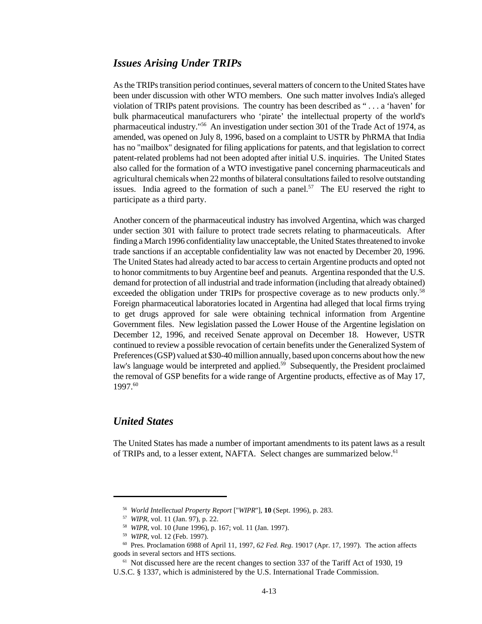# *Issues Arising Under TRIPs*

As the TRIPs transition period continues, several matters of concern to the United States have been under discussion with other WTO members. One such matter involves India's alleged violation of TRIPs patent provisions. The country has been described as " . . . a 'haven' for bulk pharmaceutical manufacturers who 'pirate' the intellectual property of the world's pharmaceutical industry."<sup>56</sup> An investigation under section 301 of the Trade Act of 1974, as amended, was opened on July 8, 1996, based on a complaint to USTR by PhRMA that India has no "mailbox" designated for filing applications for patents, and that legislation to correct patent-related problems had not been adopted after initial U.S. inquiries. The United States also called for the formation of a WTO investigative panel concerning pharmaceuticals and agricultural chemicals when 22 months of bilateral consultations failed to resolve outstanding issues. India agreed to the formation of such a panel.<sup>57</sup> The EU reserved the right to participate as a third party.

Another concern of the pharmaceutical industry has involved Argentina, which was charged under section 301 with failure to protect trade secrets relating to pharmaceuticals. After finding a March 1996 confidentiality law unacceptable, the United States threatened to invoke trade sanctions if an acceptable confidentiality law was not enacted by December 20, 1996. The United States had already acted to bar access to certain Argentine products and opted not to honor commitments to buy Argentine beef and peanuts. Argentina responded that the U.S. demand for protection of all industrial and trade information (including that already obtained) exceeded the obligation under TRIPs for prospective coverage as to new products only.<sup>58</sup> Foreign pharmaceutical laboratories located in Argentina had alleged that local firms trying to get drugs approved for sale were obtaining technical information from Argentine Government files. New legislation passed the Lower House of the Argentine legislation on December 12, 1996, and received Senate approval on December 18. However, USTR continued to review a possible revocation of certain benefits under the Generalized System of Preferences (GSP) valued at \$30-40 million annually, based upon concerns about how the new law's language would be interpreted and applied.<sup>59</sup> Subsequently, the President proclaimed the removal of GSP benefits for a wide range of Argentine products, effective as of May 17, 1997.<sup>60</sup>

# *United States*

The United States has made a number of important amendments to its patent laws as a result of TRIPs and, to a lesser extent, NAFTA. Select changes are summarized below.<sup>61</sup>

<sup>56</sup> *World Intellectual Property Report* ["*WIPR*"], **10** (Sept. 1996), p. 283.

<sup>57</sup> *WIPR*, vol. 11 (Jan. 97), p. 22.

<sup>58</sup> *WIPR*, vol. 10 (June 1996), p. 167; vol. 11 (Jan. 1997).

<sup>59</sup> *WIPR*, vol. 12 (Feb. 1997).

<sup>60</sup> Pres. Proclamation 6988 of April 11, 1997, *62 Fed. Reg*. 19017 (Apr. 17, 1997). The action affects goods in several sectors and HTS sections.

<sup>&</sup>lt;sup>61</sup> Not discussed here are the recent changes to section 337 of the Tariff Act of 1930, 19 U.S.C. § 1337, which is administered by the U.S. International Trade Commission.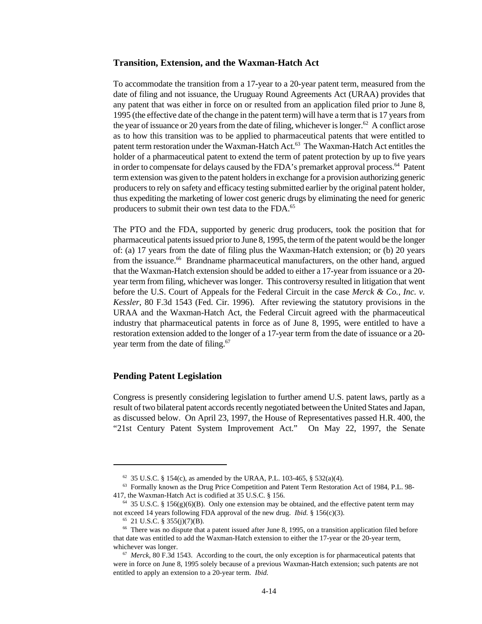#### **Transition, Extension, and the Waxman-Hatch Act**

To accommodate the transition from a 17-year to a 20-year patent term, measured from the date of filing and not issuance, the Uruguay Round Agreements Act (URAA) provides that any patent that was either in force on or resulted from an application filed prior to June 8, 1995 (the effective date of the change in the patent term) will have a term that is 17 years from the year of issuance or 20 years from the date of filing, whichever is longer.<sup>62</sup> A conflict arose as to how this transition was to be applied to pharmaceutical patents that were entitled to patent term restoration under the Waxman-Hatch Act.<sup>63</sup> The Waxman-Hatch Act entitles the holder of a pharmaceutical patent to extend the term of patent protection by up to five years in order to compensate for delays caused by the FDA's premarket approval process.<sup>64</sup> Patent term extension was given to the patent holders in exchange for a provision authorizing generic producers to rely on safety and efficacy testing submitted earlier by the original patent holder, thus expediting the marketing of lower cost generic drugs by eliminating the need for generic producers to submit their own test data to the FDA.<sup>65</sup>

The PTO and the FDA, supported by generic drug producers, took the position that for pharmaceutical patents issued prior to June 8, 1995, the term of the patent would be the longer of: (a) 17 years from the date of filing plus the Waxman-Hatch extension; or (b) 20 years from the issuance.<sup>66</sup> Brandname pharmaceutical manufacturers, on the other hand, argued that the Waxman-Hatch extension should be added to either a 17-year from issuance or a 20 year term from filing, whichever was longer. This controversy resulted in litigation that went before the U.S. Court of Appeals for the Federal Circuit in the case *Merck & Co., Inc. v. Kessler*, 80 F.3d 1543 (Fed. Cir. 1996). After reviewing the statutory provisions in the URAA and the Waxman-Hatch Act, the Federal Circuit agreed with the pharmaceutical industry that pharmaceutical patents in force as of June 8, 1995, were entitled to have a restoration extension added to the longer of a 17-year term from the date of issuance or a 20 year term from the date of filing.<sup>67</sup>

#### **Pending Patent Legislation**

Congress is presently considering legislation to further amend U.S. patent laws, partly as a result of two bilateral patent accords recently negotiated between the United States and Japan, as discussed below. On April 23, 1997, the House of Representatives passed H.R. 400, the "21st Century Patent System Improvement Act." On May 22, 1997, the Senate

 $62$  35 U.S.C. § 154(c), as amended by the URAA, P.L. 103-465, § 532(a)(4).

 $63$  Formally known as the Drug Price Competition and Patent Term Restoration Act of 1984, P.L. 98-417, the Waxman-Hatch Act is codified at 35 U.S.C. § 156.

<sup>&</sup>lt;sup>64</sup> 35 U.S.C. § 156(g)(6)(B). Only one extension may be obtained, and the effective patent term may not exceed 14 years following FDA approval of the new drug. *Ibid.* § 156(c)(3).

 $65$  21 U.S.C. § 355(j)(7)(B).

<sup>&</sup>lt;sup>66</sup> There was no dispute that a patent issued after June 8, 1995, on a transition application filed before that date was entitled to add the Waxman-Hatch extension to either the 17-year or the 20-year term, whichever was longer.

<sup>67</sup> *Merck*, 80 F.3d 1543. According to the court, the only exception is for pharmaceutical patents that were in force on June 8, 1995 solely because of a previous Waxman-Hatch extension; such patents are not entitled to apply an extension to a 20-year term. *Ibid.*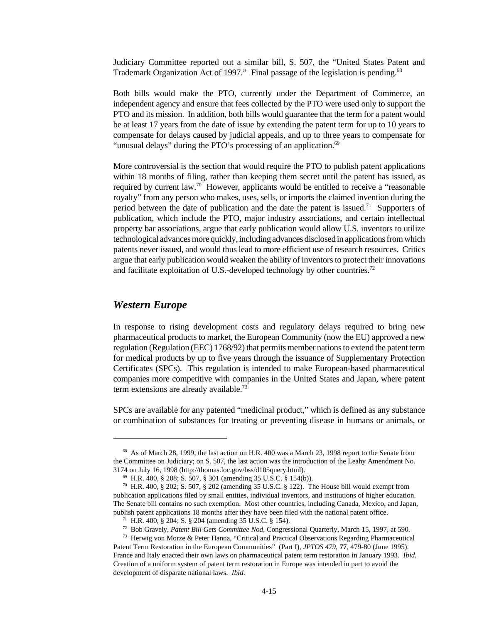Judiciary Committee reported out a similar bill, S. 507, the "United States Patent and Trademark Organization Act of 1997." Final passage of the legislation is pending.<sup>68</sup>

Both bills would make the PTO, currently under the Department of Commerce, an independent agency and ensure that fees collected by the PTO were used only to support the PTO and its mission. In addition, both bills would guarantee that the term for a patent would be at least 17 years from the date of issue by extending the patent term for up to 10 years to compensate for delays caused by judicial appeals, and up to three years to compensate for "unusual delays" during the PTO's processing of an application. $69$ 

More controversial is the section that would require the PTO to publish patent applications within 18 months of filing, rather than keeping them secret until the patent has issued, as required by current law.<sup>70</sup> However, applicants would be entitled to receive a "reasonable royalty" from any person who makes, uses, sells, or imports the claimed invention during the period between the date of publication and the date the patent is issued.<sup>71</sup> Supporters of publication, which include the PTO, major industry associations, and certain intellectual property bar associations, argue that early publication would allow U.S. inventors to utilize technological advances more quickly, including advances disclosed in applications from which patents never issued, and would thus lead to more efficient use of research resources. Critics argue that early publication would weaken the ability of inventors to protect their innovations and facilitate exploitation of U.S.-developed technology by other countries.<sup>72</sup>

# *Western Europe*

In response to rising development costs and regulatory delays required to bring new pharmaceutical products to market, the European Community (now the EU) approved a new regulation (Regulation (EEC) 1768/92) that permits member nations to extend the patent term for medical products by up to five years through the issuance of Supplementary Protection Certificates (SPCs). This regulation is intended to make European-based pharmaceutical companies more competitive with companies in the United States and Japan, where patent term extensions are already available.<sup>73</sup>

SPCs are available for any patented "medicinal product," which is defined as any substance or combination of substances for treating or preventing disease in humans or animals, or

<sup>&</sup>lt;sup>68</sup> As of March 28, 1999, the last action on H.R. 400 was a March 23, 1998 report to the Senate from the Committee on Judiciary; on S. 507, the last action was the introduction of the Leahy Amendment No. 3174 on July 16, 1998 (http://thomas.loc.gov/bss/d105query.html).

<sup>69</sup> H.R. 400, § 208; S. 507, § 301 (amending 35 U.S.C. § 154(b)).

<sup>&</sup>lt;sup>70</sup> H.R. 400, § 202; S. 507, § 202 (amending 35 U.S.C. § 122). The House bill would exempt from publication applications filed by small entities, individual inventors, and institutions of higher education. The Senate bill contains no such exemption. Most other countries, including Canada, Mexico, and Japan, publish patent applications 18 months after they have been filed with the national patent office.

<sup>71</sup> H.R. 400, § 204; S. § 204 (amending 35 U.S.C. § 154).

<sup>72</sup> Bob Gravely, *Patent Bill Gets Committee Nod*, Congressional Quarterly, March 15, 1997, at 590.

<sup>73</sup> Herwig von Morze & Peter Hanna, "Critical and Practical Observations Regarding Pharmaceutical Patent Term Restoration in the European Communities" (Part I), *JPTOS 479*, **77**, 479-80 (June 1995). France and Italy enacted their own laws on pharmaceutical patent term restoration in January 1993. *Ibid.* Creation of a uniform system of patent term restoration in Europe was intended in part to avoid the development of disparate national laws. *Ibid.*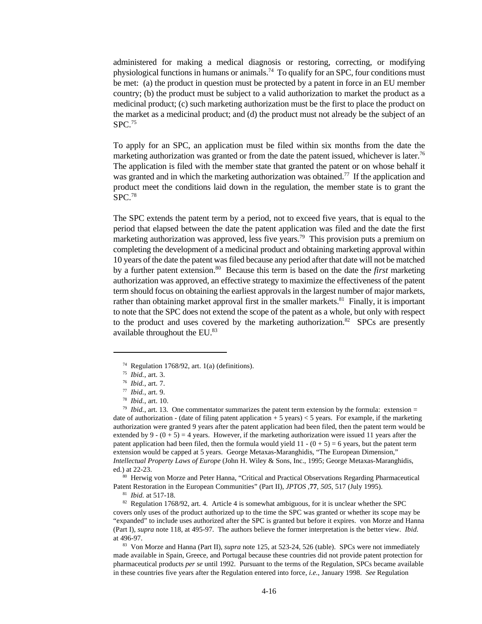administered for making a medical diagnosis or restoring, correcting, or modifying physiological functions in humans or animals.<sup>74</sup> To qualify for an SPC, four conditions must be met: (a) the product in question must be protected by a patent in force in an EU member country; (b) the product must be subject to a valid authorization to market the product as a medicinal product; (c) such marketing authorization must be the first to place the product on the market as a medicinal product; and (d) the product must not already be the subject of an SPC.<sup>75</sup>

To apply for an SPC, an application must be filed within six months from the date the marketing authorization was granted or from the date the patent issued, whichever is later.<sup>76</sup> The application is filed with the member state that granted the patent or on whose behalf it was granted and in which the marketing authorization was obtained.<sup>77</sup> If the application and product meet the conditions laid down in the regulation, the member state is to grant the SPC.<sup>78</sup>

The SPC extends the patent term by a period, not to exceed five years, that is equal to the period that elapsed between the date the patent application was filed and the date the first marketing authorization was approved, less five years.<sup>79</sup> This provision puts a premium on completing the development of a medicinal product and obtaining marketing approval within 10 years of the date the patent was filed because any period after that date will not be matched by a further patent extension.<sup>80</sup> Because this term is based on the date the *first* marketing authorization was approved, an effective strategy to maximize the effectiveness of the patent term should focus on obtaining the earliest approvals in the largest number of major markets, rather than obtaining market approval first in the smaller markets. $81$  Finally, it is important to note that the SPC does not extend the scope of the patent as a whole, but only with respect to the product and uses covered by the marketing authorization.<sup>82</sup> SPCs are presently available throughout the EU.83

 $79$  *Ibid.*, art. 13. One commentator summarizes the patent term extension by the formula: extension = date of authorization - (date of filing patent application + 5 years) < 5 years. For example, if the marketing authorization were granted 9 years after the patent application had been filed, then the patent term would be extended by  $9 - (0 + 5) = 4$  years. However, if the marketing authorization were issued 11 years after the patent application had been filed, then the formula would yield  $11 - (0 + 5) = 6$  years, but the patent term extension would be capped at 5 years. George Metaxas-Maranghidis, "The European Dimension," *Intellectual Property Laws of Europe* (John H. Wiley & Sons, Inc., 1995; George Metaxas-Maranghidis, ed.) at 22-23.

80 Herwig von Morze and Peter Hanna, "Critical and Practical Observations Regarding Pharmaceutical Patent Restoration in the European Communities" (Part II), *JPTOS* ,**77**, *505*, 517 (July 1995).

81 *Ibid.* at 517-18.

82 Regulation 1768/92, art. 4. Article 4 is somewhat ambiguous, for it is unclear whether the SPC covers only uses of the product authorized up to the time the SPC was granted or whether its scope may be "expanded" to include uses authorized after the SPC is granted but before it expires. von Morze and Hanna (Part I), *supra* note 118, at 495-97. The authors believe the former interpretation is the better view. *Ibid.* at 496-97.

<sup>83</sup> Von Morze and Hanna (Part II), *supra* note 125, at 523-24, 526 (table). SPCs were not immediately made available in Spain, Greece, and Portugal because these countries did not provide patent protection for pharmaceutical products *per se* until 1992. Pursuant to the terms of the Regulation, SPCs became available in these countries five years after the Regulation entered into force, *i.e.*, January 1998. *See* Regulation

<sup>&</sup>lt;sup>74</sup> Regulation 1768/92, art. 1(a) (definitions).

<sup>75</sup> *Ibid.*, art. 3.

<sup>76</sup> *Ibid.*, art. 7.

<sup>77</sup> *Ibid.*, art. 9.

<sup>78</sup> *Ibid.*, art. 10.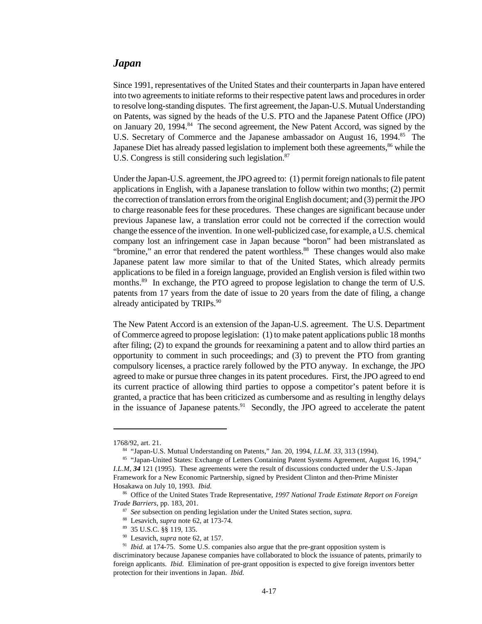# *Japan*

Since 1991, representatives of the United States and their counterparts in Japan have entered into two agreements to initiate reforms to their respective patent laws and procedures in order to resolve long-standing disputes. The first agreement, the Japan-U.S. Mutual Understanding on Patents, was signed by the heads of the U.S. PTO and the Japanese Patent Office (JPO) on January 20, 1994.<sup>84</sup> The second agreement, the New Patent Accord, was signed by the U.S. Secretary of Commerce and the Japanese ambassador on August 16, 1994.<sup>85</sup> The Japanese Diet has already passed legislation to implement both these agreements,<sup>86</sup> while the U.S. Congress is still considering such legislation.<sup>87</sup>

Under the Japan-U.S. agreement, the JPO agreed to: (1) permit foreign nationals to file patent applications in English, with a Japanese translation to follow within two months; (2) permit the correction of translation errors from the original English document; and (3) permit the JPO to charge reasonable fees for these procedures. These changes are significant because under previous Japanese law, a translation error could not be corrected if the correction would change the essence of the invention. In one well-publicized case, for example, a U.S. chemical company lost an infringement case in Japan because "boron" had been mistranslated as "bromine," an error that rendered the patent worthless.<sup>88</sup> These changes would also make Japanese patent law more similar to that of the United States, which already permits applications to be filed in a foreign language, provided an English version is filed within two months.<sup>89</sup> In exchange, the PTO agreed to propose legislation to change the term of U.S. patents from 17 years from the date of issue to 20 years from the date of filing, a change already anticipated by TRIPs.<sup>90</sup>

The New Patent Accord is an extension of the Japan-U.S. agreement. The U.S. Department of Commerce agreed to propose legislation: (1) to make patent applications public 18 months after filing; (2) to expand the grounds for reexamining a patent and to allow third parties an opportunity to comment in such proceedings; and (3) to prevent the PTO from granting compulsory licenses, a practice rarely followed by the PTO anyway. In exchange, the JPO agreed to make or pursue three changes in its patent procedures. First, the JPO agreed to end its current practice of allowing third parties to oppose a competitor's patent before it is granted, a practice that has been criticized as cumbersome and as resulting in lengthy delays in the issuance of Japanese patents.<sup>91</sup> Secondly, the JPO agreed to accelerate the patent

<sup>1768/92,</sup> art. 21.

<sup>84</sup> "Japan-U.S. Mutual Understanding on Patents," Jan. 20, 1994, *I.L.M. 33*, 313 (1994).

<sup>85</sup> "Japan-United States: Exchange of Letters Containing Patent Systems Agreement, August 16, 1994," *I.L.M*, *34* 121 (1995). These agreements were the result of discussions conducted under the U.S.-Japan Framework for a New Economic Partnership, signed by President Clinton and then-Prime Minister Hosakawa on July 10, 1993. *Ibid.* 

<sup>86</sup> Office of the United States Trade Representative, *1997 National Trade Estimate Report on Foreign Trade Barriers*, pp. 183, 201.

<sup>87</sup> *See* subsection on pending legislation under the United States section, *supra.*

<sup>88</sup> Lesavich, *supra* note 62, at 173-74.

<sup>89</sup> 35 U.S.C. §§ 119, 135.

<sup>90</sup> Lesavich, *supra* note 62, at 157.

<sup>&</sup>lt;sup>91</sup> *Ibid.* at 174-75. Some U.S. companies also argue that the pre-grant opposition system is

discriminatory because Japanese companies have collaborated to block the issuance of patents, primarily to foreign applicants. *Ibid.* Elimination of pre-grant opposition is expected to give foreign inventors better protection for their inventions in Japan. *Ibid.*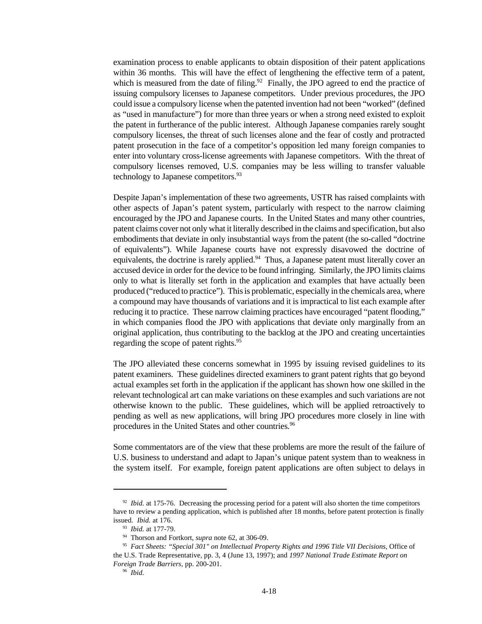examination process to enable applicants to obtain disposition of their patent applications within 36 months. This will have the effect of lengthening the effective term of a patent, which is measured from the date of filing.<sup>92</sup> Finally, the JPO agreed to end the practice of issuing compulsory licenses to Japanese competitors. Under previous procedures, the JPO could issue a compulsory license when the patented invention had not been "worked" (defined as "used in manufacture") for more than three years or when a strong need existed to exploit the patent in furtherance of the public interest. Although Japanese companies rarely sought compulsory licenses, the threat of such licenses alone and the fear of costly and protracted patent prosecution in the face of a competitor's opposition led many foreign companies to enter into voluntary cross-license agreements with Japanese competitors. With the threat of compulsory licenses removed, U.S. companies may be less willing to transfer valuable technology to Japanese competitors.<sup>93</sup>

Despite Japan's implementation of these two agreements, USTR has raised complaints with other aspects of Japan's patent system, particularly with respect to the narrow claiming encouraged by the JPO and Japanese courts. In the United States and many other countries, patent claims cover not only what it literally described in the claims and specification, but also embodiments that deviate in only insubstantial ways from the patent (the so-called "doctrine of equivalents"). While Japanese courts have not expressly disavowed the doctrine of equivalents, the doctrine is rarely applied. $94$  Thus, a Japanese patent must literally cover an accused device in order for the device to be found infringing. Similarly, the JPO limits claims only to what is literally set forth in the application and examples that have actually been produced ("reduced to practice"). This is problematic, especially in the chemicals area, where a compound may have thousands of variations and it is impractical to list each example after reducing it to practice. These narrow claiming practices have encouraged "patent flooding," in which companies flood the JPO with applications that deviate only marginally from an original application, thus contributing to the backlog at the JPO and creating uncertainties regarding the scope of patent rights.<sup>95</sup>

The JPO alleviated these concerns somewhat in 1995 by issuing revised guidelines to its patent examiners. These guidelines directed examiners to grant patent rights that go beyond actual examples set forth in the application if the applicant has shown how one skilled in the relevant technological art can make variations on these examples and such variations are not otherwise known to the public. These guidelines, which will be applied retroactively to pending as well as new applications, will bring JPO procedures more closely in line with procedures in the United States and other countries.<sup>96</sup>

Some commentators are of the view that these problems are more the result of the failure of U.S. business to understand and adapt to Japan's unique patent system than to weakness in the system itself. For example, foreign patent applications are often subject to delays in

<sup>&</sup>lt;sup>92</sup> *Ibid.* at 175-76. Decreasing the processing period for a patent will also shorten the time competitors have to review a pending application, which is published after 18 months, before patent protection is finally issued. *Ibid.* at 176.

<sup>93</sup> *Ibid.* at 177-79.

<sup>94</sup> Thorson and Fortkort, *supra* note 62, at 306-09.

<sup>95</sup> *Fact Sheets: "Special 301" on Intellectual Property Rights and 1996 Title VII Decisions*, Office of the U.S. Trade Representative, pp. 3, 4 (June 13, 1997); and *1997 National Trade Estimate Report on Foreign Trade Barriers*, pp. 200-201.

<sup>96</sup> *Ibid.*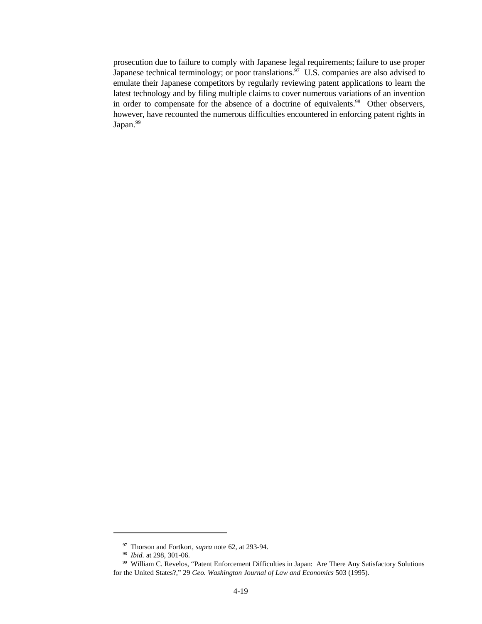prosecution due to failure to comply with Japanese legal requirements; failure to use proper Japanese technical terminology; or poor translations.<sup>97</sup> U.S. companies are also advised to emulate their Japanese competitors by regularly reviewing patent applications to learn the latest technology and by filing multiple claims to cover numerous variations of an invention in order to compensate for the absence of a doctrine of equivalents.<sup>98</sup> Other observers, however, have recounted the numerous difficulties encountered in enforcing patent rights in Japan.<sup>99</sup>

<sup>97</sup> Thorson and Fortkort, *supra* note 62, at 293-94.

<sup>98</sup> *Ibid.* at 298, 301-06.

<sup>99</sup> William C. Revelos, "Patent Enforcement Difficulties in Japan: Are There Any Satisfactory Solutions for the United States?," 29 *Geo. Washington Journal of Law and Economics* 503 (1995).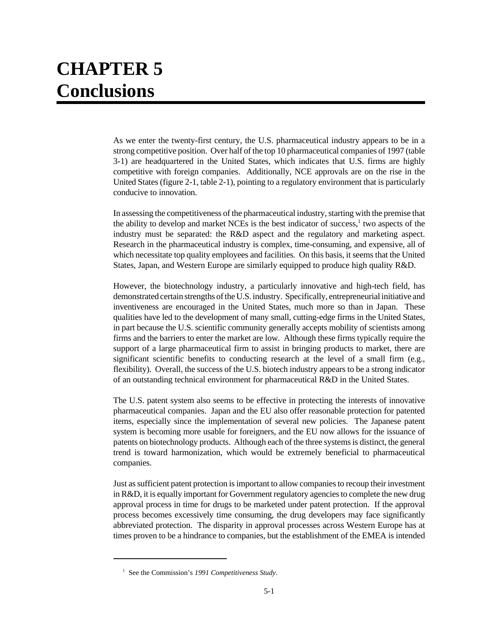# **CHAPTER 5 Conclusions**

As we enter the twenty-first century, the U.S. pharmaceutical industry appears to be in a strong competitive position. Over half of the top 10 pharmaceutical companies of 1997 (table 3-1) are headquartered in the United States, which indicates that U.S. firms are highly competitive with foreign companies. Additionally, NCE approvals are on the rise in the United States (figure 2-1, table 2-1), pointing to a regulatory environment that is particularly conducive to innovation.

In assessing the competitiveness of the pharmaceutical industry, starting with the premise that the ability to develop and market NCEs is the best indicator of success,<sup>1</sup> two aspects of the industry must be separated: the R&D aspect and the regulatory and marketing aspect. Research in the pharmaceutical industry is complex, time-consuming, and expensive, all of which necessitate top quality employees and facilities. On this basis, it seems that the United States, Japan, and Western Europe are similarly equipped to produce high quality R&D.

However, the biotechnology industry, a particularly innovative and high-tech field, has demonstrated certain strengths of the U.S. industry. Specifically, entrepreneurial initiative and inventiveness are encouraged in the United States, much more so than in Japan. These qualities have led to the development of many small, cutting-edge firms in the United States, in part because the U.S. scientific community generally accepts mobility of scientists among firms and the barriers to enter the market are low. Although these firms typically require the support of a large pharmaceutical firm to assist in bringing products to market, there are significant scientific benefits to conducting research at the level of a small firm (e.g., flexibility). Overall, the success of the U.S. biotech industry appears to be a strong indicator of an outstanding technical environment for pharmaceutical R&D in the United States.

The U.S. patent system also seems to be effective in protecting the interests of innovative pharmaceutical companies. Japan and the EU also offer reasonable protection for patented items, especially since the implementation of several new policies. The Japanese patent system is becoming more usable for foreigners, and the EU now allows for the issuance of patents on biotechnology products. Although each of the three systems is distinct, the general trend is toward harmonization, which would be extremely beneficial to pharmaceutical companies.

Just as sufficient patent protection is important to allow companies to recoup their investment in R&D, it is equally important for Government regulatory agencies to complete the new drug approval process in time for drugs to be marketed under patent protection. If the approval process becomes excessively time consuming, the drug developers may face significantly abbreviated protection. The disparity in approval processes across Western Europe has at times proven to be a hindrance to companies, but the establishment of the EMEA is intended

<sup>1</sup> See the Commission's *1991 Competitiveness Study*.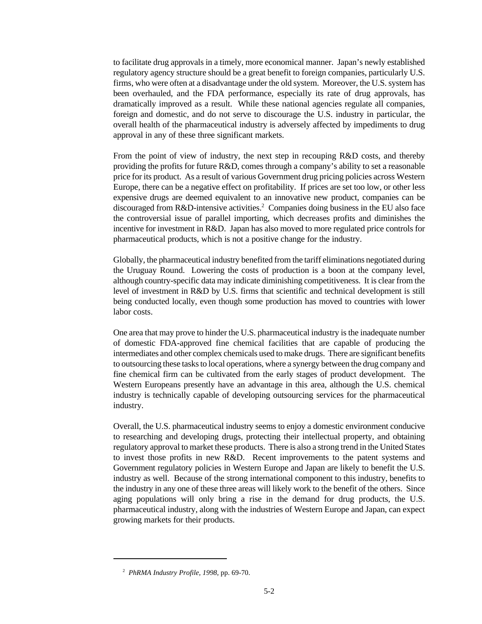to facilitate drug approvals in a timely, more economical manner. Japan's newly established regulatory agency structure should be a great benefit to foreign companies, particularly U.S. firms, who were often at a disadvantage under the old system. Moreover, the U.S. system has been overhauled, and the FDA performance, especially its rate of drug approvals, has dramatically improved as a result. While these national agencies regulate all companies, foreign and domestic, and do not serve to discourage the U.S. industry in particular, the overall health of the pharmaceutical industry is adversely affected by impediments to drug approval in any of these three significant markets.

From the point of view of industry, the next step in recouping R&D costs, and thereby providing the profits for future R&D, comes through a company's ability to set a reasonable price for its product. As a result of various Government drug pricing policies across Western Europe, there can be a negative effect on profitability. If prices are set too low, or other less expensive drugs are deemed equivalent to an innovative new product, companies can be discouraged from R&D-intensive activities.<sup>2</sup> Companies doing business in the EU also face the controversial issue of parallel importing, which decreases profits and diminishes the incentive for investment in R&D. Japan has also moved to more regulated price controls for pharmaceutical products, which is not a positive change for the industry.

Globally, the pharmaceutical industry benefited from the tariff eliminations negotiated during the Uruguay Round. Lowering the costs of production is a boon at the company level, although country-specific data may indicate diminishing competitiveness. It is clear from the level of investment in R&D by U.S. firms that scientific and technical development is still being conducted locally, even though some production has moved to countries with lower labor costs.

One area that may prove to hinder the U.S. pharmaceutical industry is the inadequate number of domestic FDA-approved fine chemical facilities that are capable of producing the intermediates and other complex chemicals used to make drugs. There are significant benefits to outsourcing these tasks to local operations, where a synergy between the drug company and fine chemical firm can be cultivated from the early stages of product development. The Western Europeans presently have an advantage in this area, although the U.S. chemical industry is technically capable of developing outsourcing services for the pharmaceutical industry.

Overall, the U.S. pharmaceutical industry seems to enjoy a domestic environment conducive to researching and developing drugs, protecting their intellectual property, and obtaining regulatory approval to market these products. There is also a strong trend in the United States to invest those profits in new R&D. Recent improvements to the patent systems and Government regulatory policies in Western Europe and Japan are likely to benefit the U.S. industry as well. Because of the strong international component to this industry, benefits to the industry in any one of these three areas will likely work to the benefit of the others. Since aging populations will only bring a rise in the demand for drug products, the U.S. pharmaceutical industry, along with the industries of Western Europe and Japan, can expect growing markets for their products.

<sup>2</sup> *PhRMA Industry Profile, 1998*, pp. 69-70.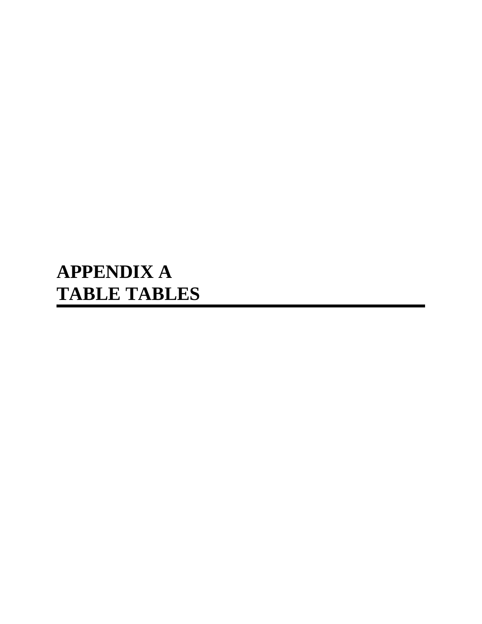# **APPENDIX A TABLE TABLES**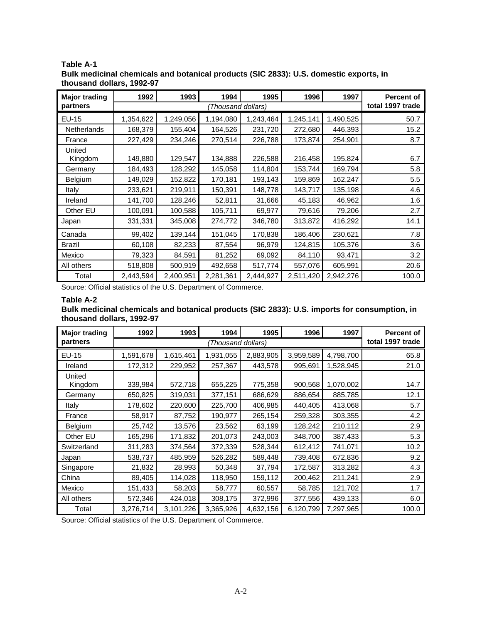| <b>Major trading</b> | 1992               | 1993      | 1994      | 1995      | 1996      | 1997             | <b>Percent of</b> |
|----------------------|--------------------|-----------|-----------|-----------|-----------|------------------|-------------------|
| partners             | (Thousand dollars) |           |           |           |           | total 1997 trade |                   |
| $EU-15$              | 1,354,622          | 1,249,056 | 1,194,080 | 1,243,464 | 1,245,141 | 1,490,525        | 50.7              |
| Netherlands          | 168,379            | 155,404   | 164,526   | 231,720   | 272,680   | 446,393          | 15.2              |
| France               | 227,429            | 234,246   | 270,514   | 226,788   | 173,874   | 254,901          | 8.7               |
| United<br>Kingdom    | 149,880            | 129,547   | 134,888   | 226,588   | 216,458   | 195,824          | 6.7               |
| Germany              | 184,493            | 128,292   | 145,058   | 114,804   | 153,744   | 169,794          | 5.8               |
| Belgium              | 149,029            | 152,822   | 170,181   | 193,143   | 159,869   | 162,247          | 5.5               |
| Italy                | 233,621            | 219,911   | 150,391   | 148,778   | 143,717   | 135,198          | 4.6               |
| Ireland              | 141,700            | 128,246   | 52,811    | 31,666    | 45,183    | 46,962           | 1.6               |
| Other EU             | 100,091            | 100,588   | 105,711   | 69,977    | 79,616    | 79,206           | 2.7               |
| Japan                | 331,331            | 345,008   | 274,772   | 346,780   | 313,872   | 416,292          | 14.1              |
| Canada               | 99,402             | 139,144   | 151,045   | 170,838   | 186,406   | 230,621          | 7.8               |
| <b>Brazil</b>        | 60,108             | 82,233    | 87,554    | 96,979    | 124,815   | 105,376          | 3.6               |
| Mexico               | 79,323             | 84,591    | 81,252    | 69,092    | 84,110    | 93,471           | 3.2               |
| All others           | 518,808            | 500,919   | 492,658   | 517,774   | 557,076   | 605,991          | 20.6              |
| Total                | 2,443,594          | 2,400,951 | 2,281,361 | 2,444,927 | 2,511,420 | 2,942,276        | 100.0             |

**Table A-1 Bulk medicinal chemicals and botanical products (SIC 2833): U.S. domestic exports, in thousand dollars, 1992-97**

Source: Official statistics of the U.S. Department of Commerce.

#### **Table A-2**

**Bulk medicinal chemicals and botanical products (SIC 2833): U.S. imports for consumption, in thousand dollars, 1992-97**

| <b>Major trading</b> | 1992               | 1993      | 1994      | 1995      | 1996      | 1997             | <b>Percent of</b> |
|----------------------|--------------------|-----------|-----------|-----------|-----------|------------------|-------------------|
| partners             | (Thousand dollars) |           |           |           |           | total 1997 trade |                   |
| EU-15                | 1,591,678          | 1,615,461 | 1,931,055 | 2,883,905 | 3,959,589 | 4,798,700        | 65.8              |
| Ireland              | 172,312            | 229,952   | 257,367   | 443,578   | 995,691   | 1,528,945        | 21.0              |
| United<br>Kingdom    | 339,984            | 572,718   | 655,225   | 775,358   | 900,568   | 1,070,002        | 14.7              |
| Germany              | 650,825            | 319,031   | 377,151   | 686,629   | 886,654   | 885,785          | 12.1              |
| Italy                | 178,602            | 220,600   | 225,700   | 406,985   | 440,405   | 413,068          | 5.7               |
| France               | 58,917             | 87,752    | 190,977   | 265,154   | 259,328   | 303,355          | 4.2               |
| Belgium              | 25,742             | 13,576    | 23,562    | 63,199    | 128,242   | 210,112          | 2.9               |
| Other EU             | 165,296            | 171,832   | 201,073   | 243,003   | 348,700   | 387,433          | 5.3               |
| Switzerland          | 311,283            | 374,564   | 372,339   | 528,344   | 612,412   | 741,071          | 10.2              |
| Japan                | 538,737            | 485,959   | 526,282   | 589,448   | 739,408   | 672,836          | 9.2               |
| Singapore            | 21,832             | 28,993    | 50,348    | 37,794    | 172,587   | 313,282          | 4.3               |
| China                | 89,405             | 114,028   | 118,950   | 159,112   | 200,462   | 211,241          | 2.9               |
| Mexico               | 151,433            | 58,203    | 58,777    | 60,557    | 58,785    | 121,702          | 1.7               |
| All others           | 572,346            | 424,018   | 308,175   | 372,996   | 377,556   | 439,133          | 6.0               |
| Total                | 3,276,714          | 3,101,226 | 3,365,926 | 4,632,156 | 6,120,799 | 7,297,965        | 100.0             |

Source: Official statistics of the U.S. Department of Commerce.